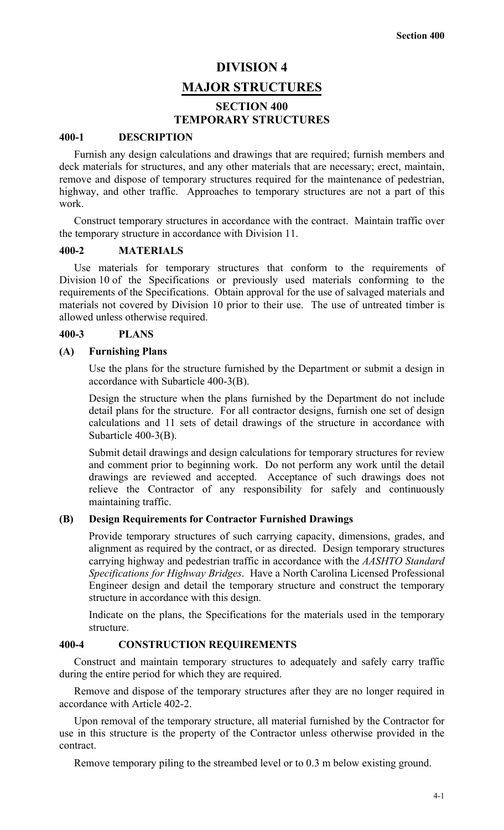# **DIVISION 4 MAJOR STRUCTURES**

## **SECTION 400 TEMPORARY STRUCTURES**

#### **400-1 DESCRIPTION**

Furnish any design calculations and drawings that are required; furnish members and deck materials for structures, and any other materials that are necessary; erect, maintain, remove and dispose of temporary structures required for the maintenance of pedestrian, highway, and other traffic. Approaches to temporary structures are not a part of this work.

Construct temporary structures in accordance with the contract. Maintain traffic over the temporary structure in accordance with Division 11.

#### **400-2 MATERIALS**

Use materials for temporary structures that conform to the requirements of Division 10 of the Specifications or previously used materials conforming to the requirements of the Specifications. Obtain approval for the use of salvaged materials and materials not covered by Division 10 prior to their use. The use of untreated timber is allowed unless otherwise required.

#### **400-3 PLANS**

#### **(A) Furnishing Plans**

Use the plans for the structure furnished by the Department or submit a design in accordance with Subarticle 400-3(B).

Design the structure when the plans furnished by the Department do not include detail plans for the structure. For all contractor designs, furnish one set of design calculations and 11 sets of detail drawings of the structure in accordance with Subarticle 400-3(B).

Submit detail drawings and design calculations for temporary structures for review and comment prior to beginning work. Do not perform any work until the detail drawings are reviewed and accepted. Acceptance of such drawings does not relieve the Contractor of any responsibility for safely and continuously maintaining traffic.

#### **(B) Design Requirements for Contractor Furnished Drawings**

Provide temporary structures of such carrying capacity, dimensions, grades, and alignment as required by the contract, or as directed. Design temporary structures carrying highway and pedestrian traffic in accordance with the *AASHTO Standard Specifications for Highway Bridges*. Have a North Carolina Licensed Professional Engineer design and detail the temporary structure and construct the temporary structure in accordance with this design.

Indicate on the plans, the Specifications for the materials used in the temporary structure.

#### **400-4 CONSTRUCTION REQUIREMENTS**

Construct and maintain temporary structures to adequately and safely carry traffic during the entire period for which they are required.

Remove and dispose of the temporary structures after they are no longer required in accordance with Article 402-2.

Upon removal of the temporary structure, all material furnished by the Contractor for use in this structure is the property of the Contractor unless otherwise provided in the contract.

Remove temporary piling to the streambed level or to 0.3 m below existing ground.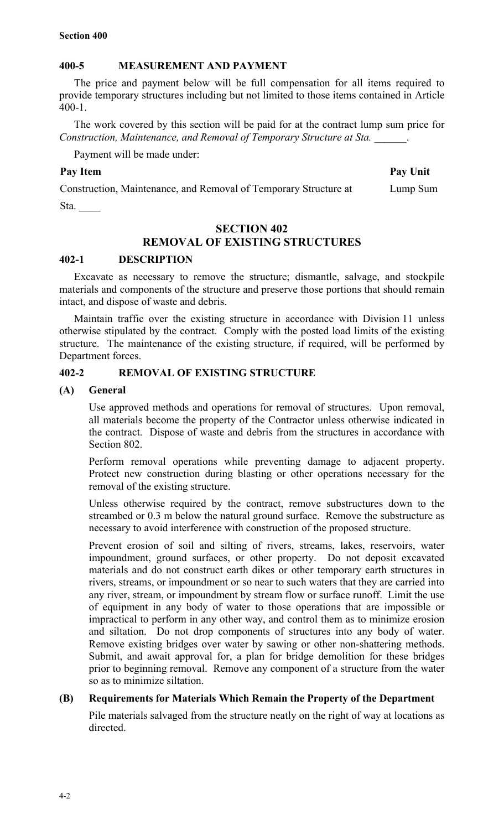## **400-5 MEASUREMENT AND PAYMENT**

The price and payment below will be full compensation for all items required to provide temporary structures including but not limited to those items contained in Article 400-1.

The work covered by this section will be paid for at the contract lump sum price for *Construction, Maintenance, and Removal of Temporary Structure at Sta. \_\_\_\_\_\_*.

Payment will be made under:

## Pay Item **Pay Unit**

Lump Sum

Construction, Maintenance, and Removal of Temporary Structure at

Sta.

## **SECTION 402 REMOVAL OF EXISTING STRUCTURES**

## **402-1 DESCRIPTION**

Excavate as necessary to remove the structure; dismantle, salvage, and stockpile materials and components of the structure and preserve those portions that should remain intact, and dispose of waste and debris.

Maintain traffic over the existing structure in accordance with Division 11 unless otherwise stipulated by the contract. Comply with the posted load limits of the existing structure. The maintenance of the existing structure, if required, will be performed by Department forces.

## **402-2 REMOVAL OF EXISTING STRUCTURE**

## **(A) General**

Use approved methods and operations for removal of structures. Upon removal, all materials become the property of the Contractor unless otherwise indicated in the contract. Dispose of waste and debris from the structures in accordance with Section 802.

Perform removal operations while preventing damage to adjacent property. Protect new construction during blasting or other operations necessary for the removal of the existing structure.

Unless otherwise required by the contract, remove substructures down to the streambed or 0.3 m below the natural ground surface. Remove the substructure as necessary to avoid interference with construction of the proposed structure.

Prevent erosion of soil and silting of rivers, streams, lakes, reservoirs, water impoundment, ground surfaces, or other property. Do not deposit excavated materials and do not construct earth dikes or other temporary earth structures in rivers, streams, or impoundment or so near to such waters that they are carried into any river, stream, or impoundment by stream flow or surface runoff. Limit the use of equipment in any body of water to those operations that are impossible or impractical to perform in any other way, and control them as to minimize erosion and siltation. Do not drop components of structures into any body of water. Remove existing bridges over water by sawing or other non-shattering methods. Submit, and await approval for, a plan for bridge demolition for these bridges prior to beginning removal. Remove any component of a structure from the water so as to minimize siltation.

## **(B) Requirements for Materials Which Remain the Property of the Department**

Pile materials salvaged from the structure neatly on the right of way at locations as directed.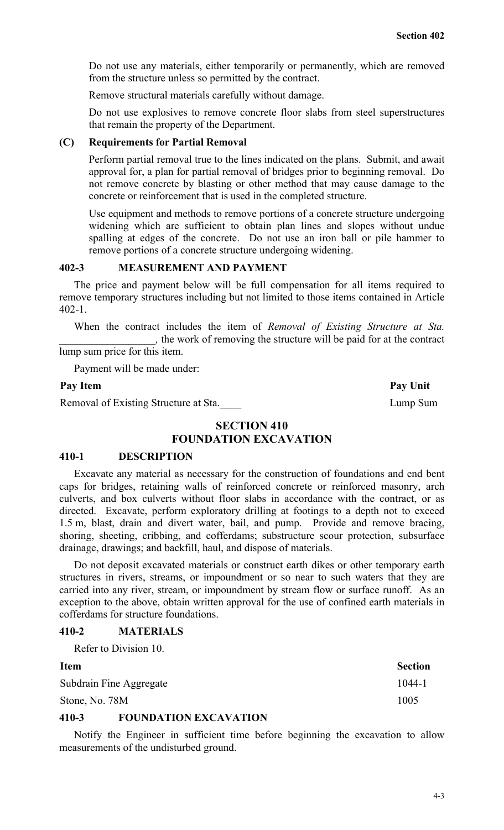Do not use any materials, either temporarily or permanently, which are removed from the structure unless so permitted by the contract.

Remove structural materials carefully without damage.

Do not use explosives to remove concrete floor slabs from steel superstructures that remain the property of the Department.

### **(C) Requirements for Partial Removal**

Perform partial removal true to the lines indicated on the plans. Submit, and await approval for, a plan for partial removal of bridges prior to beginning removal. Do not remove concrete by blasting or other method that may cause damage to the concrete or reinforcement that is used in the completed structure.

Use equipment and methods to remove portions of a concrete structure undergoing widening which are sufficient to obtain plan lines and slopes without undue spalling at edges of the concrete. Do not use an iron ball or pile hammer to remove portions of a concrete structure undergoing widening.

## **402-3 MEASUREMENT AND PAYMENT**

The price and payment below will be full compensation for all items required to remove temporary structures including but not limited to those items contained in Article 402-1.

When the contract includes the item of *Removal of Existing Structure at Sta. \_\_\_\_\_\_\_\_\_\_\_\_\_\_\_\_\_\_,* the work of removing the structure will be paid for at the contract

lump sum price for this item.

Payment will be made under:

Removal of Existing Structure at Sta. Lump Sum

Pay Item **Pay Unit** 

## **SECTION 410 FOUNDATION EXCAVATION**

#### **410-1 DESCRIPTION**

Excavate any material as necessary for the construction of foundations and end bent caps for bridges, retaining walls of reinforced concrete or reinforced masonry, arch culverts, and box culverts without floor slabs in accordance with the contract, or as directed. Excavate, perform exploratory drilling at footings to a depth not to exceed 1.5 m, blast, drain and divert water, bail, and pump. Provide and remove bracing, shoring, sheeting, cribbing, and cofferdams; substructure scour protection, subsurface drainage, drawings; and backfill, haul, and dispose of materials.

Do not deposit excavated materials or construct earth dikes or other temporary earth structures in rivers, streams, or impoundment or so near to such waters that they are carried into any river, stream, or impoundment by stream flow or surface runoff. As an exception to the above, obtain written approval for the use of confined earth materials in cofferdams for structure foundations.

#### **410-2 MATERIALS**

Refer to Division 10.

| <b>Item</b>             | <b>Section</b> |
|-------------------------|----------------|
| Subdrain Fine Aggregate | 1044-1         |
| Stone, No. 78M          | 1005           |
| .                       |                |

## **410-3 FOUNDATION EXCAVATION**

Notify the Engineer in sufficient time before beginning the excavation to allow measurements of the undisturbed ground.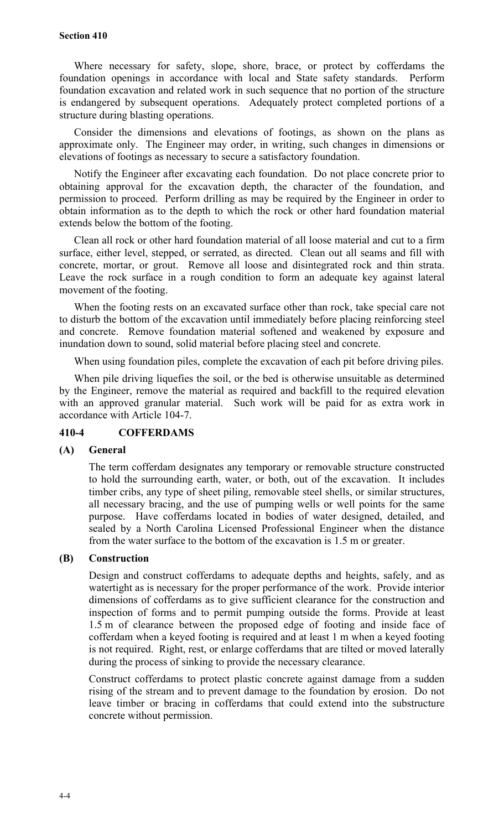#### **Section 410**

Where necessary for safety, slope, shore, brace, or protect by cofferdams the foundation openings in accordance with local and State safety standards. Perform foundation excavation and related work in such sequence that no portion of the structure is endangered by subsequent operations. Adequately protect completed portions of a structure during blasting operations.

Consider the dimensions and elevations of footings, as shown on the plans as approximate only. The Engineer may order, in writing, such changes in dimensions or elevations of footings as necessary to secure a satisfactory foundation.

Notify the Engineer after excavating each foundation. Do not place concrete prior to obtaining approval for the excavation depth, the character of the foundation, and permission to proceed. Perform drilling as may be required by the Engineer in order to obtain information as to the depth to which the rock or other hard foundation material extends below the bottom of the footing.

Clean all rock or other hard foundation material of all loose material and cut to a firm surface, either level, stepped, or serrated, as directed. Clean out all seams and fill with concrete, mortar, or grout. Remove all loose and disintegrated rock and thin strata. Leave the rock surface in a rough condition to form an adequate key against lateral movement of the footing.

When the footing rests on an excavated surface other than rock, take special care not to disturb the bottom of the excavation until immediately before placing reinforcing steel and concrete. Remove foundation material softened and weakened by exposure and inundation down to sound, solid material before placing steel and concrete.

When using foundation piles, complete the excavation of each pit before driving piles.

When pile driving liquefies the soil, or the bed is otherwise unsuitable as determined by the Engineer, remove the material as required and backfill to the required elevation with an approved granular material. Such work will be paid for as extra work in accordance with Article 104-7.

#### **410-4 COFFERDAMS**

#### **(A) General**

The term cofferdam designates any temporary or removable structure constructed to hold the surrounding earth, water, or both, out of the excavation. It includes timber cribs, any type of sheet piling, removable steel shells, or similar structures, all necessary bracing, and the use of pumping wells or well points for the same purpose. Have cofferdams located in bodies of water designed, detailed, and sealed by a North Carolina Licensed Professional Engineer when the distance from the water surface to the bottom of the excavation is 1.5 m or greater.

### **(B) Construction**

Design and construct cofferdams to adequate depths and heights, safely, and as watertight as is necessary for the proper performance of the work. Provide interior dimensions of cofferdams as to give sufficient clearance for the construction and inspection of forms and to permit pumping outside the forms. Provide at least 1.5 m of clearance between the proposed edge of footing and inside face of cofferdam when a keyed footing is required and at least 1 m when a keyed footing is not required. Right, rest, or enlarge cofferdams that are tilted or moved laterally during the process of sinking to provide the necessary clearance.

Construct cofferdams to protect plastic concrete against damage from a sudden rising of the stream and to prevent damage to the foundation by erosion. Do not leave timber or bracing in cofferdams that could extend into the substructure concrete without permission.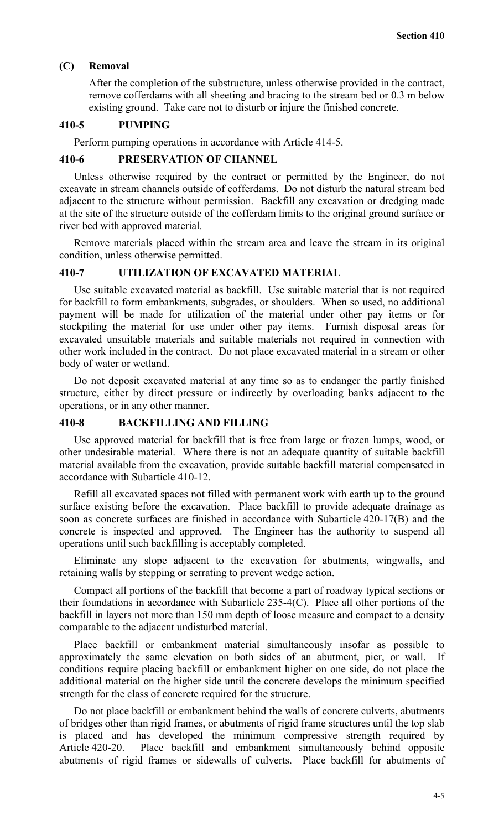#### **(C) Removal**

After the completion of the substructure, unless otherwise provided in the contract, remove cofferdams with all sheeting and bracing to the stream bed or 0.3 m below existing ground. Take care not to disturb or injure the finished concrete.

#### **410-5 PUMPING**

Perform pumping operations in accordance with Article 414-5.

## **410-6 PRESERVATION OF CHANNEL**

Unless otherwise required by the contract or permitted by the Engineer, do not excavate in stream channels outside of cofferdams. Do not disturb the natural stream bed adjacent to the structure without permission. Backfill any excavation or dredging made at the site of the structure outside of the cofferdam limits to the original ground surface or river bed with approved material.

Remove materials placed within the stream area and leave the stream in its original condition, unless otherwise permitted.

#### **410-7 UTILIZATION OF EXCAVATED MATERIAL**

Use suitable excavated material as backfill. Use suitable material that is not required for backfill to form embankments, subgrades, or shoulders. When so used, no additional payment will be made for utilization of the material under other pay items or for stockpiling the material for use under other pay items. Furnish disposal areas for excavated unsuitable materials and suitable materials not required in connection with other work included in the contract. Do not place excavated material in a stream or other body of water or wetland.

Do not deposit excavated material at any time so as to endanger the partly finished structure, either by direct pressure or indirectly by overloading banks adjacent to the operations, or in any other manner.

#### **410-8 BACKFILLING AND FILLING**

Use approved material for backfill that is free from large or frozen lumps, wood, or other undesirable material. Where there is not an adequate quantity of suitable backfill material available from the excavation, provide suitable backfill material compensated in accordance with Subarticle 410-12.

Refill all excavated spaces not filled with permanent work with earth up to the ground surface existing before the excavation. Place backfill to provide adequate drainage as soon as concrete surfaces are finished in accordance with Subarticle 420-17(B) and the concrete is inspected and approved. The Engineer has the authority to suspend all operations until such backfilling is acceptably completed.

Eliminate any slope adjacent to the excavation for abutments, wingwalls, and retaining walls by stepping or serrating to prevent wedge action.

Compact all portions of the backfill that become a part of roadway typical sections or their foundations in accordance with Subarticle 235-4(C). Place all other portions of the backfill in layers not more than 150 mm depth of loose measure and compact to a density comparable to the adjacent undisturbed material.

Place backfill or embankment material simultaneously insofar as possible to approximately the same elevation on both sides of an abutment, pier, or wall. If conditions require placing backfill or embankment higher on one side, do not place the additional material on the higher side until the concrete develops the minimum specified strength for the class of concrete required for the structure.

Do not place backfill or embankment behind the walls of concrete culverts, abutments of bridges other than rigid frames, or abutments of rigid frame structures until the top slab is placed and has developed the minimum compressive strength required by Article 420-20. Place backfill and embankment simultaneously behind opposite abutments of rigid frames or sidewalls of culverts. Place backfill for abutments of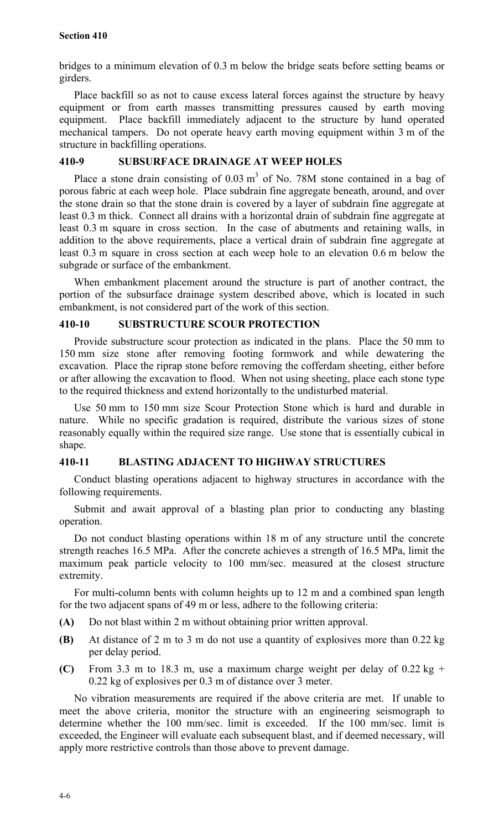bridges to a minimum elevation of 0.3 m below the bridge seats before setting beams or girders.

Place backfill so as not to cause excess lateral forces against the structure by heavy equipment or from earth masses transmitting pressures caused by earth moving equipment. Place backfill immediately adjacent to the structure by hand operated mechanical tampers. Do not operate heavy earth moving equipment within 3 m of the structure in backfilling operations.

## **410-9 SUBSURFACE DRAINAGE AT WEEP HOLES**

Place a stone drain consisting of  $0.03 \text{ m}^3$  of No. 78M stone contained in a bag of porous fabric at each weep hole. Place subdrain fine aggregate beneath, around, and over the stone drain so that the stone drain is covered by a layer of subdrain fine aggregate at least 0.3 m thick. Connect all drains with a horizontal drain of subdrain fine aggregate at least 0.3 m square in cross section. In the case of abutments and retaining walls, in addition to the above requirements, place a vertical drain of subdrain fine aggregate at least 0.3 m square in cross section at each weep hole to an elevation 0.6 m below the subgrade or surface of the embankment.

When embankment placement around the structure is part of another contract, the portion of the subsurface drainage system described above, which is located in such embankment, is not considered part of the work of this section.

## **410-10 SUBSTRUCTURE SCOUR PROTECTION**

Provide substructure scour protection as indicated in the plans. Place the 50 mm to 150 mm size stone after removing footing formwork and while dewatering the excavation. Place the riprap stone before removing the cofferdam sheeting, either before or after allowing the excavation to flood. When not using sheeting, place each stone type to the required thickness and extend horizontally to the undisturbed material.

Use 50 mm to 150 mm size Scour Protection Stone which is hard and durable in nature. While no specific gradation is required, distribute the various sizes of stone reasonably equally within the required size range. Use stone that is essentially cubical in shape.

## **410-11 BLASTING ADJACENT TO HIGHWAY STRUCTURES**

Conduct blasting operations adjacent to highway structures in accordance with the following requirements.

Submit and await approval of a blasting plan prior to conducting any blasting operation.

Do not conduct blasting operations within 18 m of any structure until the concrete strength reaches 16.5 MPa. After the concrete achieves a strength of 16.5 MPa, limit the maximum peak particle velocity to 100 mm/sec. measured at the closest structure extremity.

For multi-column bents with column heights up to 12 m and a combined span length for the two adjacent spans of 49 m or less, adhere to the following criteria:

- **(A)** Do not blast within 2 m without obtaining prior written approval.
- **(B)** At distance of 2 m to 3 m do not use a quantity of explosives more than 0.22 kg per delay period.
- **(C)** From 3.3 m to 18.3 m, use a maximum charge weight per delay of 0.22 kg + 0.22 kg of explosives per 0.3 m of distance over 3 meter.

No vibration measurements are required if the above criteria are met. If unable to meet the above criteria, monitor the structure with an engineering seismograph to determine whether the 100 mm/sec. limit is exceeded. If the 100 mm/sec. limit is exceeded, the Engineer will evaluate each subsequent blast, and if deemed necessary, will apply more restrictive controls than those above to prevent damage.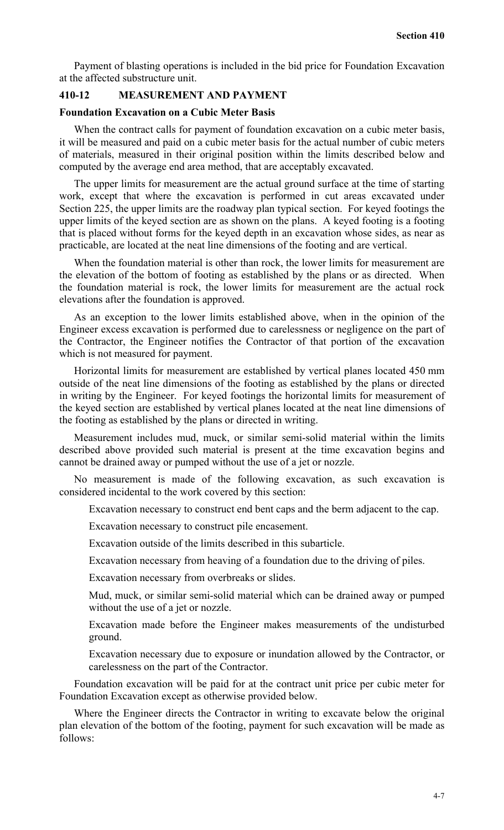Payment of blasting operations is included in the bid price for Foundation Excavation at the affected substructure unit.

## **410-12 MEASUREMENT AND PAYMENT**

#### **Foundation Excavation on a Cubic Meter Basis**

When the contract calls for payment of foundation excavation on a cubic meter basis, it will be measured and paid on a cubic meter basis for the actual number of cubic meters of materials, measured in their original position within the limits described below and computed by the average end area method, that are acceptably excavated.

The upper limits for measurement are the actual ground surface at the time of starting work, except that where the excavation is performed in cut areas excavated under Section 225, the upper limits are the roadway plan typical section. For keyed footings the upper limits of the keyed section are as shown on the plans. A keyed footing is a footing that is placed without forms for the keyed depth in an excavation whose sides, as near as practicable, are located at the neat line dimensions of the footing and are vertical.

When the foundation material is other than rock, the lower limits for measurement are the elevation of the bottom of footing as established by the plans or as directed. When the foundation material is rock, the lower limits for measurement are the actual rock elevations after the foundation is approved.

As an exception to the lower limits established above, when in the opinion of the Engineer excess excavation is performed due to carelessness or negligence on the part of the Contractor, the Engineer notifies the Contractor of that portion of the excavation which is not measured for payment.

Horizontal limits for measurement are established by vertical planes located 450 mm outside of the neat line dimensions of the footing as established by the plans or directed in writing by the Engineer. For keyed footings the horizontal limits for measurement of the keyed section are established by vertical planes located at the neat line dimensions of the footing as established by the plans or directed in writing.

Measurement includes mud, muck, or similar semi-solid material within the limits described above provided such material is present at the time excavation begins and cannot be drained away or pumped without the use of a jet or nozzle.

No measurement is made of the following excavation, as such excavation is considered incidental to the work covered by this section:

Excavation necessary to construct end bent caps and the berm adjacent to the cap.

Excavation necessary to construct pile encasement.

Excavation outside of the limits described in this subarticle.

Excavation necessary from heaving of a foundation due to the driving of piles.

Excavation necessary from overbreaks or slides.

Mud, muck, or similar semi-solid material which can be drained away or pumped without the use of a jet or nozzle.

Excavation made before the Engineer makes measurements of the undisturbed ground.

Excavation necessary due to exposure or inundation allowed by the Contractor, or carelessness on the part of the Contractor.

Foundation excavation will be paid for at the contract unit price per cubic meter for Foundation Excavation except as otherwise provided below.

Where the Engineer directs the Contractor in writing to excavate below the original plan elevation of the bottom of the footing, payment for such excavation will be made as follows: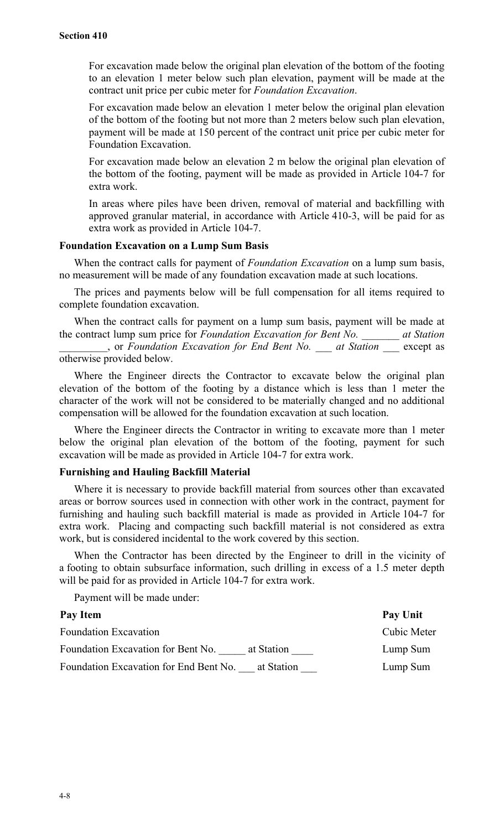For excavation made below the original plan elevation of the bottom of the footing to an elevation 1 meter below such plan elevation, payment will be made at the contract unit price per cubic meter for *Foundation Excavation*.

For excavation made below an elevation 1 meter below the original plan elevation of the bottom of the footing but not more than 2 meters below such plan elevation, payment will be made at 150 percent of the contract unit price per cubic meter for Foundation Excavation.

For excavation made below an elevation 2 m below the original plan elevation of the bottom of the footing, payment will be made as provided in Article 104-7 for extra work.

In areas where piles have been driven, removal of material and backfilling with approved granular material, in accordance with Article 410-3, will be paid for as extra work as provided in Article 104-7.

#### **Foundation Excavation on a Lump Sum Basis**

When the contract calls for payment of *Foundation Excavation* on a lump sum basis, no measurement will be made of any foundation excavation made at such locations.

The prices and payments below will be full compensation for all items required to complete foundation excavation.

When the contract calls for payment on a lump sum basis, payment will be made at the contract lump sum price for *Foundation Excavation for Bent No. \_\_\_\_\_\_\_ at Station*

*\_\_\_\_\_\_\_\_\_*, or *Foundation Excavation for End Bent No. \_\_\_ at Station* \_\_\_ except as otherwise provided below.

Where the Engineer directs the Contractor to excavate below the original plan elevation of the bottom of the footing by a distance which is less than 1 meter the character of the work will not be considered to be materially changed and no additional compensation will be allowed for the foundation excavation at such location.

Where the Engineer directs the Contractor in writing to excavate more than 1 meter below the original plan elevation of the bottom of the footing, payment for such excavation will be made as provided in Article 104-7 for extra work.

## **Furnishing and Hauling Backfill Material**

Where it is necessary to provide backfill material from sources other than excavated areas or borrow sources used in connection with other work in the contract, payment for furnishing and hauling such backfill material is made as provided in Article 104-7 for extra work. Placing and compacting such backfill material is not considered as extra work, but is considered incidental to the work covered by this section.

When the Contractor has been directed by the Engineer to drill in the vicinity of a footing to obtain subsurface information, such drilling in excess of a 1.5 meter depth will be paid for as provided in Article 104-7 for extra work.

Payment will be made under:

| Pay Item                                             | Pay Unit    |
|------------------------------------------------------|-------------|
| <b>Foundation Excavation</b>                         | Cubic Meter |
| Foundation Excavation for Bent No.<br>at Station     | Lump Sum    |
| Foundation Excavation for End Bent No.<br>at Station | Lump Sum    |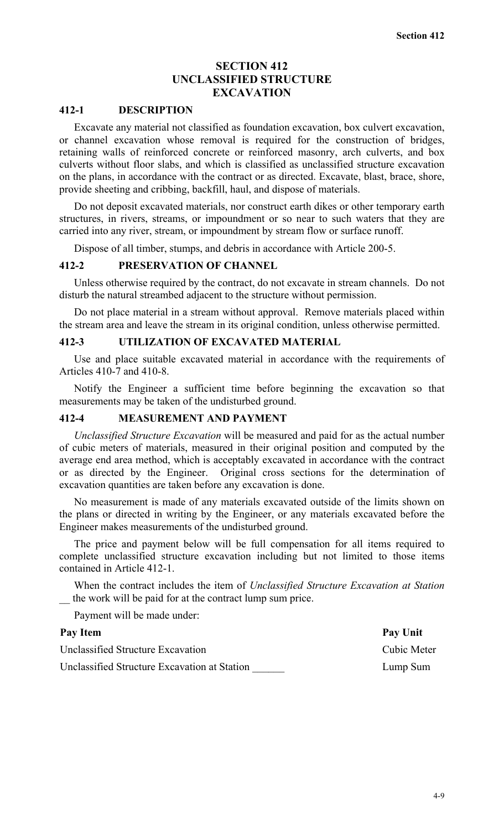## **SECTION 412 UNCLASSIFIED STRUCTURE EXCAVATION**

## **412-1 DESCRIPTION**

Excavate any material not classified as foundation excavation, box culvert excavation, or channel excavation whose removal is required for the construction of bridges, retaining walls of reinforced concrete or reinforced masonry, arch culverts, and box culverts without floor slabs, and which is classified as unclassified structure excavation on the plans, in accordance with the contract or as directed. Excavate, blast, brace, shore, provide sheeting and cribbing, backfill, haul, and dispose of materials.

Do not deposit excavated materials, nor construct earth dikes or other temporary earth structures, in rivers, streams, or impoundment or so near to such waters that they are carried into any river, stream, or impoundment by stream flow or surface runoff.

Dispose of all timber, stumps, and debris in accordance with Article 200-5.

#### **412-2 PRESERVATION OF CHANNEL**

Unless otherwise required by the contract, do not excavate in stream channels. Do not disturb the natural streambed adjacent to the structure without permission.

Do not place material in a stream without approval. Remove materials placed within the stream area and leave the stream in its original condition, unless otherwise permitted.

#### **412-3 UTILIZATION OF EXCAVATED MATERIAL**

Use and place suitable excavated material in accordance with the requirements of Articles 410-7 and 410-8.

Notify the Engineer a sufficient time before beginning the excavation so that measurements may be taken of the undisturbed ground.

#### **412-4 MEASUREMENT AND PAYMENT**

*Unclassified Structure Excavation* will be measured and paid for as the actual number of cubic meters of materials, measured in their original position and computed by the average end area method, which is acceptably excavated in accordance with the contract or as directed by the Engineer. Original cross sections for the determination of excavation quantities are taken before any excavation is done.

No measurement is made of any materials excavated outside of the limits shown on the plans or directed in writing by the Engineer, or any materials excavated before the Engineer makes measurements of the undisturbed ground.

The price and payment below will be full compensation for all items required to complete unclassified structure excavation including but not limited to those items contained in Article 412-1.

When the contract includes the item of *Unclassified Structure Excavation at Station* the work will be paid for at the contract lump sum price.

Payment will be made under:

| Pay Item                                     | Pay Unit    |
|----------------------------------------------|-------------|
| Unclassified Structure Excavation            | Cubic Meter |
| Unclassified Structure Excavation at Station | Lump Sum    |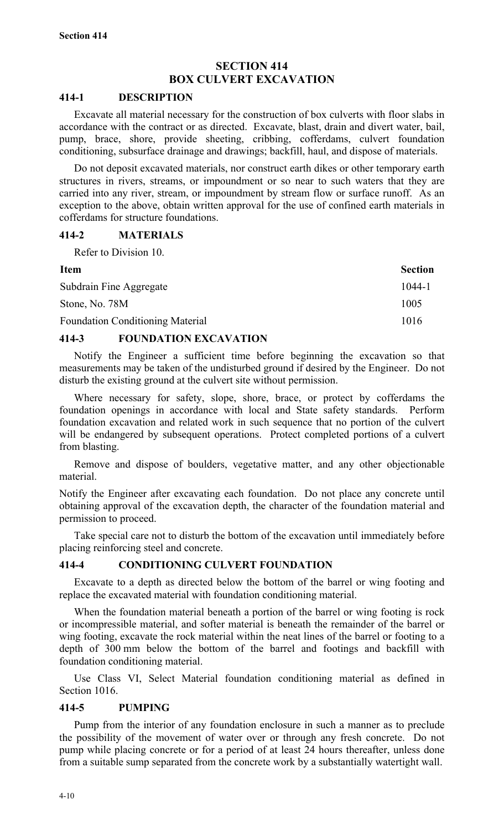## **SECTION 414 BOX CULVERT EXCAVATION**

#### **414-1 DESCRIPTION**

Excavate all material necessary for the construction of box culverts with floor slabs in accordance with the contract or as directed. Excavate, blast, drain and divert water, bail, pump, brace, shore, provide sheeting, cribbing, cofferdams, culvert foundation conditioning, subsurface drainage and drawings; backfill, haul, and dispose of materials.

Do not deposit excavated materials, nor construct earth dikes or other temporary earth structures in rivers, streams, or impoundment or so near to such waters that they are carried into any river, stream, or impoundment by stream flow or surface runoff. As an exception to the above, obtain written approval for the use of confined earth materials in cofferdams for structure foundations.

### **414-2 MATERIALS**

Refer to Division 10.

| <b>Item</b>                             | <b>Section</b> |
|-----------------------------------------|----------------|
| Subdrain Fine Aggregate                 | 1044-1         |
| Stone, No. 78M                          | 1005           |
| <b>Foundation Conditioning Material</b> | 1016           |

## **414-3 FOUNDATION EXCAVATION**

Notify the Engineer a sufficient time before beginning the excavation so that measurements may be taken of the undisturbed ground if desired by the Engineer. Do not disturb the existing ground at the culvert site without permission.

Where necessary for safety, slope, shore, brace, or protect by cofferdams the foundation openings in accordance with local and State safety standards. Perform foundation excavation and related work in such sequence that no portion of the culvert will be endangered by subsequent operations. Protect completed portions of a culvert from blasting.

Remove and dispose of boulders, vegetative matter, and any other objectionable material.

Notify the Engineer after excavating each foundation. Do not place any concrete until obtaining approval of the excavation depth, the character of the foundation material and permission to proceed.

Take special care not to disturb the bottom of the excavation until immediately before placing reinforcing steel and concrete.

## **414-4 CONDITIONING CULVERT FOUNDATION**

Excavate to a depth as directed below the bottom of the barrel or wing footing and replace the excavated material with foundation conditioning material.

When the foundation material beneath a portion of the barrel or wing footing is rock or incompressible material, and softer material is beneath the remainder of the barrel or wing footing, excavate the rock material within the neat lines of the barrel or footing to a depth of 300 mm below the bottom of the barrel and footings and backfill with foundation conditioning material.

Use Class VI, Select Material foundation conditioning material as defined in Section 1016.

## **414-5 PUMPING**

Pump from the interior of any foundation enclosure in such a manner as to preclude the possibility of the movement of water over or through any fresh concrete. Do not pump while placing concrete or for a period of at least 24 hours thereafter, unless done from a suitable sump separated from the concrete work by a substantially watertight wall.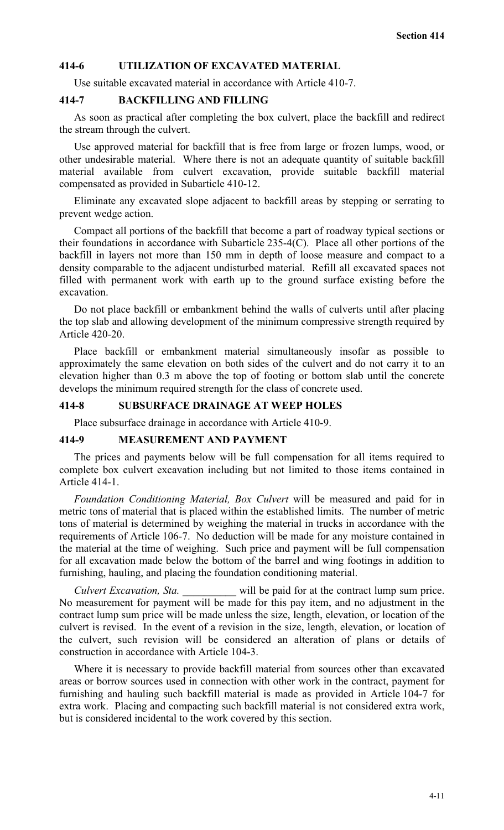### **414-6 UTILIZATION OF EXCAVATED MATERIAL**

Use suitable excavated material in accordance with Article 410-7.

#### **414-7 BACKFILLING AND FILLING**

As soon as practical after completing the box culvert, place the backfill and redirect the stream through the culvert.

Use approved material for backfill that is free from large or frozen lumps, wood, or other undesirable material. Where there is not an adequate quantity of suitable backfill material available from culvert excavation, provide suitable backfill material compensated as provided in Subarticle 410-12.

Eliminate any excavated slope adjacent to backfill areas by stepping or serrating to prevent wedge action.

Compact all portions of the backfill that become a part of roadway typical sections or their foundations in accordance with Subarticle 235-4(C). Place all other portions of the backfill in layers not more than 150 mm in depth of loose measure and compact to a density comparable to the adjacent undisturbed material. Refill all excavated spaces not filled with permanent work with earth up to the ground surface existing before the excavation.

Do not place backfill or embankment behind the walls of culverts until after placing the top slab and allowing development of the minimum compressive strength required by Article 420-20.

Place backfill or embankment material simultaneously insofar as possible to approximately the same elevation on both sides of the culvert and do not carry it to an elevation higher than 0.3 m above the top of footing or bottom slab until the concrete develops the minimum required strength for the class of concrete used.

#### **414-8 SUBSURFACE DRAINAGE AT WEEP HOLES**

Place subsurface drainage in accordance with Article 410-9.

#### **414-9 MEASUREMENT AND PAYMENT**

The prices and payments below will be full compensation for all items required to complete box culvert excavation including but not limited to those items contained in Article 414-1.

*Foundation Conditioning Material, Box Culvert* will be measured and paid for in metric tons of material that is placed within the established limits. The number of metric tons of material is determined by weighing the material in trucks in accordance with the requirements of Article 106-7. No deduction will be made for any moisture contained in the material at the time of weighing. Such price and payment will be full compensation for all excavation made below the bottom of the barrel and wing footings in addition to furnishing, hauling, and placing the foundation conditioning material.

*Culvert Excavation, Sta.* Will be paid for at the contract lump sum price. No measurement for payment will be made for this pay item, and no adjustment in the contract lump sum price will be made unless the size, length, elevation, or location of the culvert is revised. In the event of a revision in the size, length, elevation, or location of the culvert, such revision will be considered an alteration of plans or details of construction in accordance with Article 104-3.

Where it is necessary to provide backfill material from sources other than excavated areas or borrow sources used in connection with other work in the contract, payment for furnishing and hauling such backfill material is made as provided in Article 104-7 for extra work. Placing and compacting such backfill material is not considered extra work, but is considered incidental to the work covered by this section.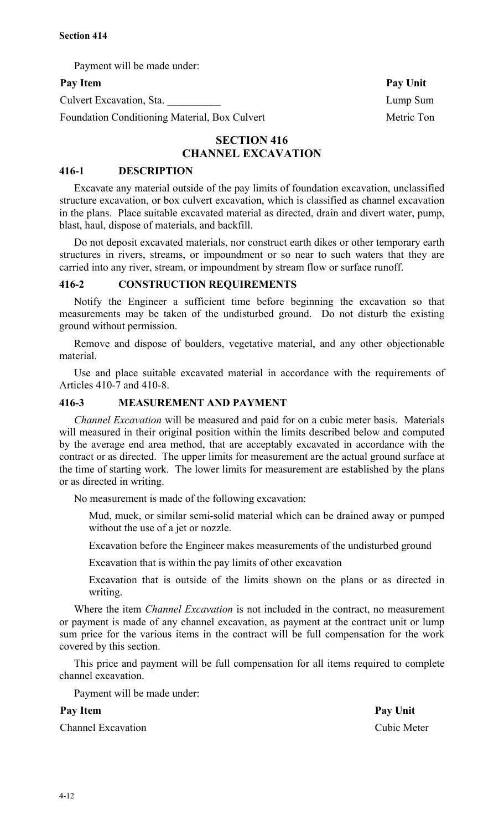Payment will be made under:

Culvert Excavation, Sta. **Lump Sum** 

Foundation Conditioning Material, Box Culvert Metric Ton

## **SECTION 416 CHANNEL EXCAVATION**

## **416-1 DESCRIPTION**

Excavate any material outside of the pay limits of foundation excavation, unclassified structure excavation, or box culvert excavation, which is classified as channel excavation in the plans. Place suitable excavated material as directed, drain and divert water, pump, blast, haul, dispose of materials, and backfill.

Do not deposit excavated materials, nor construct earth dikes or other temporary earth structures in rivers, streams, or impoundment or so near to such waters that they are carried into any river, stream, or impoundment by stream flow or surface runoff.

#### **416-2 CONSTRUCTION REQUIREMENTS**

Notify the Engineer a sufficient time before beginning the excavation so that measurements may be taken of the undisturbed ground. Do not disturb the existing ground without permission.

Remove and dispose of boulders, vegetative material, and any other objectionable material.

Use and place suitable excavated material in accordance with the requirements of Articles 410-7 and 410-8.

#### **416-3 MEASUREMENT AND PAYMENT**

*Channel Excavation* will be measured and paid for on a cubic meter basis. Materials will measured in their original position within the limits described below and computed by the average end area method, that are acceptably excavated in accordance with the contract or as directed. The upper limits for measurement are the actual ground surface at the time of starting work. The lower limits for measurement are established by the plans or as directed in writing.

No measurement is made of the following excavation:

Mud, muck, or similar semi-solid material which can be drained away or pumped without the use of a jet or nozzle.

Excavation before the Engineer makes measurements of the undisturbed ground

Excavation that is within the pay limits of other excavation

Excavation that is outside of the limits shown on the plans or as directed in writing.

Where the item *Channel Excavation* is not included in the contract, no measurement or payment is made of any channel excavation, as payment at the contract unit or lump sum price for the various items in the contract will be full compensation for the work covered by this section.

This price and payment will be full compensation for all items required to complete channel excavation.

Payment will be made under:

#### Pay Item Pay Unit

Channel Excavation Cubic Meter

Pay Item Pay Unit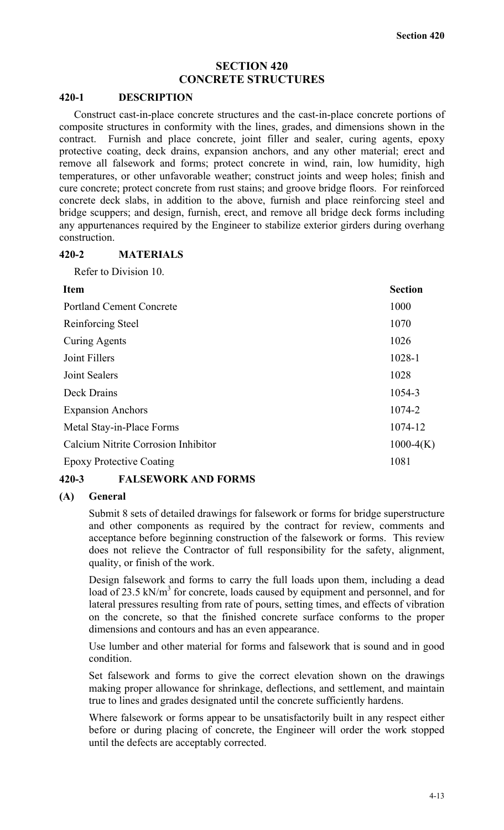## **SECTION 420 CONCRETE STRUCTURES**

#### **420-1 DESCRIPTION**

Construct cast-in-place concrete structures and the cast-in-place concrete portions of composite structures in conformity with the lines, grades, and dimensions shown in the contract. Furnish and place concrete, joint filler and sealer, curing agents, epoxy protective coating, deck drains, expansion anchors, and any other material; erect and remove all falsework and forms; protect concrete in wind, rain, low humidity, high temperatures, or other unfavorable weather; construct joints and weep holes; finish and cure concrete; protect concrete from rust stains; and groove bridge floors. For reinforced concrete deck slabs, in addition to the above, furnish and place reinforcing steel and bridge scuppers; and design, furnish, erect, and remove all bridge deck forms including any appurtenances required by the Engineer to stabilize exterior girders during overhang construction.

#### **420-2 MATERIALS**

Refer to Division 10.

| <b>Item</b>                         | <b>Section</b> |
|-------------------------------------|----------------|
| <b>Portland Cement Concrete</b>     | 1000           |
| Reinforcing Steel                   | 1070           |
| <b>Curing Agents</b>                | 1026           |
| Joint Fillers                       | 1028-1         |
| Joint Sealers                       | 1028           |
| Deck Drains                         | 1054-3         |
| <b>Expansion Anchors</b>            | 1074-2         |
| Metal Stay-in-Place Forms           | 1074-12        |
| Calcium Nitrite Corrosion Inhibitor | $1000-4(K)$    |
| <b>Epoxy Protective Coating</b>     | 1081           |
|                                     |                |

## **420-3 FALSEWORK AND FORMS**

#### **(A) General**

Submit 8 sets of detailed drawings for falsework or forms for bridge superstructure and other components as required by the contract for review, comments and acceptance before beginning construction of the falsework or forms. This review does not relieve the Contractor of full responsibility for the safety, alignment, quality, or finish of the work.

Design falsework and forms to carry the full loads upon them, including a dead load of 23.5 kN/m<sup>3</sup> for concrete, loads caused by equipment and personnel, and for lateral pressures resulting from rate of pours, setting times, and effects of vibration on the concrete, so that the finished concrete surface conforms to the proper dimensions and contours and has an even appearance.

Use lumber and other material for forms and falsework that is sound and in good condition.

Set falsework and forms to give the correct elevation shown on the drawings making proper allowance for shrinkage, deflections, and settlement, and maintain true to lines and grades designated until the concrete sufficiently hardens.

Where falsework or forms appear to be unsatisfactorily built in any respect either before or during placing of concrete, the Engineer will order the work stopped until the defects are acceptably corrected.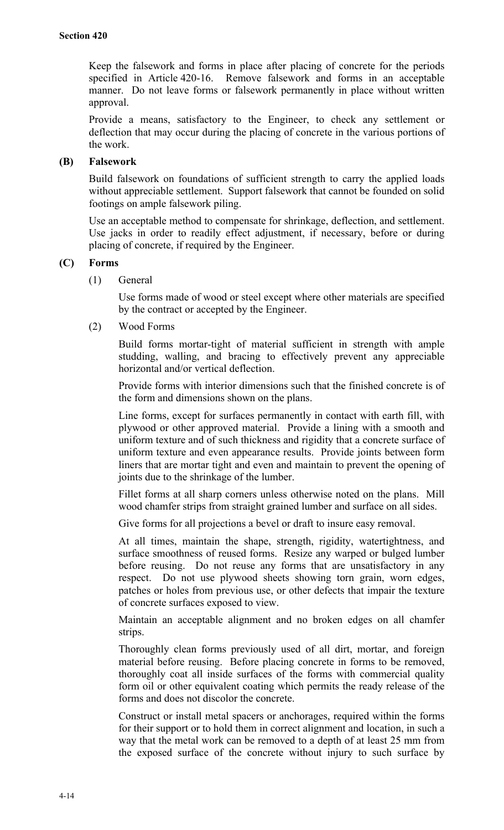Keep the falsework and forms in place after placing of concrete for the periods specified in Article 420-16. Remove falsework and forms in an acceptable manner. Do not leave forms or falsework permanently in place without written approval.

Provide a means, satisfactory to the Engineer, to check any settlement or deflection that may occur during the placing of concrete in the various portions of the work.

## **(B) Falsework**

Build falsework on foundations of sufficient strength to carry the applied loads without appreciable settlement. Support falsework that cannot be founded on solid footings on ample falsework piling.

Use an acceptable method to compensate for shrinkage, deflection, and settlement. Use jacks in order to readily effect adjustment, if necessary, before or during placing of concrete, if required by the Engineer.

## **(C) Forms**

(1) General

Use forms made of wood or steel except where other materials are specified by the contract or accepted by the Engineer.

(2) Wood Forms

Build forms mortar-tight of material sufficient in strength with ample studding, walling, and bracing to effectively prevent any appreciable horizontal and/or vertical deflection.

Provide forms with interior dimensions such that the finished concrete is of the form and dimensions shown on the plans.

Line forms, except for surfaces permanently in contact with earth fill, with plywood or other approved material. Provide a lining with a smooth and uniform texture and of such thickness and rigidity that a concrete surface of uniform texture and even appearance results. Provide joints between form liners that are mortar tight and even and maintain to prevent the opening of joints due to the shrinkage of the lumber.

Fillet forms at all sharp corners unless otherwise noted on the plans. Mill wood chamfer strips from straight grained lumber and surface on all sides.

Give forms for all projections a bevel or draft to insure easy removal.

At all times, maintain the shape, strength, rigidity, watertightness, and surface smoothness of reused forms. Resize any warped or bulged lumber before reusing. Do not reuse any forms that are unsatisfactory in any respect. Do not use plywood sheets showing torn grain, worn edges, patches or holes from previous use, or other defects that impair the texture of concrete surfaces exposed to view.

Maintain an acceptable alignment and no broken edges on all chamfer strips.

Thoroughly clean forms previously used of all dirt, mortar, and foreign material before reusing. Before placing concrete in forms to be removed, thoroughly coat all inside surfaces of the forms with commercial quality form oil or other equivalent coating which permits the ready release of the forms and does not discolor the concrete.

Construct or install metal spacers or anchorages, required within the forms for their support or to hold them in correct alignment and location, in such a way that the metal work can be removed to a depth of at least 25 mm from the exposed surface of the concrete without injury to such surface by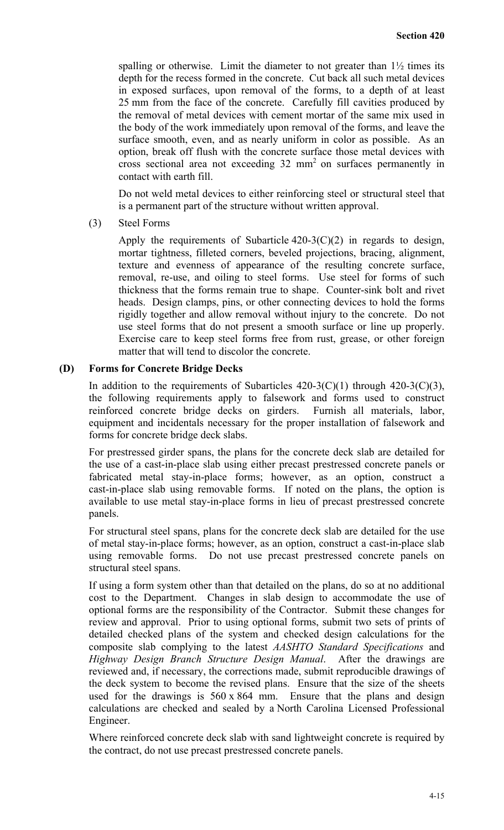spalling or otherwise. Limit the diameter to not greater than  $1\frac{1}{2}$  times its depth for the recess formed in the concrete. Cut back all such metal devices in exposed surfaces, upon removal of the forms, to a depth of at least 25 mm from the face of the concrete. Carefully fill cavities produced by the removal of metal devices with cement mortar of the same mix used in the body of the work immediately upon removal of the forms, and leave the surface smooth, even, and as nearly uniform in color as possible. As an option, break off flush with the concrete surface those metal devices with cross sectional area not exceeding 32 mm<sup>2</sup> on surfaces permanently in contact with earth fill.

Do not weld metal devices to either reinforcing steel or structural steel that is a permanent part of the structure without written approval.

(3) Steel Forms

Apply the requirements of Subarticle  $420-3(C)(2)$  in regards to design, mortar tightness, filleted corners, beveled projections, bracing, alignment, texture and evenness of appearance of the resulting concrete surface, removal, re-use, and oiling to steel forms. Use steel for forms of such thickness that the forms remain true to shape. Counter-sink bolt and rivet heads. Design clamps, pins, or other connecting devices to hold the forms rigidly together and allow removal without injury to the concrete. Do not use steel forms that do not present a smooth surface or line up properly. Exercise care to keep steel forms free from rust, grease, or other foreign matter that will tend to discolor the concrete.

#### **(D) Forms for Concrete Bridge Decks**

In addition to the requirements of Subarticles  $420-3(C)(1)$  through  $420-3(C)(3)$ , the following requirements apply to falsework and forms used to construct reinforced concrete bridge decks on girders. Furnish all materials, labor, equipment and incidentals necessary for the proper installation of falsework and forms for concrete bridge deck slabs.

For prestressed girder spans, the plans for the concrete deck slab are detailed for the use of a cast-in-place slab using either precast prestressed concrete panels or fabricated metal stay-in-place forms; however, as an option, construct a cast-in-place slab using removable forms. If noted on the plans, the option is available to use metal stay-in-place forms in lieu of precast prestressed concrete panels.

For structural steel spans, plans for the concrete deck slab are detailed for the use of metal stay-in-place forms; however, as an option, construct a cast-in-place slab using removable forms. Do not use precast prestressed concrete panels on structural steel spans.

If using a form system other than that detailed on the plans, do so at no additional cost to the Department. Changes in slab design to accommodate the use of optional forms are the responsibility of the Contractor. Submit these changes for review and approval. Prior to using optional forms, submit two sets of prints of detailed checked plans of the system and checked design calculations for the composite slab complying to the latest *AASHTO Standard Specifications* and *Highway Design Branch Structure Design Manual*. After the drawings are reviewed and, if necessary, the corrections made, submit reproducible drawings of the deck system to become the revised plans. Ensure that the size of the sheets used for the drawings is 560 x 864 mm. Ensure that the plans and design calculations are checked and sealed by a North Carolina Licensed Professional Engineer.

Where reinforced concrete deck slab with sand lightweight concrete is required by the contract, do not use precast prestressed concrete panels.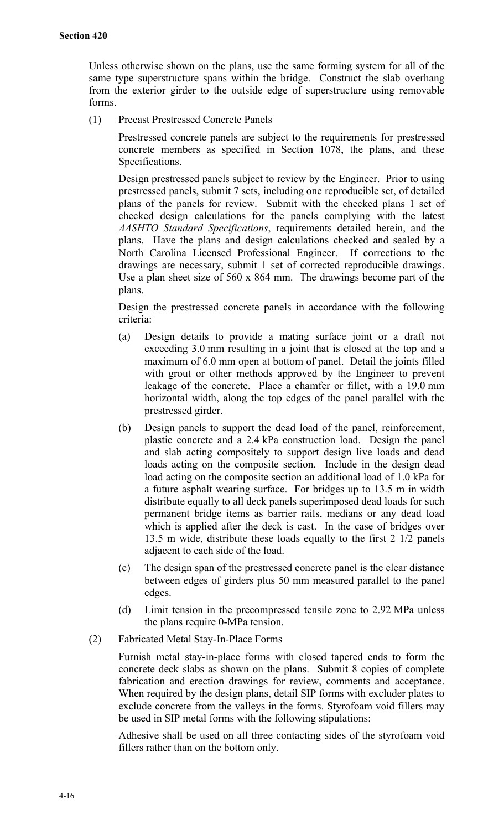Unless otherwise shown on the plans, use the same forming system for all of the same type superstructure spans within the bridge. Construct the slab overhang from the exterior girder to the outside edge of superstructure using removable forms.

(1) Precast Prestressed Concrete Panels

Prestressed concrete panels are subject to the requirements for prestressed concrete members as specified in Section 1078, the plans, and these Specifications.

Design prestressed panels subject to review by the Engineer. Prior to using prestressed panels, submit 7 sets, including one reproducible set, of detailed plans of the panels for review. Submit with the checked plans 1 set of checked design calculations for the panels complying with the latest *AASHTO Standard Specifications*, requirements detailed herein, and the plans. Have the plans and design calculations checked and sealed by a North Carolina Licensed Professional Engineer. If corrections to the drawings are necessary, submit 1 set of corrected reproducible drawings. Use a plan sheet size of 560 x 864 mm. The drawings become part of the plans.

Design the prestressed concrete panels in accordance with the following criteria:

- (a) Design details to provide a mating surface joint or a draft not exceeding 3.0 mm resulting in a joint that is closed at the top and a maximum of 6.0 mm open at bottom of panel. Detail the joints filled with grout or other methods approved by the Engineer to prevent leakage of the concrete. Place a chamfer or fillet, with a 19.0 mm horizontal width, along the top edges of the panel parallel with the prestressed girder.
- (b) Design panels to support the dead load of the panel, reinforcement, plastic concrete and a 2.4 kPa construction load. Design the panel and slab acting compositely to support design live loads and dead loads acting on the composite section. Include in the design dead load acting on the composite section an additional load of 1.0 kPa for a future asphalt wearing surface. For bridges up to 13.5 m in width distribute equally to all deck panels superimposed dead loads for such permanent bridge items as barrier rails, medians or any dead load which is applied after the deck is cast. In the case of bridges over 13.5 m wide, distribute these loads equally to the first 2 1/2 panels adjacent to each side of the load.
- (c) The design span of the prestressed concrete panel is the clear distance between edges of girders plus 50 mm measured parallel to the panel edges.
- (d) Limit tension in the precompressed tensile zone to 2.92 MPa unless the plans require 0-MPa tension.
- (2) Fabricated Metal Stay-In-Place Forms

Furnish metal stay-in-place forms with closed tapered ends to form the concrete deck slabs as shown on the plans. Submit 8 copies of complete fabrication and erection drawings for review, comments and acceptance. When required by the design plans, detail SIP forms with excluder plates to exclude concrete from the valleys in the forms. Styrofoam void fillers may be used in SIP metal forms with the following stipulations:

Adhesive shall be used on all three contacting sides of the styrofoam void fillers rather than on the bottom only.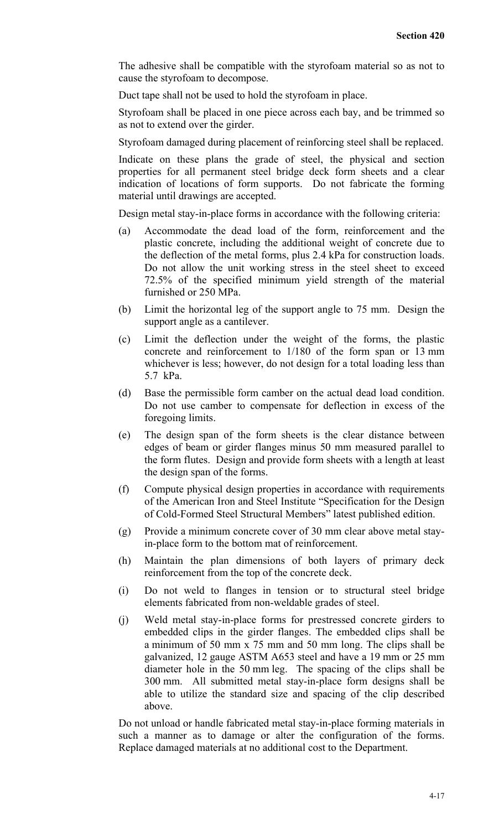The adhesive shall be compatible with the styrofoam material so as not to cause the styrofoam to decompose.

Duct tape shall not be used to hold the styrofoam in place.

Styrofoam shall be placed in one piece across each bay, and be trimmed so as not to extend over the girder.

Styrofoam damaged during placement of reinforcing steel shall be replaced.

Indicate on these plans the grade of steel, the physical and section properties for all permanent steel bridge deck form sheets and a clear indication of locations of form supports. Do not fabricate the forming material until drawings are accepted.

Design metal stay-in-place forms in accordance with the following criteria:

- (a) Accommodate the dead load of the form, reinforcement and the plastic concrete, including the additional weight of concrete due to the deflection of the metal forms, plus 2.4 kPa for construction loads. Do not allow the unit working stress in the steel sheet to exceed 72.5% of the specified minimum yield strength of the material furnished or 250 MPa.
- (b) Limit the horizontal leg of the support angle to 75 mm. Design the support angle as a cantilever.
- (c) Limit the deflection under the weight of the forms, the plastic concrete and reinforcement to 1/180 of the form span or 13 mm whichever is less; however, do not design for a total loading less than 5.7 kPa.
- (d) Base the permissible form camber on the actual dead load condition. Do not use camber to compensate for deflection in excess of the foregoing limits.
- (e) The design span of the form sheets is the clear distance between edges of beam or girder flanges minus 50 mm measured parallel to the form flutes. Design and provide form sheets with a length at least the design span of the forms.
- (f) Compute physical design properties in accordance with requirements of the American Iron and Steel Institute "Specification for the Design of Cold-Formed Steel Structural Members" latest published edition.
- (g) Provide a minimum concrete cover of 30 mm clear above metal stayin-place form to the bottom mat of reinforcement.
- (h) Maintain the plan dimensions of both layers of primary deck reinforcement from the top of the concrete deck.
- (i) Do not weld to flanges in tension or to structural steel bridge elements fabricated from non-weldable grades of steel.
- (j) Weld metal stay-in-place forms for prestressed concrete girders to embedded clips in the girder flanges. The embedded clips shall be a minimum of 50 mm x 75 mm and 50 mm long. The clips shall be galvanized, 12 gauge ASTM A653 steel and have a 19 mm or 25 mm diameter hole in the 50 mm leg. The spacing of the clips shall be 300 mm. All submitted metal stay-in-place form designs shall be able to utilize the standard size and spacing of the clip described above.

Do not unload or handle fabricated metal stay-in-place forming materials in such a manner as to damage or alter the configuration of the forms. Replace damaged materials at no additional cost to the Department.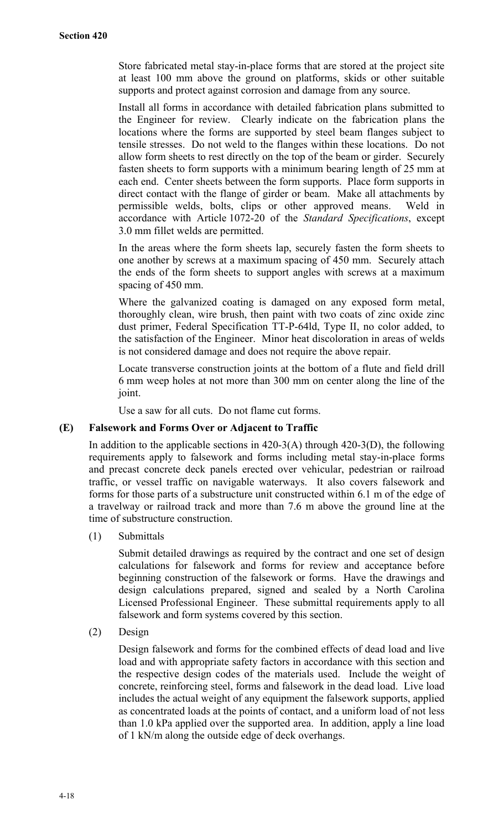Store fabricated metal stay-in-place forms that are stored at the project site at least 100 mm above the ground on platforms, skids or other suitable supports and protect against corrosion and damage from any source.

Install all forms in accordance with detailed fabrication plans submitted to the Engineer for review. Clearly indicate on the fabrication plans the locations where the forms are supported by steel beam flanges subject to tensile stresses. Do not weld to the flanges within these locations. Do not allow form sheets to rest directly on the top of the beam or girder. Securely fasten sheets to form supports with a minimum bearing length of 25 mm at each end. Center sheets between the form supports. Place form supports in direct contact with the flange of girder or beam. Make all attachments by permissible welds, bolts, clips or other approved means. Weld in accordance with Article 1072-20 of the *Standard Specifications*, except 3.0 mm fillet welds are permitted.

In the areas where the form sheets lap, securely fasten the form sheets to one another by screws at a maximum spacing of 450 mm. Securely attach the ends of the form sheets to support angles with screws at a maximum spacing of 450 mm.

Where the galvanized coating is damaged on any exposed form metal, thoroughly clean, wire brush, then paint with two coats of zinc oxide zinc dust primer, Federal Specification TT-P-64ld, Type II, no color added, to the satisfaction of the Engineer. Minor heat discoloration in areas of welds is not considered damage and does not require the above repair.

Locate transverse construction joints at the bottom of a flute and field drill 6 mm weep holes at not more than 300 mm on center along the line of the joint.

Use a saw for all cuts. Do not flame cut forms.

## **(E) Falsework and Forms Over or Adjacent to Traffic**

In addition to the applicable sections in  $420-3(A)$  through  $420-3(D)$ , the following requirements apply to falsework and forms including metal stay-in-place forms and precast concrete deck panels erected over vehicular, pedestrian or railroad traffic, or vessel traffic on navigable waterways. It also covers falsework and forms for those parts of a substructure unit constructed within 6.1 m of the edge of a travelway or railroad track and more than 7.6 m above the ground line at the time of substructure construction.

(1) Submittals

Submit detailed drawings as required by the contract and one set of design calculations for falsework and forms for review and acceptance before beginning construction of the falsework or forms. Have the drawings and design calculations prepared, signed and sealed by a North Carolina Licensed Professional Engineer. These submittal requirements apply to all falsework and form systems covered by this section.

(2) Design

Design falsework and forms for the combined effects of dead load and live load and with appropriate safety factors in accordance with this section and the respective design codes of the materials used. Include the weight of concrete, reinforcing steel, forms and falsework in the dead load. Live load includes the actual weight of any equipment the falsework supports, applied as concentrated loads at the points of contact, and a uniform load of not less than 1.0 kPa applied over the supported area. In addition, apply a line load of 1 kN/m along the outside edge of deck overhangs.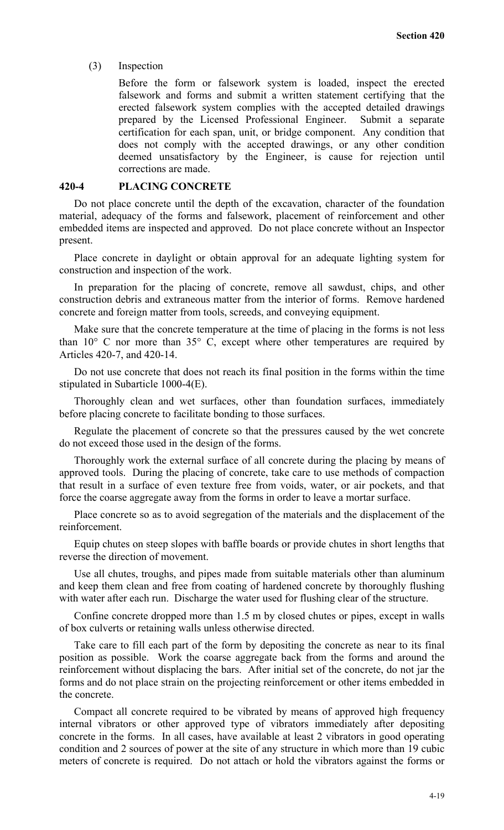#### (3) Inspection

Before the form or falsework system is loaded, inspect the erected falsework and forms and submit a written statement certifying that the erected falsework system complies with the accepted detailed drawings prepared by the Licensed Professional Engineer. Submit a separate certification for each span, unit, or bridge component. Any condition that does not comply with the accepted drawings, or any other condition deemed unsatisfactory by the Engineer, is cause for rejection until corrections are made.

#### **420-4 PLACING CONCRETE**

Do not place concrete until the depth of the excavation, character of the foundation material, adequacy of the forms and falsework, placement of reinforcement and other embedded items are inspected and approved. Do not place concrete without an Inspector present.

Place concrete in daylight or obtain approval for an adequate lighting system for construction and inspection of the work.

In preparation for the placing of concrete, remove all sawdust, chips, and other construction debris and extraneous matter from the interior of forms. Remove hardened concrete and foreign matter from tools, screeds, and conveying equipment.

Make sure that the concrete temperature at the time of placing in the forms is not less than  $10^{\circ}$  C nor more than  $35^{\circ}$  C, except where other temperatures are required by Articles 420-7, and 420-14.

Do not use concrete that does not reach its final position in the forms within the time stipulated in Subarticle 1000-4(E).

Thoroughly clean and wet surfaces, other than foundation surfaces, immediately before placing concrete to facilitate bonding to those surfaces.

Regulate the placement of concrete so that the pressures caused by the wet concrete do not exceed those used in the design of the forms.

Thoroughly work the external surface of all concrete during the placing by means of approved tools. During the placing of concrete, take care to use methods of compaction that result in a surface of even texture free from voids, water, or air pockets, and that force the coarse aggregate away from the forms in order to leave a mortar surface.

Place concrete so as to avoid segregation of the materials and the displacement of the reinforcement.

Equip chutes on steep slopes with baffle boards or provide chutes in short lengths that reverse the direction of movement.

Use all chutes, troughs, and pipes made from suitable materials other than aluminum and keep them clean and free from coating of hardened concrete by thoroughly flushing with water after each run. Discharge the water used for flushing clear of the structure.

Confine concrete dropped more than 1.5 m by closed chutes or pipes, except in walls of box culverts or retaining walls unless otherwise directed.

Take care to fill each part of the form by depositing the concrete as near to its final position as possible. Work the coarse aggregate back from the forms and around the reinforcement without displacing the bars. After initial set of the concrete, do not jar the forms and do not place strain on the projecting reinforcement or other items embedded in the concrete.

Compact all concrete required to be vibrated by means of approved high frequency internal vibrators or other approved type of vibrators immediately after depositing concrete in the forms. In all cases, have available at least 2 vibrators in good operating condition and 2 sources of power at the site of any structure in which more than 19 cubic meters of concrete is required. Do not attach or hold the vibrators against the forms or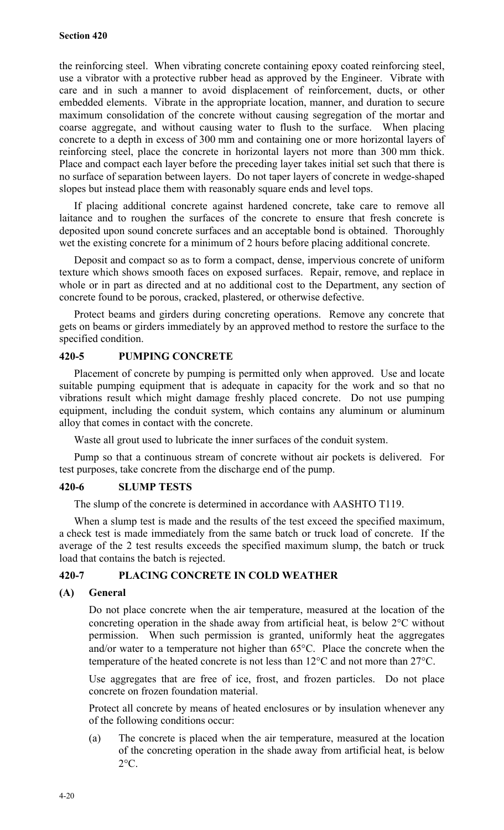the reinforcing steel. When vibrating concrete containing epoxy coated reinforcing steel, use a vibrator with a protective rubber head as approved by the Engineer. Vibrate with care and in such a manner to avoid displacement of reinforcement, ducts, or other embedded elements. Vibrate in the appropriate location, manner, and duration to secure maximum consolidation of the concrete without causing segregation of the mortar and coarse aggregate, and without causing water to flush to the surface. When placing concrete to a depth in excess of 300 mm and containing one or more horizontal layers of reinforcing steel, place the concrete in horizontal layers not more than 300 mm thick. Place and compact each layer before the preceding layer takes initial set such that there is no surface of separation between layers. Do not taper layers of concrete in wedge-shaped slopes but instead place them with reasonably square ends and level tops.

If placing additional concrete against hardened concrete, take care to remove all laitance and to roughen the surfaces of the concrete to ensure that fresh concrete is deposited upon sound concrete surfaces and an acceptable bond is obtained. Thoroughly wet the existing concrete for a minimum of 2 hours before placing additional concrete.

Deposit and compact so as to form a compact, dense, impervious concrete of uniform texture which shows smooth faces on exposed surfaces. Repair, remove, and replace in whole or in part as directed and at no additional cost to the Department, any section of concrete found to be porous, cracked, plastered, or otherwise defective.

Protect beams and girders during concreting operations. Remove any concrete that gets on beams or girders immediately by an approved method to restore the surface to the specified condition.

## **420-5 PUMPING CONCRETE**

Placement of concrete by pumping is permitted only when approved. Use and locate suitable pumping equipment that is adequate in capacity for the work and so that no vibrations result which might damage freshly placed concrete. Do not use pumping equipment, including the conduit system, which contains any aluminum or aluminum alloy that comes in contact with the concrete.

Waste all grout used to lubricate the inner surfaces of the conduit system.

Pump so that a continuous stream of concrete without air pockets is delivered. For test purposes, take concrete from the discharge end of the pump.

## **420-6 SLUMP TESTS**

The slump of the concrete is determined in accordance with AASHTO T119.

When a slump test is made and the results of the test exceed the specified maximum, a check test is made immediately from the same batch or truck load of concrete. If the average of the 2 test results exceeds the specified maximum slump, the batch or truck load that contains the batch is rejected.

## **420-7 PLACING CONCRETE IN COLD WEATHER**

## **(A) General**

Do not place concrete when the air temperature, measured at the location of the concreting operation in the shade away from artificial heat, is below 2°C without permission. When such permission is granted, uniformly heat the aggregates and/or water to a temperature not higher than 65°C. Place the concrete when the temperature of the heated concrete is not less than 12°C and not more than 27°C.

Use aggregates that are free of ice, frost, and frozen particles. Do not place concrete on frozen foundation material.

Protect all concrete by means of heated enclosures or by insulation whenever any of the following conditions occur:

(a) The concrete is placed when the air temperature, measured at the location of the concreting operation in the shade away from artificial heat, is below  $2^{\circ}C$ .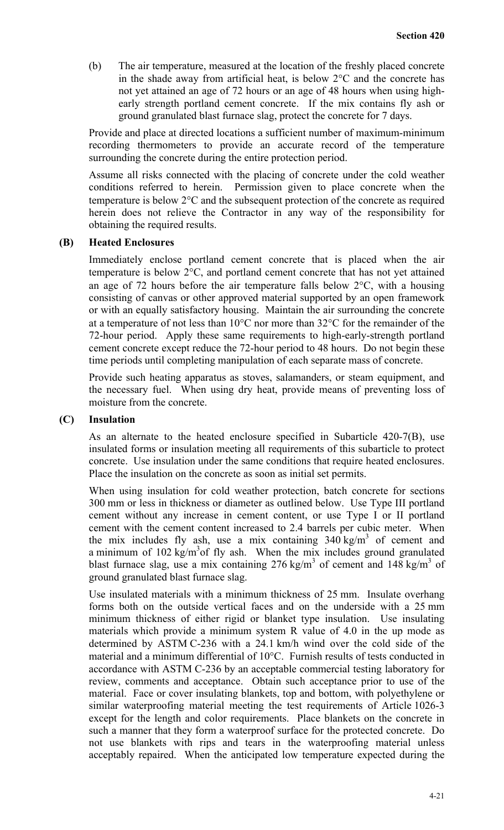(b) The air temperature, measured at the location of the freshly placed concrete in the shade away from artificial heat, is below 2°C and the concrete has not yet attained an age of 72 hours or an age of 48 hours when using highearly strength portland cement concrete. If the mix contains fly ash or ground granulated blast furnace slag, protect the concrete for 7 days.

Provide and place at directed locations a sufficient number of maximum-minimum recording thermometers to provide an accurate record of the temperature surrounding the concrete during the entire protection period.

Assume all risks connected with the placing of concrete under the cold weather conditions referred to herein. Permission given to place concrete when the temperature is below 2°C and the subsequent protection of the concrete as required herein does not relieve the Contractor in any way of the responsibility for obtaining the required results.

#### **(B) Heated Enclosures**

Immediately enclose portland cement concrete that is placed when the air temperature is below 2°C, and portland cement concrete that has not yet attained an age of 72 hours before the air temperature falls below  $2^{\circ}$ C, with a housing consisting of canvas or other approved material supported by an open framework or with an equally satisfactory housing. Maintain the air surrounding the concrete at a temperature of not less than 10°C nor more than 32°C for the remainder of the 72-hour period. Apply these same requirements to high-early-strength portland cement concrete except reduce the 72-hour period to 48 hours. Do not begin these time periods until completing manipulation of each separate mass of concrete.

Provide such heating apparatus as stoves, salamanders, or steam equipment, and the necessary fuel. When using dry heat, provide means of preventing loss of moisture from the concrete.

#### **(C) Insulation**

As an alternate to the heated enclosure specified in Subarticle 420-7(B), use insulated forms or insulation meeting all requirements of this subarticle to protect concrete. Use insulation under the same conditions that require heated enclosures. Place the insulation on the concrete as soon as initial set permits.

When using insulation for cold weather protection, batch concrete for sections 300 mm or less in thickness or diameter as outlined below. Use Type III portland cement without any increase in cement content, or use Type I or II portland cement with the cement content increased to 2.4 barrels per cubic meter. When the mix includes fly ash, use a mix containing  $340 \text{ kg/m}^3$  of cement and a minimum of  $102 \text{ kg/m}^3$  of fly ash. When the mix includes ground granulated blast furnace slag, use a mix containing 276 kg/m<sup>3</sup> of cement and 148 kg/m<sup>3</sup> of ground granulated blast furnace slag.

Use insulated materials with a minimum thickness of 25 mm. Insulate overhang forms both on the outside vertical faces and on the underside with a 25 mm minimum thickness of either rigid or blanket type insulation. Use insulating materials which provide a minimum system R value of 4.0 in the up mode as determined by ASTM C-236 with a 24.1 km/h wind over the cold side of the material and a minimum differential of 10°C. Furnish results of tests conducted in accordance with ASTM C-236 by an acceptable commercial testing laboratory for review, comments and acceptance. Obtain such acceptance prior to use of the material. Face or cover insulating blankets, top and bottom, with polyethylene or similar waterproofing material meeting the test requirements of Article 1026-3 except for the length and color requirements. Place blankets on the concrete in such a manner that they form a waterproof surface for the protected concrete. Do not use blankets with rips and tears in the waterproofing material unless acceptably repaired. When the anticipated low temperature expected during the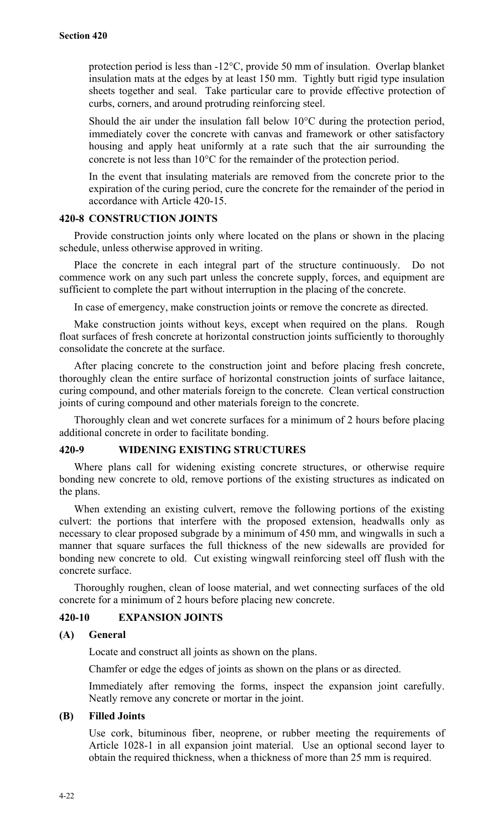protection period is less than -12°C, provide 50 mm of insulation. Overlap blanket insulation mats at the edges by at least 150 mm. Tightly butt rigid type insulation sheets together and seal. Take particular care to provide effective protection of curbs, corners, and around protruding reinforcing steel.

Should the air under the insulation fall below 10°C during the protection period, immediately cover the concrete with canvas and framework or other satisfactory housing and apply heat uniformly at a rate such that the air surrounding the concrete is not less than 10°C for the remainder of the protection period.

In the event that insulating materials are removed from the concrete prior to the expiration of the curing period, cure the concrete for the remainder of the period in accordance with Article 420-15.

## **420-8 CONSTRUCTION JOINTS**

Provide construction joints only where located on the plans or shown in the placing schedule, unless otherwise approved in writing.

Place the concrete in each integral part of the structure continuously. Do not commence work on any such part unless the concrete supply, forces, and equipment are sufficient to complete the part without interruption in the placing of the concrete.

In case of emergency, make construction joints or remove the concrete as directed.

Make construction joints without keys, except when required on the plans. Rough float surfaces of fresh concrete at horizontal construction joints sufficiently to thoroughly consolidate the concrete at the surface.

After placing concrete to the construction joint and before placing fresh concrete, thoroughly clean the entire surface of horizontal construction joints of surface laitance, curing compound, and other materials foreign to the concrete. Clean vertical construction joints of curing compound and other materials foreign to the concrete.

Thoroughly clean and wet concrete surfaces for a minimum of 2 hours before placing additional concrete in order to facilitate bonding.

## **420-9 WIDENING EXISTING STRUCTURES**

Where plans call for widening existing concrete structures, or otherwise require bonding new concrete to old, remove portions of the existing structures as indicated on the plans.

When extending an existing culvert, remove the following portions of the existing culvert: the portions that interfere with the proposed extension, headwalls only as necessary to clear proposed subgrade by a minimum of 450 mm, and wingwalls in such a manner that square surfaces the full thickness of the new sidewalls are provided for bonding new concrete to old. Cut existing wingwall reinforcing steel off flush with the concrete surface.

Thoroughly roughen, clean of loose material, and wet connecting surfaces of the old concrete for a minimum of 2 hours before placing new concrete.

## **420-10 EXPANSION JOINTS**

#### **(A) General**

Locate and construct all joints as shown on the plans.

Chamfer or edge the edges of joints as shown on the plans or as directed.

Immediately after removing the forms, inspect the expansion joint carefully. Neatly remove any concrete or mortar in the joint.

#### **(B) Filled Joints**

Use cork, bituminous fiber, neoprene, or rubber meeting the requirements of Article 1028-1 in all expansion joint material. Use an optional second layer to obtain the required thickness, when a thickness of more than 25 mm is required.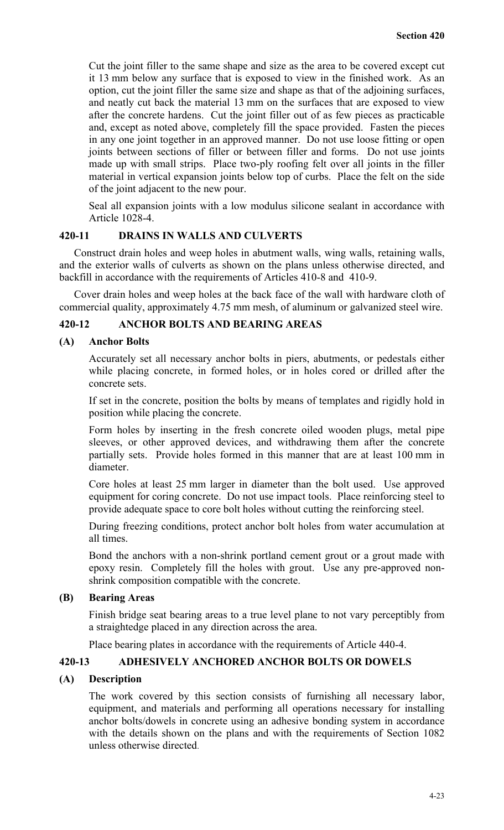Cut the joint filler to the same shape and size as the area to be covered except cut it 13 mm below any surface that is exposed to view in the finished work. As an option, cut the joint filler the same size and shape as that of the adjoining surfaces, and neatly cut back the material 13 mm on the surfaces that are exposed to view after the concrete hardens. Cut the joint filler out of as few pieces as practicable and, except as noted above, completely fill the space provided. Fasten the pieces in any one joint together in an approved manner. Do not use loose fitting or open joints between sections of filler or between filler and forms. Do not use joints made up with small strips. Place two-ply roofing felt over all joints in the filler material in vertical expansion joints below top of curbs. Place the felt on the side of the joint adjacent to the new pour.

Seal all expansion joints with a low modulus silicone sealant in accordance with Article 1028-4.

## **420-11 DRAINS IN WALLS AND CULVERTS**

Construct drain holes and weep holes in abutment walls, wing walls, retaining walls, and the exterior walls of culverts as shown on the plans unless otherwise directed, and backfill in accordance with the requirements of Articles 410-8 and 410-9.

Cover drain holes and weep holes at the back face of the wall with hardware cloth of commercial quality, approximately 4.75 mm mesh, of aluminum or galvanized steel wire.

### **420-12 ANCHOR BOLTS AND BEARING AREAS**

#### **(A) Anchor Bolts**

Accurately set all necessary anchor bolts in piers, abutments, or pedestals either while placing concrete, in formed holes, or in holes cored or drilled after the concrete sets.

If set in the concrete, position the bolts by means of templates and rigidly hold in position while placing the concrete.

Form holes by inserting in the fresh concrete oiled wooden plugs, metal pipe sleeves, or other approved devices, and withdrawing them after the concrete partially sets. Provide holes formed in this manner that are at least 100 mm in diameter.

Core holes at least 25 mm larger in diameter than the bolt used. Use approved equipment for coring concrete. Do not use impact tools. Place reinforcing steel to provide adequate space to core bolt holes without cutting the reinforcing steel.

During freezing conditions, protect anchor bolt holes from water accumulation at all times.

Bond the anchors with a non-shrink portland cement grout or a grout made with epoxy resin. Completely fill the holes with grout. Use any pre-approved nonshrink composition compatible with the concrete.

## **(B) Bearing Areas**

Finish bridge seat bearing areas to a true level plane to not vary perceptibly from a straightedge placed in any direction across the area.

Place bearing plates in accordance with the requirements of Article 440-4.

## **420-13 ADHESIVELY ANCHORED ANCHOR BOLTS OR DOWELS**

#### **(A) Description**

The work covered by this section consists of furnishing all necessary labor, equipment, and materials and performing all operations necessary for installing anchor bolts/dowels in concrete using an adhesive bonding system in accordance with the details shown on the plans and with the requirements of Section 1082 unless otherwise directed.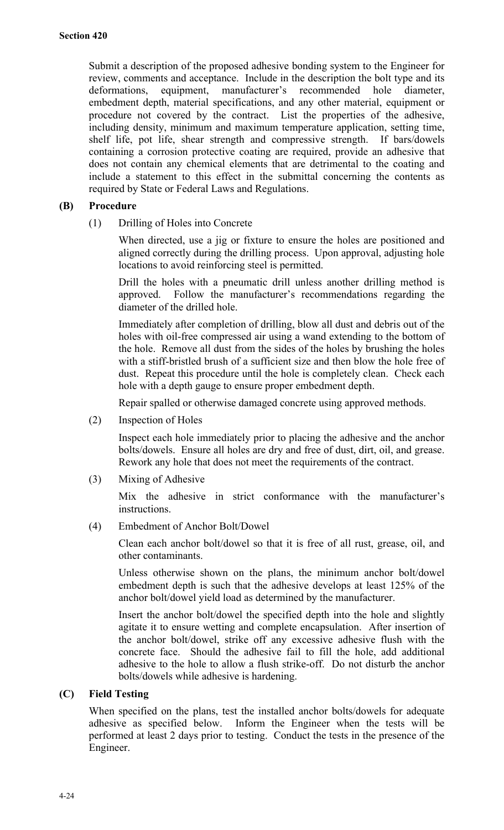Submit a description of the proposed adhesive bonding system to the Engineer for review, comments and acceptance. Include in the description the bolt type and its deformations, equipment, manufacturer's recommended hole diameter, embedment depth, material specifications, and any other material, equipment or procedure not covered by the contract. List the properties of the adhesive, including density, minimum and maximum temperature application, setting time, shelf life, pot life, shear strength and compressive strength. If bars/dowels containing a corrosion protective coating are required, provide an adhesive that does not contain any chemical elements that are detrimental to the coating and include a statement to this effect in the submittal concerning the contents as required by State or Federal Laws and Regulations.

## **(B) Procedure**

(1) Drilling of Holes into Concrete

When directed, use a jig or fixture to ensure the holes are positioned and aligned correctly during the drilling process. Upon approval, adjusting hole locations to avoid reinforcing steel is permitted.

Drill the holes with a pneumatic drill unless another drilling method is approved. Follow the manufacturer's recommendations regarding the diameter of the drilled hole.

Immediately after completion of drilling, blow all dust and debris out of the holes with oil-free compressed air using a wand extending to the bottom of the hole. Remove all dust from the sides of the holes by brushing the holes with a stiff-bristled brush of a sufficient size and then blow the hole free of dust. Repeat this procedure until the hole is completely clean. Check each hole with a depth gauge to ensure proper embedment depth.

Repair spalled or otherwise damaged concrete using approved methods.

(2) Inspection of Holes

Inspect each hole immediately prior to placing the adhesive and the anchor bolts/dowels. Ensure all holes are dry and free of dust, dirt, oil, and grease. Rework any hole that does not meet the requirements of the contract.

(3) Mixing of Adhesive

Mix the adhesive in strict conformance with the manufacturer's instructions.

(4) Embedment of Anchor Bolt/Dowel

Clean each anchor bolt/dowel so that it is free of all rust, grease, oil, and other contaminants.

Unless otherwise shown on the plans, the minimum anchor bolt/dowel embedment depth is such that the adhesive develops at least 125% of the anchor bolt/dowel yield load as determined by the manufacturer.

Insert the anchor bolt/dowel the specified depth into the hole and slightly agitate it to ensure wetting and complete encapsulation. After insertion of the anchor bolt/dowel, strike off any excessive adhesive flush with the concrete face. Should the adhesive fail to fill the hole, add additional adhesive to the hole to allow a flush strike-off. Do not disturb the anchor bolts/dowels while adhesive is hardening.

## **(C) Field Testing**

When specified on the plans, test the installed anchor bolts/dowels for adequate adhesive as specified below. Inform the Engineer when the tests will be performed at least 2 days prior to testing. Conduct the tests in the presence of the Engineer.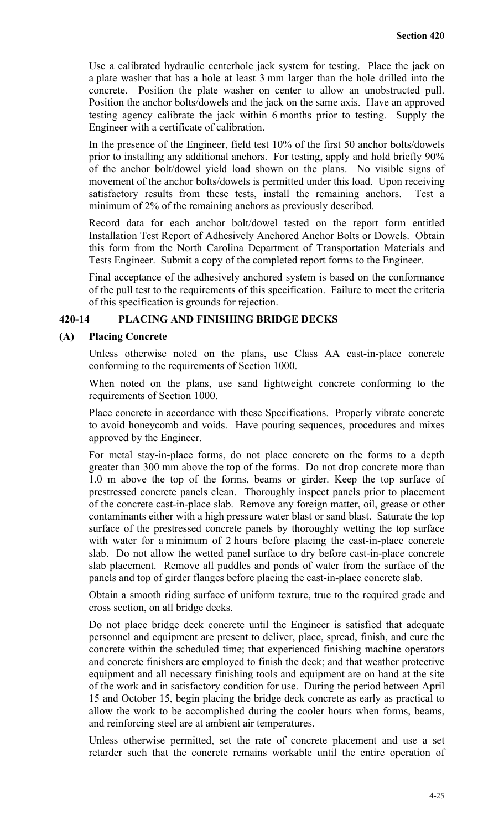Use a calibrated hydraulic centerhole jack system for testing. Place the jack on a plate washer that has a hole at least 3 mm larger than the hole drilled into the concrete. Position the plate washer on center to allow an unobstructed pull. Position the anchor bolts/dowels and the jack on the same axis. Have an approved testing agency calibrate the jack within 6 months prior to testing. Supply the Engineer with a certificate of calibration.

In the presence of the Engineer, field test 10% of the first 50 anchor bolts/dowels prior to installing any additional anchors. For testing, apply and hold briefly 90% of the anchor bolt/dowel yield load shown on the plans. No visible signs of movement of the anchor bolts/dowels is permitted under this load. Upon receiving satisfactory results from these tests, install the remaining anchors. Test a minimum of 2% of the remaining anchors as previously described.

Record data for each anchor bolt/dowel tested on the report form entitled Installation Test Report of Adhesively Anchored Anchor Bolts or Dowels. Obtain this form from the North Carolina Department of Transportation Materials and Tests Engineer. Submit a copy of the completed report forms to the Engineer.

Final acceptance of the adhesively anchored system is based on the conformance of the pull test to the requirements of this specification. Failure to meet the criteria of this specification is grounds for rejection.

#### **420-14 PLACING AND FINISHING BRIDGE DECKS**

#### **(A) Placing Concrete**

Unless otherwise noted on the plans, use Class AA cast-in-place concrete conforming to the requirements of Section 1000.

When noted on the plans, use sand lightweight concrete conforming to the requirements of Section 1000.

Place concrete in accordance with these Specifications. Properly vibrate concrete to avoid honeycomb and voids. Have pouring sequences, procedures and mixes approved by the Engineer.

For metal stay-in-place forms, do not place concrete on the forms to a depth greater than 300 mm above the top of the forms. Do not drop concrete more than 1.0 m above the top of the forms, beams or girder. Keep the top surface of prestressed concrete panels clean. Thoroughly inspect panels prior to placement of the concrete cast-in-place slab. Remove any foreign matter, oil, grease or other contaminants either with a high pressure water blast or sand blast. Saturate the top surface of the prestressed concrete panels by thoroughly wetting the top surface with water for a minimum of 2 hours before placing the cast-in-place concrete slab. Do not allow the wetted panel surface to dry before cast-in-place concrete slab placement. Remove all puddles and ponds of water from the surface of the panels and top of girder flanges before placing the cast-in-place concrete slab.

Obtain a smooth riding surface of uniform texture, true to the required grade and cross section, on all bridge decks.

Do not place bridge deck concrete until the Engineer is satisfied that adequate personnel and equipment are present to deliver, place, spread, finish, and cure the concrete within the scheduled time; that experienced finishing machine operators and concrete finishers are employed to finish the deck; and that weather protective equipment and all necessary finishing tools and equipment are on hand at the site of the work and in satisfactory condition for use. During the period between April 15 and October 15, begin placing the bridge deck concrete as early as practical to allow the work to be accomplished during the cooler hours when forms, beams, and reinforcing steel are at ambient air temperatures.

Unless otherwise permitted, set the rate of concrete placement and use a set retarder such that the concrete remains workable until the entire operation of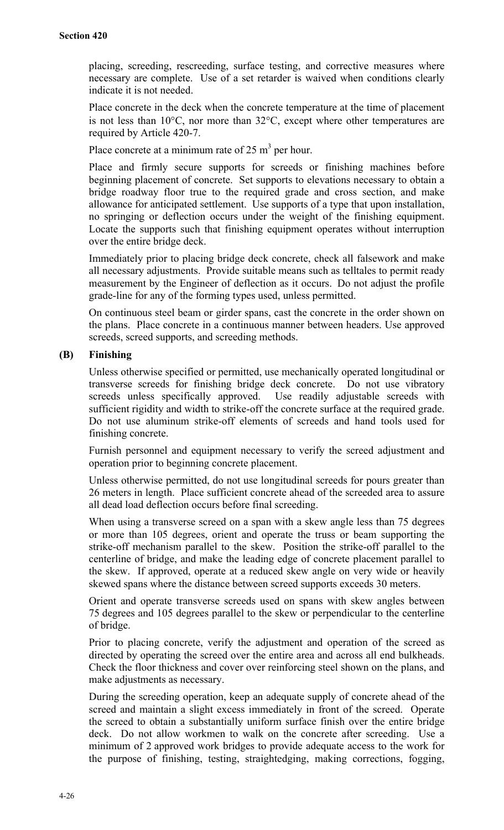placing, screeding, rescreeding, surface testing, and corrective measures where necessary are complete. Use of a set retarder is waived when conditions clearly indicate it is not needed.

Place concrete in the deck when the concrete temperature at the time of placement is not less than 10°C, nor more than 32°C, except where other temperatures are required by Article 420-7.

Place concrete at a minimum rate of 25  $m<sup>3</sup>$  per hour.

Place and firmly secure supports for screeds or finishing machines before beginning placement of concrete. Set supports to elevations necessary to obtain a bridge roadway floor true to the required grade and cross section, and make allowance for anticipated settlement. Use supports of a type that upon installation, no springing or deflection occurs under the weight of the finishing equipment. Locate the supports such that finishing equipment operates without interruption over the entire bridge deck.

Immediately prior to placing bridge deck concrete, check all falsework and make all necessary adjustments. Provide suitable means such as telltales to permit ready measurement by the Engineer of deflection as it occurs. Do not adjust the profile grade-line for any of the forming types used, unless permitted.

On continuous steel beam or girder spans, cast the concrete in the order shown on the plans. Place concrete in a continuous manner between headers. Use approved screeds, screed supports, and screeding methods.

## **(B) Finishing**

Unless otherwise specified or permitted, use mechanically operated longitudinal or transverse screeds for finishing bridge deck concrete. Do not use vibratory screeds unless specifically approved. Use readily adjustable screeds with sufficient rigidity and width to strike-off the concrete surface at the required grade. Do not use aluminum strike-off elements of screeds and hand tools used for finishing concrete.

Furnish personnel and equipment necessary to verify the screed adjustment and operation prior to beginning concrete placement.

Unless otherwise permitted, do not use longitudinal screeds for pours greater than 26 meters in length. Place sufficient concrete ahead of the screeded area to assure all dead load deflection occurs before final screeding.

When using a transverse screed on a span with a skew angle less than 75 degrees or more than 105 degrees, orient and operate the truss or beam supporting the strike-off mechanism parallel to the skew. Position the strike-off parallel to the centerline of bridge, and make the leading edge of concrete placement parallel to the skew. If approved, operate at a reduced skew angle on very wide or heavily skewed spans where the distance between screed supports exceeds 30 meters.

Orient and operate transverse screeds used on spans with skew angles between 75 degrees and 105 degrees parallel to the skew or perpendicular to the centerline of bridge.

Prior to placing concrete, verify the adjustment and operation of the screed as directed by operating the screed over the entire area and across all end bulkheads. Check the floor thickness and cover over reinforcing steel shown on the plans, and make adjustments as necessary.

During the screeding operation, keep an adequate supply of concrete ahead of the screed and maintain a slight excess immediately in front of the screed. Operate the screed to obtain a substantially uniform surface finish over the entire bridge deck. Do not allow workmen to walk on the concrete after screeding. Use a minimum of 2 approved work bridges to provide adequate access to the work for the purpose of finishing, testing, straightedging, making corrections, fogging,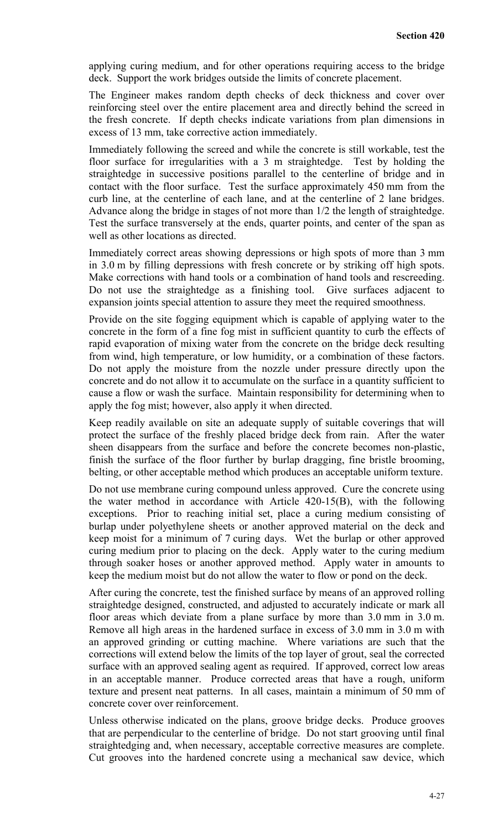applying curing medium, and for other operations requiring access to the bridge deck. Support the work bridges outside the limits of concrete placement.

The Engineer makes random depth checks of deck thickness and cover over reinforcing steel over the entire placement area and directly behind the screed in the fresh concrete. If depth checks indicate variations from plan dimensions in excess of 13 mm, take corrective action immediately.

Immediately following the screed and while the concrete is still workable, test the floor surface for irregularities with a 3 m straightedge. Test by holding the straightedge in successive positions parallel to the centerline of bridge and in contact with the floor surface. Test the surface approximately 450 mm from the curb line, at the centerline of each lane, and at the centerline of 2 lane bridges. Advance along the bridge in stages of not more than 1/2 the length of straightedge. Test the surface transversely at the ends, quarter points, and center of the span as well as other locations as directed.

Immediately correct areas showing depressions or high spots of more than 3 mm in 3.0 m by filling depressions with fresh concrete or by striking off high spots. Make corrections with hand tools or a combination of hand tools and rescreeding. Do not use the straightedge as a finishing tool. Give surfaces adjacent to expansion joints special attention to assure they meet the required smoothness.

Provide on the site fogging equipment which is capable of applying water to the concrete in the form of a fine fog mist in sufficient quantity to curb the effects of rapid evaporation of mixing water from the concrete on the bridge deck resulting from wind, high temperature, or low humidity, or a combination of these factors. Do not apply the moisture from the nozzle under pressure directly upon the concrete and do not allow it to accumulate on the surface in a quantity sufficient to cause a flow or wash the surface. Maintain responsibility for determining when to apply the fog mist; however, also apply it when directed.

Keep readily available on site an adequate supply of suitable coverings that will protect the surface of the freshly placed bridge deck from rain. After the water sheen disappears from the surface and before the concrete becomes non-plastic, finish the surface of the floor further by burlap dragging, fine bristle brooming, belting, or other acceptable method which produces an acceptable uniform texture.

Do not use membrane curing compound unless approved. Cure the concrete using the water method in accordance with Article 420-15(B), with the following exceptions. Prior to reaching initial set, place a curing medium consisting of burlap under polyethylene sheets or another approved material on the deck and keep moist for a minimum of 7 curing days. Wet the burlap or other approved curing medium prior to placing on the deck. Apply water to the curing medium through soaker hoses or another approved method. Apply water in amounts to keep the medium moist but do not allow the water to flow or pond on the deck.

After curing the concrete, test the finished surface by means of an approved rolling straightedge designed, constructed, and adjusted to accurately indicate or mark all floor areas which deviate from a plane surface by more than 3.0 mm in 3.0 m. Remove all high areas in the hardened surface in excess of 3.0 mm in 3.0 m with an approved grinding or cutting machine. Where variations are such that the corrections will extend below the limits of the top layer of grout, seal the corrected surface with an approved sealing agent as required. If approved, correct low areas in an acceptable manner. Produce corrected areas that have a rough, uniform texture and present neat patterns. In all cases, maintain a minimum of 50 mm of concrete cover over reinforcement.

Unless otherwise indicated on the plans, groove bridge decks. Produce grooves that are perpendicular to the centerline of bridge. Do not start grooving until final straightedging and, when necessary, acceptable corrective measures are complete. Cut grooves into the hardened concrete using a mechanical saw device, which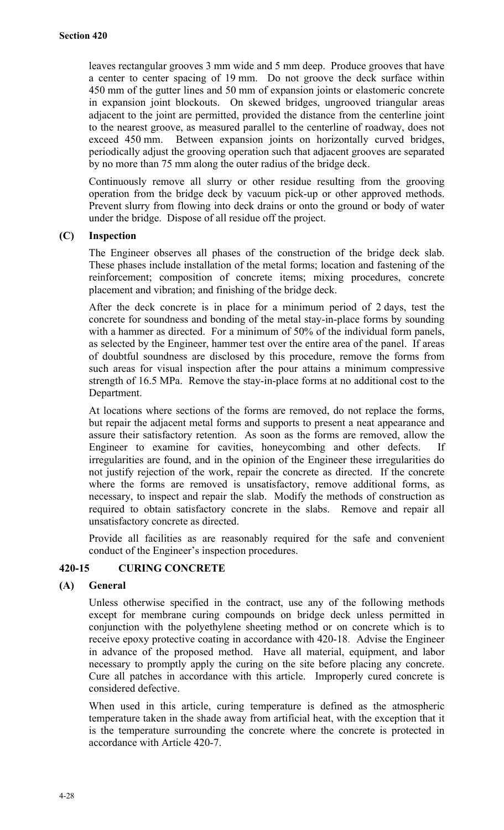leaves rectangular grooves 3 mm wide and 5 mm deep. Produce grooves that have a center to center spacing of 19 mm. Do not groove the deck surface within 450 mm of the gutter lines and 50 mm of expansion joints or elastomeric concrete in expansion joint blockouts. On skewed bridges, ungrooved triangular areas adjacent to the joint are permitted, provided the distance from the centerline joint to the nearest groove, as measured parallel to the centerline of roadway, does not exceed 450 mm. Between expansion joints on horizontally curved bridges, periodically adjust the grooving operation such that adjacent grooves are separated by no more than 75 mm along the outer radius of the bridge deck.

Continuously remove all slurry or other residue resulting from the grooving operation from the bridge deck by vacuum pick-up or other approved methods. Prevent slurry from flowing into deck drains or onto the ground or body of water under the bridge. Dispose of all residue off the project.

#### **(C) Inspection**

The Engineer observes all phases of the construction of the bridge deck slab. These phases include installation of the metal forms; location and fastening of the reinforcement; composition of concrete items; mixing procedures, concrete placement and vibration; and finishing of the bridge deck.

After the deck concrete is in place for a minimum period of 2 days, test the concrete for soundness and bonding of the metal stay-in-place forms by sounding with a hammer as directed. For a minimum of 50% of the individual form panels, as selected by the Engineer, hammer test over the entire area of the panel. If areas of doubtful soundness are disclosed by this procedure, remove the forms from such areas for visual inspection after the pour attains a minimum compressive strength of 16.5 MPa. Remove the stay-in-place forms at no additional cost to the Department.

At locations where sections of the forms are removed, do not replace the forms, but repair the adjacent metal forms and supports to present a neat appearance and assure their satisfactory retention. As soon as the forms are removed, allow the Engineer to examine for cavities, honeycombing and other defects. If irregularities are found, and in the opinion of the Engineer these irregularities do not justify rejection of the work, repair the concrete as directed. If the concrete where the forms are removed is unsatisfactory, remove additional forms, as necessary, to inspect and repair the slab. Modify the methods of construction as required to obtain satisfactory concrete in the slabs. Remove and repair all unsatisfactory concrete as directed.

Provide all facilities as are reasonably required for the safe and convenient conduct of the Engineer's inspection procedures.

## **420-15 CURING CONCRETE**

## **(A) General**

Unless otherwise specified in the contract, use any of the following methods except for membrane curing compounds on bridge deck unless permitted in conjunction with the polyethylene sheeting method or on concrete which is to receive epoxy protective coating in accordance with 420-18. Advise the Engineer in advance of the proposed method. Have all material, equipment, and labor necessary to promptly apply the curing on the site before placing any concrete. Cure all patches in accordance with this article. Improperly cured concrete is considered defective.

When used in this article, curing temperature is defined as the atmospheric temperature taken in the shade away from artificial heat, with the exception that it is the temperature surrounding the concrete where the concrete is protected in accordance with Article 420-7.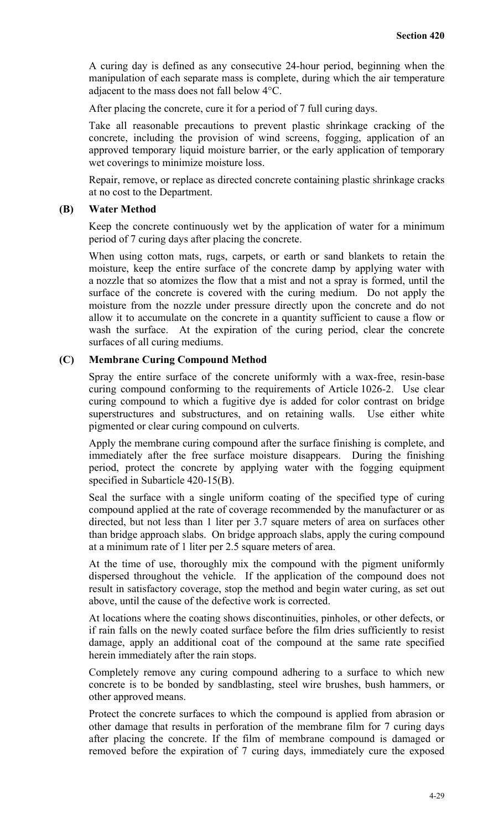A curing day is defined as any consecutive 24-hour period, beginning when the manipulation of each separate mass is complete, during which the air temperature adjacent to the mass does not fall below 4°C.

After placing the concrete, cure it for a period of 7 full curing days.

Take all reasonable precautions to prevent plastic shrinkage cracking of the concrete, including the provision of wind screens, fogging, application of an approved temporary liquid moisture barrier, or the early application of temporary wet coverings to minimize moisture loss.

Repair, remove, or replace as directed concrete containing plastic shrinkage cracks at no cost to the Department.

#### **(B) Water Method**

Keep the concrete continuously wet by the application of water for a minimum period of 7 curing days after placing the concrete.

When using cotton mats, rugs, carpets, or earth or sand blankets to retain the moisture, keep the entire surface of the concrete damp by applying water with a nozzle that so atomizes the flow that a mist and not a spray is formed, until the surface of the concrete is covered with the curing medium. Do not apply the moisture from the nozzle under pressure directly upon the concrete and do not allow it to accumulate on the concrete in a quantity sufficient to cause a flow or wash the surface. At the expiration of the curing period, clear the concrete surfaces of all curing mediums.

#### **(C) Membrane Curing Compound Method**

Spray the entire surface of the concrete uniformly with a wax-free, resin-base curing compound conforming to the requirements of Article 1026-2. Use clear curing compound to which a fugitive dye is added for color contrast on bridge superstructures and substructures, and on retaining walls. Use either white pigmented or clear curing compound on culverts.

Apply the membrane curing compound after the surface finishing is complete, and immediately after the free surface moisture disappears. During the finishing period, protect the concrete by applying water with the fogging equipment specified in Subarticle 420-15(B).

Seal the surface with a single uniform coating of the specified type of curing compound applied at the rate of coverage recommended by the manufacturer or as directed, but not less than 1 liter per 3.7 square meters of area on surfaces other than bridge approach slabs. On bridge approach slabs, apply the curing compound at a minimum rate of 1 liter per 2.5 square meters of area.

At the time of use, thoroughly mix the compound with the pigment uniformly dispersed throughout the vehicle. If the application of the compound does not result in satisfactory coverage, stop the method and begin water curing, as set out above, until the cause of the defective work is corrected.

At locations where the coating shows discontinuities, pinholes, or other defects, or if rain falls on the newly coated surface before the film dries sufficiently to resist damage, apply an additional coat of the compound at the same rate specified herein immediately after the rain stops.

Completely remove any curing compound adhering to a surface to which new concrete is to be bonded by sandblasting, steel wire brushes, bush hammers, or other approved means.

Protect the concrete surfaces to which the compound is applied from abrasion or other damage that results in perforation of the membrane film for 7 curing days after placing the concrete. If the film of membrane compound is damaged or removed before the expiration of 7 curing days, immediately cure the exposed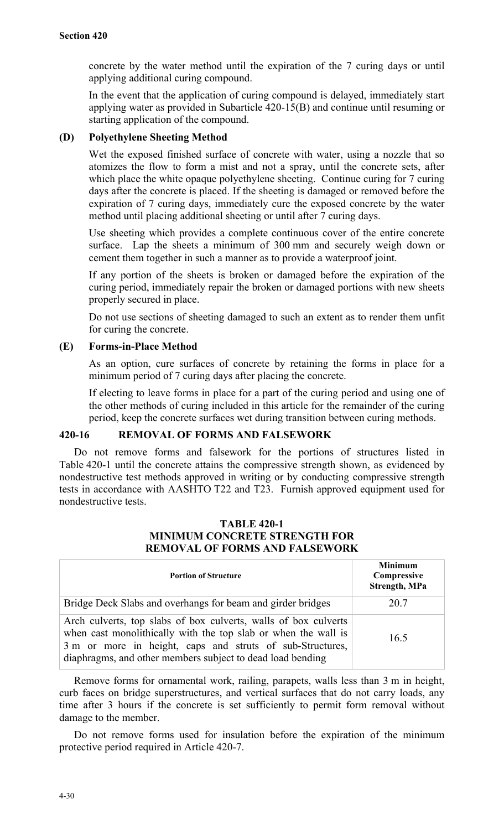concrete by the water method until the expiration of the 7 curing days or until applying additional curing compound.

In the event that the application of curing compound is delayed, immediately start applying water as provided in Subarticle 420-15(B) and continue until resuming or starting application of the compound.

#### **(D) Polyethylene Sheeting Method**

Wet the exposed finished surface of concrete with water, using a nozzle that so atomizes the flow to form a mist and not a spray, until the concrete sets, after which place the white opaque polyethylene sheeting. Continue curing for 7 curing days after the concrete is placed. If the sheeting is damaged or removed before the expiration of 7 curing days, immediately cure the exposed concrete by the water method until placing additional sheeting or until after 7 curing days.

Use sheeting which provides a complete continuous cover of the entire concrete surface. Lap the sheets a minimum of 300 mm and securely weigh down or cement them together in such a manner as to provide a waterproof joint.

If any portion of the sheets is broken or damaged before the expiration of the curing period, immediately repair the broken or damaged portions with new sheets properly secured in place.

Do not use sections of sheeting damaged to such an extent as to render them unfit for curing the concrete.

## **(E) Forms-in-Place Method**

As an option, cure surfaces of concrete by retaining the forms in place for a minimum period of 7 curing days after placing the concrete.

If electing to leave forms in place for a part of the curing period and using one of the other methods of curing included in this article for the remainder of the curing period, keep the concrete surfaces wet during transition between curing methods.

## **420-16 REMOVAL OF FORMS AND FALSEWORK**

Do not remove forms and falsework for the portions of structures listed in Table 420-1 until the concrete attains the compressive strength shown, as evidenced by nondestructive test methods approved in writing or by conducting compressive strength tests in accordance with AASHTO T22 and T23. Furnish approved equipment used for nondestructive tests.

## **TABLE 420-1 MINIMUM CONCRETE STRENGTH FOR REMOVAL OF FORMS AND FALSEWORK**

| <b>Portion of Structure</b>                                                                                                                                                                                                                                  | <b>Minimum</b><br>Compressive<br><b>Strength, MPa</b> |
|--------------------------------------------------------------------------------------------------------------------------------------------------------------------------------------------------------------------------------------------------------------|-------------------------------------------------------|
| Bridge Deck Slabs and overhangs for beam and girder bridges                                                                                                                                                                                                  | 20.7                                                  |
| Arch culverts, top slabs of box culverts, walls of box culverts<br>when cast monolithically with the top slab or when the wall is<br>3 m or more in height, caps and struts of sub-Structures,<br>diaphragms, and other members subject to dead load bending | 16.5                                                  |

Remove forms for ornamental work, railing, parapets, walls less than 3 m in height, curb faces on bridge superstructures, and vertical surfaces that do not carry loads, any time after 3 hours if the concrete is set sufficiently to permit form removal without damage to the member.

Do not remove forms used for insulation before the expiration of the minimum protective period required in Article 420-7.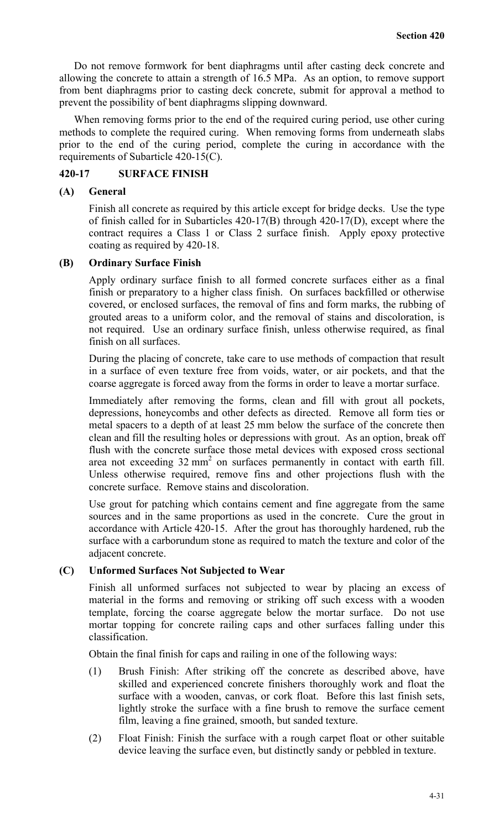Do not remove formwork for bent diaphragms until after casting deck concrete and allowing the concrete to attain a strength of 16.5 MPa. As an option, to remove support from bent diaphragms prior to casting deck concrete, submit for approval a method to prevent the possibility of bent diaphragms slipping downward.

When removing forms prior to the end of the required curing period, use other curing methods to complete the required curing. When removing forms from underneath slabs prior to the end of the curing period, complete the curing in accordance with the requirements of Subarticle 420-15(C).

## **420-17 SURFACE FINISH**

#### **(A) General**

Finish all concrete as required by this article except for bridge decks. Use the type of finish called for in Subarticles 420-17(B) through 420-17(D), except where the contract requires a Class 1 or Class 2 surface finish. Apply epoxy protective coating as required by 420-18.

#### **(B) Ordinary Surface Finish**

Apply ordinary surface finish to all formed concrete surfaces either as a final finish or preparatory to a higher class finish. On surfaces backfilled or otherwise covered, or enclosed surfaces, the removal of fins and form marks, the rubbing of grouted areas to a uniform color, and the removal of stains and discoloration, is not required. Use an ordinary surface finish, unless otherwise required, as final finish on all surfaces.

During the placing of concrete, take care to use methods of compaction that result in a surface of even texture free from voids, water, or air pockets, and that the coarse aggregate is forced away from the forms in order to leave a mortar surface.

Immediately after removing the forms, clean and fill with grout all pockets, depressions, honeycombs and other defects as directed. Remove all form ties or metal spacers to a depth of at least 25 mm below the surface of the concrete then clean and fill the resulting holes or depressions with grout. As an option, break off flush with the concrete surface those metal devices with exposed cross sectional area not exceeding  $32 \text{ mm}^2$  on surfaces permanently in contact with earth fill. Unless otherwise required, remove fins and other projections flush with the concrete surface. Remove stains and discoloration.

Use grout for patching which contains cement and fine aggregate from the same sources and in the same proportions as used in the concrete. Cure the grout in accordance with Article 420-15. After the grout has thoroughly hardened, rub the surface with a carborundum stone as required to match the texture and color of the adjacent concrete.

## **(C) Unformed Surfaces Not Subjected to Wear**

Finish all unformed surfaces not subjected to wear by placing an excess of material in the forms and removing or striking off such excess with a wooden template, forcing the coarse aggregate below the mortar surface. Do not use mortar topping for concrete railing caps and other surfaces falling under this classification.

Obtain the final finish for caps and railing in one of the following ways:

- (1) Brush Finish: After striking off the concrete as described above, have skilled and experienced concrete finishers thoroughly work and float the surface with a wooden, canvas, or cork float. Before this last finish sets, lightly stroke the surface with a fine brush to remove the surface cement film, leaving a fine grained, smooth, but sanded texture.
- (2) Float Finish: Finish the surface with a rough carpet float or other suitable device leaving the surface even, but distinctly sandy or pebbled in texture.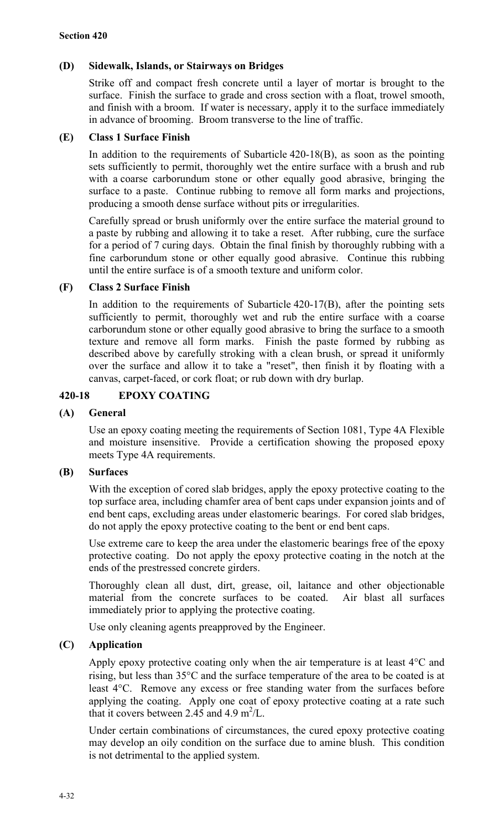## **(D) Sidewalk, Islands, or Stairways on Bridges**

Strike off and compact fresh concrete until a layer of mortar is brought to the surface. Finish the surface to grade and cross section with a float, trowel smooth, and finish with a broom. If water is necessary, apply it to the surface immediately in advance of brooming. Broom transverse to the line of traffic.

## **(E) Class 1 Surface Finish**

In addition to the requirements of Subarticle 420-18(B), as soon as the pointing sets sufficiently to permit, thoroughly wet the entire surface with a brush and rub with a coarse carborundum stone or other equally good abrasive, bringing the surface to a paste. Continue rubbing to remove all form marks and projections, producing a smooth dense surface without pits or irregularities.

Carefully spread or brush uniformly over the entire surface the material ground to a paste by rubbing and allowing it to take a reset. After rubbing, cure the surface for a period of 7 curing days. Obtain the final finish by thoroughly rubbing with a fine carborundum stone or other equally good abrasive. Continue this rubbing until the entire surface is of a smooth texture and uniform color.

#### **(F) Class 2 Surface Finish**

In addition to the requirements of Subarticle 420-17(B), after the pointing sets sufficiently to permit, thoroughly wet and rub the entire surface with a coarse carborundum stone or other equally good abrasive to bring the surface to a smooth texture and remove all form marks. Finish the paste formed by rubbing as described above by carefully stroking with a clean brush, or spread it uniformly over the surface and allow it to take a "reset", then finish it by floating with a canvas, carpet-faced, or cork float; or rub down with dry burlap.

## **420-18 EPOXY COATING**

## **(A) General**

Use an epoxy coating meeting the requirements of Section 1081, Type 4A Flexible and moisture insensitive. Provide a certification showing the proposed epoxy meets Type 4A requirements.

## **(B) Surfaces**

With the exception of cored slab bridges, apply the epoxy protective coating to the top surface area, including chamfer area of bent caps under expansion joints and of end bent caps, excluding areas under elastomeric bearings. For cored slab bridges, do not apply the epoxy protective coating to the bent or end bent caps.

Use extreme care to keep the area under the elastomeric bearings free of the epoxy protective coating. Do not apply the epoxy protective coating in the notch at the ends of the prestressed concrete girders.

Thoroughly clean all dust, dirt, grease, oil, laitance and other objectionable material from the concrete surfaces to be coated. Air blast all surfaces immediately prior to applying the protective coating.

Use only cleaning agents preapproved by the Engineer.

## **(C) Application**

Apply epoxy protective coating only when the air temperature is at least 4°C and rising, but less than 35°C and the surface temperature of the area to be coated is at least 4°C. Remove any excess or free standing water from the surfaces before applying the coating. Apply one coat of epoxy protective coating at a rate such that it covers between  $2.45$  and  $4.9 \text{ m}^2$ /L.

Under certain combinations of circumstances, the cured epoxy protective coating may develop an oily condition on the surface due to amine blush. This condition is not detrimental to the applied system.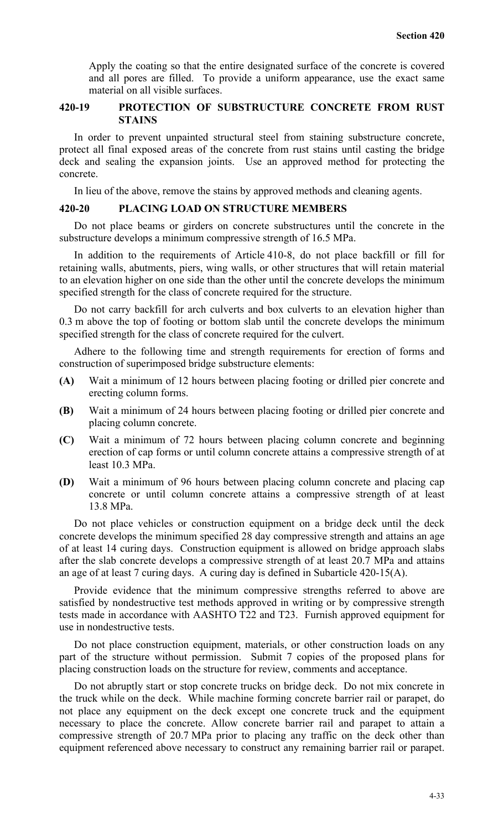Apply the coating so that the entire designated surface of the concrete is covered and all pores are filled. To provide a uniform appearance, use the exact same material on all visible surfaces.

## **420-19 PROTECTION OF SUBSTRUCTURE CONCRETE FROM RUST STAINS**

In order to prevent unpainted structural steel from staining substructure concrete, protect all final exposed areas of the concrete from rust stains until casting the bridge deck and sealing the expansion joints. Use an approved method for protecting the concrete.

In lieu of the above, remove the stains by approved methods and cleaning agents.

#### **420-20 PLACING LOAD ON STRUCTURE MEMBERS**

Do not place beams or girders on concrete substructures until the concrete in the substructure develops a minimum compressive strength of 16.5 MPa.

In addition to the requirements of Article 410-8, do not place backfill or fill for retaining walls, abutments, piers, wing walls, or other structures that will retain material to an elevation higher on one side than the other until the concrete develops the minimum specified strength for the class of concrete required for the structure.

Do not carry backfill for arch culverts and box culverts to an elevation higher than 0.3 m above the top of footing or bottom slab until the concrete develops the minimum specified strength for the class of concrete required for the culvert.

Adhere to the following time and strength requirements for erection of forms and construction of superimposed bridge substructure elements:

- **(A)** Wait a minimum of 12 hours between placing footing or drilled pier concrete and erecting column forms.
- **(B)** Wait a minimum of 24 hours between placing footing or drilled pier concrete and placing column concrete.
- **(C)** Wait a minimum of 72 hours between placing column concrete and beginning erection of cap forms or until column concrete attains a compressive strength of at least 10.3 MPa.
- **(D)** Wait a minimum of 96 hours between placing column concrete and placing cap concrete or until column concrete attains a compressive strength of at least 13.8 MPa.

Do not place vehicles or construction equipment on a bridge deck until the deck concrete develops the minimum specified 28 day compressive strength and attains an age of at least 14 curing days. Construction equipment is allowed on bridge approach slabs after the slab concrete develops a compressive strength of at least 20.7 MPa and attains an age of at least 7 curing days. A curing day is defined in Subarticle 420-15(A).

Provide evidence that the minimum compressive strengths referred to above are satisfied by nondestructive test methods approved in writing or by compressive strength tests made in accordance with AASHTO T22 and T23. Furnish approved equipment for use in nondestructive tests.

Do not place construction equipment, materials, or other construction loads on any part of the structure without permission. Submit 7 copies of the proposed plans for placing construction loads on the structure for review, comments and acceptance.

Do not abruptly start or stop concrete trucks on bridge deck. Do not mix concrete in the truck while on the deck. While machine forming concrete barrier rail or parapet, do not place any equipment on the deck except one concrete truck and the equipment necessary to place the concrete. Allow concrete barrier rail and parapet to attain a compressive strength of 20.7 MPa prior to placing any traffic on the deck other than equipment referenced above necessary to construct any remaining barrier rail or parapet.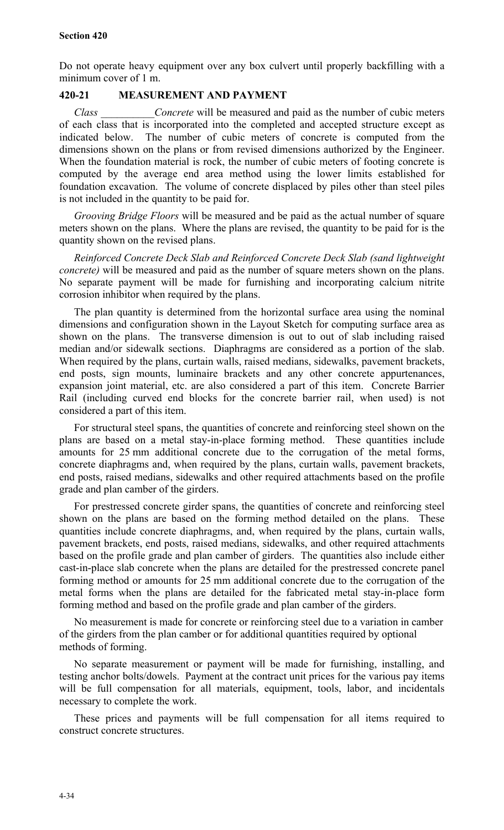Do not operate heavy equipment over any box culvert until properly backfilling with a minimum cover of 1 m.

## **420-21 MEASUREMENT AND PAYMENT**

*Class \_\_\_\_\_\_\_\_\_\_Concrete* will be measured and paid as the number of cubic meters of each class that is incorporated into the completed and accepted structure except as indicated below. The number of cubic meters of concrete is computed from the dimensions shown on the plans or from revised dimensions authorized by the Engineer. When the foundation material is rock, the number of cubic meters of footing concrete is computed by the average end area method using the lower limits established for foundation excavation. The volume of concrete displaced by piles other than steel piles is not included in the quantity to be paid for.

*Grooving Bridge Floors* will be measured and be paid as the actual number of square meters shown on the plans. Where the plans are revised, the quantity to be paid for is the quantity shown on the revised plans.

*Reinforced Concrete Deck Slab and Reinforced Concrete Deck Slab (sand lightweight concrete*) will be measured and paid as the number of square meters shown on the plans. No separate payment will be made for furnishing and incorporating calcium nitrite corrosion inhibitor when required by the plans.

The plan quantity is determined from the horizontal surface area using the nominal dimensions and configuration shown in the Layout Sketch for computing surface area as shown on the plans. The transverse dimension is out to out of slab including raised median and/or sidewalk sections. Diaphragms are considered as a portion of the slab. When required by the plans, curtain walls, raised medians, sidewalks, pavement brackets, end posts, sign mounts, luminaire brackets and any other concrete appurtenances, expansion joint material, etc. are also considered a part of this item. Concrete Barrier Rail (including curved end blocks for the concrete barrier rail, when used) is not considered a part of this item.

For structural steel spans, the quantities of concrete and reinforcing steel shown on the plans are based on a metal stay-in-place forming method. These quantities include amounts for 25 mm additional concrete due to the corrugation of the metal forms, concrete diaphragms and, when required by the plans, curtain walls, pavement brackets, end posts, raised medians, sidewalks and other required attachments based on the profile grade and plan camber of the girders.

For prestressed concrete girder spans, the quantities of concrete and reinforcing steel shown on the plans are based on the forming method detailed on the plans. These quantities include concrete diaphragms, and, when required by the plans, curtain walls, pavement brackets, end posts, raised medians, sidewalks, and other required attachments based on the profile grade and plan camber of girders. The quantities also include either cast-in-place slab concrete when the plans are detailed for the prestressed concrete panel forming method or amounts for 25 mm additional concrete due to the corrugation of the metal forms when the plans are detailed for the fabricated metal stay-in-place form forming method and based on the profile grade and plan camber of the girders.

No measurement is made for concrete or reinforcing steel due to a variation in camber of the girders from the plan camber or for additional quantities required by optional methods of forming.

No separate measurement or payment will be made for furnishing, installing, and testing anchor bolts/dowels. Payment at the contract unit prices for the various pay items will be full compensation for all materials, equipment, tools, labor, and incidentals necessary to complete the work.

These prices and payments will be full compensation for all items required to construct concrete structures.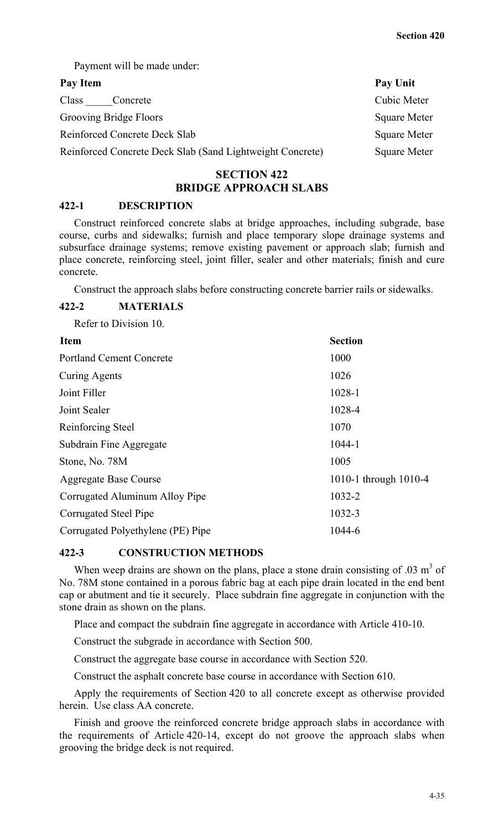Payment will be made under:

| Pay Item                                                  | Pay Unit            |
|-----------------------------------------------------------|---------------------|
| Class<br>Concrete                                         | Cubic Meter         |
| Grooving Bridge Floors                                    | <b>Square Meter</b> |
| Reinforced Concrete Deck Slab                             | <b>Square Meter</b> |
| Reinforced Concrete Deck Slab (Sand Lightweight Concrete) | Square Meter        |

## **SECTION 422 BRIDGE APPROACH SLABS**

## **422-1 DESCRIPTION**

Construct reinforced concrete slabs at bridge approaches, including subgrade, base course, curbs and sidewalks; furnish and place temporary slope drainage systems and subsurface drainage systems; remove existing pavement or approach slab; furnish and place concrete, reinforcing steel, joint filler, sealer and other materials; finish and cure concrete.

Construct the approach slabs before constructing concrete barrier rails or sidewalks.

#### **422-2 MATERIALS**

Refer to Division 10.

| 1010-1 through 1010-4 |
|-----------------------|
|                       |
|                       |
|                       |
|                       |

## **422-3 CONSTRUCTION METHODS**

When weep drains are shown on the plans, place a stone drain consisting of  $.03 \text{ m}^3$  of No. 78M stone contained in a porous fabric bag at each pipe drain located in the end bent cap or abutment and tie it securely. Place subdrain fine aggregate in conjunction with the stone drain as shown on the plans.

Place and compact the subdrain fine aggregate in accordance with Article 410-10.

Construct the subgrade in accordance with Section 500.

Construct the aggregate base course in accordance with Section 520.

Construct the asphalt concrete base course in accordance with Section 610.

Apply the requirements of Section 420 to all concrete except as otherwise provided herein. Use class AA concrete.

Finish and groove the reinforced concrete bridge approach slabs in accordance with the requirements of Article 420-14, except do not groove the approach slabs when grooving the bridge deck is not required.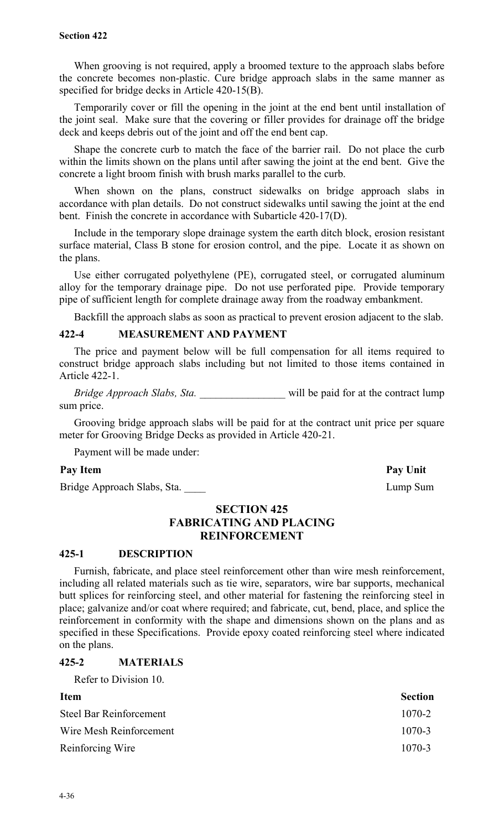When grooving is not required, apply a broomed texture to the approach slabs before the concrete becomes non-plastic. Cure bridge approach slabs in the same manner as specified for bridge decks in Article 420-15(B).

Temporarily cover or fill the opening in the joint at the end bent until installation of the joint seal. Make sure that the covering or filler provides for drainage off the bridge deck and keeps debris out of the joint and off the end bent cap.

Shape the concrete curb to match the face of the barrier rail. Do not place the curb within the limits shown on the plans until after sawing the joint at the end bent. Give the concrete a light broom finish with brush marks parallel to the curb.

When shown on the plans, construct sidewalks on bridge approach slabs in accordance with plan details. Do not construct sidewalks until sawing the joint at the end bent. Finish the concrete in accordance with Subarticle 420-17(D).

Include in the temporary slope drainage system the earth ditch block, erosion resistant surface material, Class B stone for erosion control, and the pipe. Locate it as shown on the plans.

Use either corrugated polyethylene (PE), corrugated steel, or corrugated aluminum alloy for the temporary drainage pipe. Do not use perforated pipe. Provide temporary pipe of sufficient length for complete drainage away from the roadway embankment.

Backfill the approach slabs as soon as practical to prevent erosion adjacent to the slab.

## **422-4 MEASUREMENT AND PAYMENT**

The price and payment below will be full compensation for all items required to construct bridge approach slabs including but not limited to those items contained in Article 422-1.

*Bridge Approach Slabs, Sta.* \_\_\_\_\_\_\_\_\_\_\_\_\_\_\_\_\_\_\_ will be paid for at the contract lump sum price.

Grooving bridge approach slabs will be paid for at the contract unit price per square meter for Grooving Bridge Decks as provided in Article 420-21.

Payment will be made under:

#### Pay Item Pay Unit

Bridge Approach Slabs, Sta. **Lump Sum** 

## **SECTION 425 FABRICATING AND PLACING REINFORCEMENT**

## **425-1 DESCRIPTION**

Furnish, fabricate, and place steel reinforcement other than wire mesh reinforcement, including all related materials such as tie wire, separators, wire bar supports, mechanical butt splices for reinforcing steel, and other material for fastening the reinforcing steel in place; galvanize and/or coat where required; and fabricate, cut, bend, place, and splice the reinforcement in conformity with the shape and dimensions shown on the plans and as specified in these Specifications. Provide epoxy coated reinforcing steel where indicated on the plans.

#### **425-2 MATERIALS**

Refer to Division 10.

| <b>Item</b>             | <b>Section</b> |
|-------------------------|----------------|
| Steel Bar Reinforcement | $1070 - 2$     |
| Wire Mesh Reinforcement | $1070 - 3$     |
| Reinforcing Wire        | $1070 - 3$     |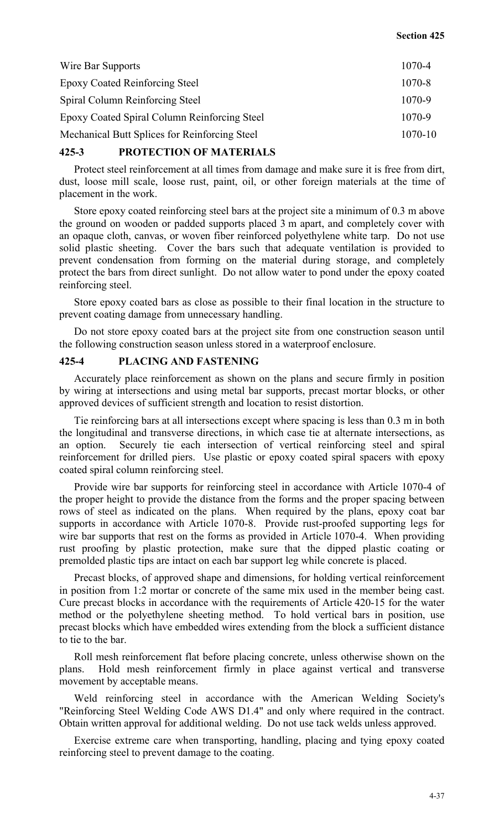#### **Section 425**

| 1070-4  |
|---------|
| 1070-8  |
| 1070-9  |
| 1070-9  |
| 1070-10 |
|         |

#### **425-3 PROTECTION OF MATERIALS**

Protect steel reinforcement at all times from damage and make sure it is free from dirt, dust, loose mill scale, loose rust, paint, oil, or other foreign materials at the time of placement in the work.

Store epoxy coated reinforcing steel bars at the project site a minimum of 0.3 m above the ground on wooden or padded supports placed 3 m apart, and completely cover with an opaque cloth, canvas, or woven fiber reinforced polyethylene white tarp. Do not use solid plastic sheeting. Cover the bars such that adequate ventilation is provided to prevent condensation from forming on the material during storage, and completely protect the bars from direct sunlight. Do not allow water to pond under the epoxy coated reinforcing steel.

Store epoxy coated bars as close as possible to their final location in the structure to prevent coating damage from unnecessary handling.

Do not store epoxy coated bars at the project site from one construction season until the following construction season unless stored in a waterproof enclosure.

## **425-4 PLACING AND FASTENING**

Accurately place reinforcement as shown on the plans and secure firmly in position by wiring at intersections and using metal bar supports, precast mortar blocks, or other approved devices of sufficient strength and location to resist distortion.

Tie reinforcing bars at all intersections except where spacing is less than 0.3 m in both the longitudinal and transverse directions, in which case tie at alternate intersections, as an option. Securely tie each intersection of vertical reinforcing steel and spiral reinforcement for drilled piers. Use plastic or epoxy coated spiral spacers with epoxy coated spiral column reinforcing steel.

Provide wire bar supports for reinforcing steel in accordance with Article 1070-4 of the proper height to provide the distance from the forms and the proper spacing between rows of steel as indicated on the plans. When required by the plans, epoxy coat bar supports in accordance with Article 1070-8. Provide rust-proofed supporting legs for wire bar supports that rest on the forms as provided in Article 1070-4. When providing rust proofing by plastic protection, make sure that the dipped plastic coating or premolded plastic tips are intact on each bar support leg while concrete is placed.

Precast blocks, of approved shape and dimensions, for holding vertical reinforcement in position from 1:2 mortar or concrete of the same mix used in the member being cast. Cure precast blocks in accordance with the requirements of Article 420-15 for the water method or the polyethylene sheeting method. To hold vertical bars in position, use precast blocks which have embedded wires extending from the block a sufficient distance to tie to the bar.

Roll mesh reinforcement flat before placing concrete, unless otherwise shown on the plans. Hold mesh reinforcement firmly in place against vertical and transverse movement by acceptable means.

Weld reinforcing steel in accordance with the American Welding Society's "Reinforcing Steel Welding Code AWS D1.4" and only where required in the contract. Obtain written approval for additional welding. Do not use tack welds unless approved.

Exercise extreme care when transporting, handling, placing and tying epoxy coated reinforcing steel to prevent damage to the coating.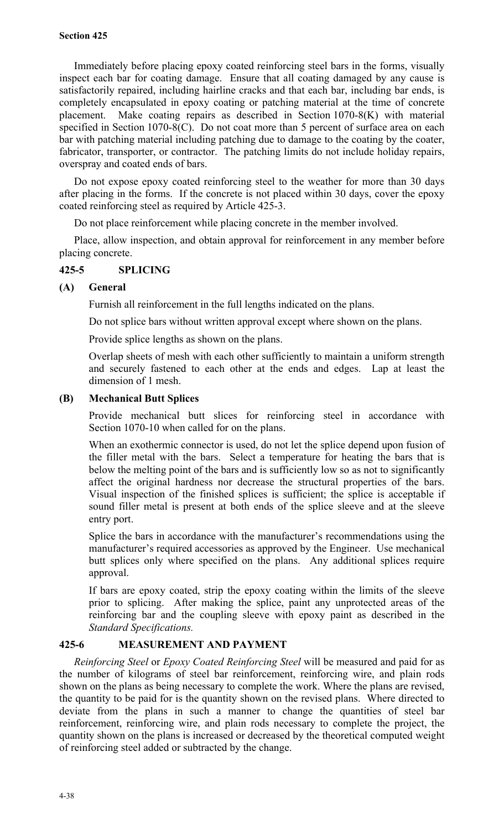#### **Section 425**

Immediately before placing epoxy coated reinforcing steel bars in the forms, visually inspect each bar for coating damage. Ensure that all coating damaged by any cause is satisfactorily repaired, including hairline cracks and that each bar, including bar ends, is completely encapsulated in epoxy coating or patching material at the time of concrete placement. Make coating repairs as described in Section 1070-8(K) with material specified in Section 1070-8(C). Do not coat more than 5 percent of surface area on each bar with patching material including patching due to damage to the coating by the coater, fabricator, transporter, or contractor. The patching limits do not include holiday repairs, overspray and coated ends of bars.

Do not expose epoxy coated reinforcing steel to the weather for more than 30 days after placing in the forms. If the concrete is not placed within 30 days, cover the epoxy coated reinforcing steel as required by Article 425-3.

Do not place reinforcement while placing concrete in the member involved.

Place, allow inspection, and obtain approval for reinforcement in any member before placing concrete.

## **425-5 SPLICING**

#### **(A) General**

Furnish all reinforcement in the full lengths indicated on the plans.

Do not splice bars without written approval except where shown on the plans.

Provide splice lengths as shown on the plans.

Overlap sheets of mesh with each other sufficiently to maintain a uniform strength and securely fastened to each other at the ends and edges. Lap at least the dimension of 1 mesh.

#### **(B) Mechanical Butt Splices**

Provide mechanical butt slices for reinforcing steel in accordance with Section 1070-10 when called for on the plans.

When an exothermic connector is used, do not let the splice depend upon fusion of the filler metal with the bars. Select a temperature for heating the bars that is below the melting point of the bars and is sufficiently low so as not to significantly affect the original hardness nor decrease the structural properties of the bars. Visual inspection of the finished splices is sufficient; the splice is acceptable if sound filler metal is present at both ends of the splice sleeve and at the sleeve entry port.

Splice the bars in accordance with the manufacturer's recommendations using the manufacturer's required accessories as approved by the Engineer. Use mechanical butt splices only where specified on the plans. Any additional splices require approval.

If bars are epoxy coated, strip the epoxy coating within the limits of the sleeve prior to splicing. After making the splice, paint any unprotected areas of the reinforcing bar and the coupling sleeve with epoxy paint as described in the *Standard Specifications.*

## **425-6 MEASUREMENT AND PAYMENT**

*Reinforcing Steel* or *Epoxy Coated Reinforcing Steel* will be measured and paid for as the number of kilograms of steel bar reinforcement, reinforcing wire, and plain rods shown on the plans as being necessary to complete the work. Where the plans are revised, the quantity to be paid for is the quantity shown on the revised plans. Where directed to deviate from the plans in such a manner to change the quantities of steel bar reinforcement, reinforcing wire, and plain rods necessary to complete the project, the quantity shown on the plans is increased or decreased by the theoretical computed weight of reinforcing steel added or subtracted by the change.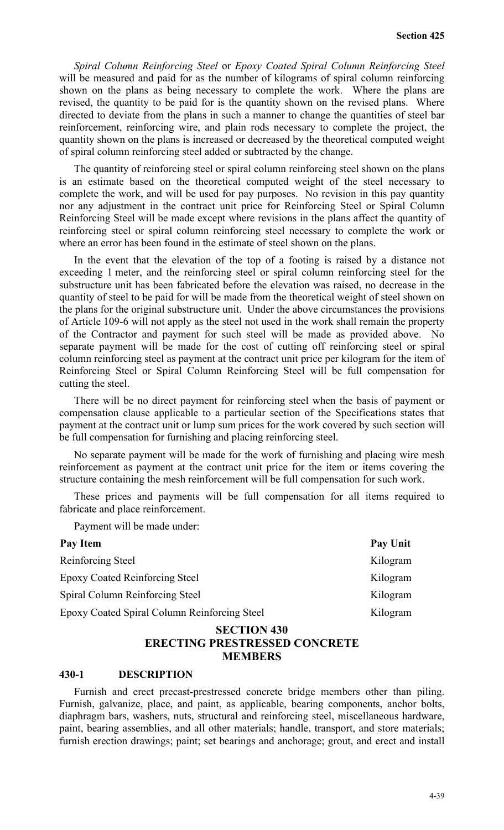*Spiral Column Reinforcing Steel* or *Epoxy Coated Spiral Column Reinforcing Steel* will be measured and paid for as the number of kilograms of spiral column reinforcing shown on the plans as being necessary to complete the work. Where the plans are revised, the quantity to be paid for is the quantity shown on the revised plans. Where directed to deviate from the plans in such a manner to change the quantities of steel bar reinforcement, reinforcing wire, and plain rods necessary to complete the project, the quantity shown on the plans is increased or decreased by the theoretical computed weight of spiral column reinforcing steel added or subtracted by the change.

The quantity of reinforcing steel or spiral column reinforcing steel shown on the plans is an estimate based on the theoretical computed weight of the steel necessary to complete the work, and will be used for pay purposes. No revision in this pay quantity nor any adjustment in the contract unit price for Reinforcing Steel or Spiral Column Reinforcing Steel will be made except where revisions in the plans affect the quantity of reinforcing steel or spiral column reinforcing steel necessary to complete the work or where an error has been found in the estimate of steel shown on the plans.

In the event that the elevation of the top of a footing is raised by a distance not exceeding 1 meter, and the reinforcing steel or spiral column reinforcing steel for the substructure unit has been fabricated before the elevation was raised, no decrease in the quantity of steel to be paid for will be made from the theoretical weight of steel shown on the plans for the original substructure unit.Under the above circumstances the provisions of Article 109-6 will not apply as the steel not used in the work shall remain the property of the Contractor and payment for such steel will be made as provided above. No separate payment will be made for the cost of cutting off reinforcing steel or spiral column reinforcing steel as payment at the contract unit price per kilogram for the item of Reinforcing Steel or Spiral Column Reinforcing Steel will be full compensation for cutting the steel.

There will be no direct payment for reinforcing steel when the basis of payment or compensation clause applicable to a particular section of the Specifications states that payment at the contract unit or lump sum prices for the work covered by such section will be full compensation for furnishing and placing reinforcing steel.

No separate payment will be made for the work of furnishing and placing wire mesh reinforcement as payment at the contract unit price for the item or items covering the structure containing the mesh reinforcement will be full compensation for such work.

These prices and payments will be full compensation for all items required to fabricate and place reinforcement.

Payment will be made under:

| Pay Item                                     | Pay Unit |
|----------------------------------------------|----------|
| Reinforcing Steel                            | Kilogram |
| <b>Epoxy Coated Reinforcing Steel</b>        | Kilogram |
| Spiral Column Reinforcing Steel              | Kilogram |
| Epoxy Coated Spiral Column Reinforcing Steel | Kilogram |

## **SECTION 430 ERECTING PRESTRESSED CONCRETE MEMBERS**

#### **430-1 DESCRIPTION**

Furnish and erect precast-prestressed concrete bridge members other than piling. Furnish, galvanize, place, and paint, as applicable, bearing components, anchor bolts, diaphragm bars, washers, nuts, structural and reinforcing steel, miscellaneous hardware, paint, bearing assemblies, and all other materials; handle, transport, and store materials; furnish erection drawings; paint; set bearings and anchorage; grout, and erect and install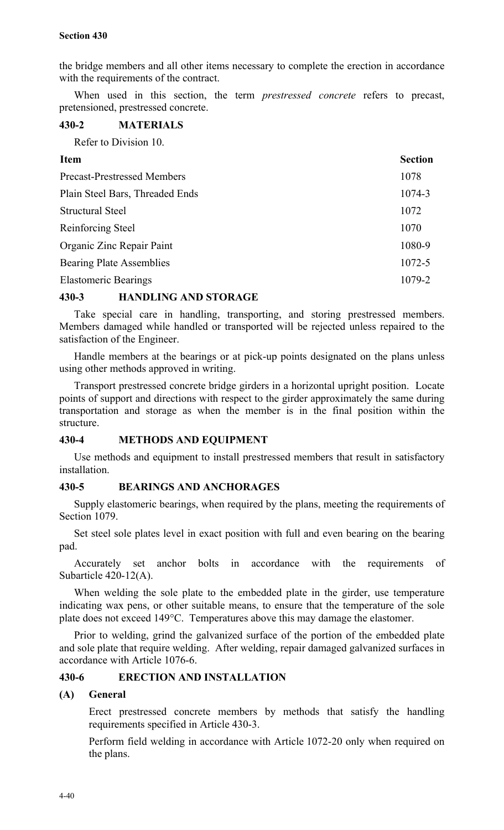the bridge members and all other items necessary to complete the erection in accordance with the requirements of the contract.

When used in this section, the term *prestressed concrete* refers to precast, pretensioned, prestressed concrete.

## **430-2 MATERIALS**

Refer to Division 10.

| <b>Section</b>                             |
|--------------------------------------------|
| 1078<br><b>Precast-Prestressed Members</b> |
| 1074-3<br>Plain Steel Bars, Threaded Ends  |
| 1072                                       |
| 1070                                       |
| 1080-9<br>Organic Zinc Repair Paint        |
| <b>Bearing Plate Assemblies</b><br>1072-5  |
| 1079-2                                     |
|                                            |

## **430-3 HANDLING AND STORAGE**

Take special care in handling, transporting, and storing prestressed members. Members damaged while handled or transported will be rejected unless repaired to the satisfaction of the Engineer.

Handle members at the bearings or at pick-up points designated on the plans unless using other methods approved in writing.

Transport prestressed concrete bridge girders in a horizontal upright position. Locate points of support and directions with respect to the girder approximately the same during transportation and storage as when the member is in the final position within the structure.

## **430-4 METHODS AND EQUIPMENT**

Use methods and equipment to install prestressed members that result in satisfactory installation.

## **430-5 BEARINGS AND ANCHORAGES**

Supply elastomeric bearings, when required by the plans, meeting the requirements of Section 1079.

Set steel sole plates level in exact position with full and even bearing on the bearing pad.

Accurately set anchor bolts in accordance with the requirements of Subarticle 420-12(A).

When welding the sole plate to the embedded plate in the girder, use temperature indicating wax pens, or other suitable means, to ensure that the temperature of the sole plate does not exceed 149°C. Temperatures above this may damage the elastomer.

Prior to welding, grind the galvanized surface of the portion of the embedded plate and sole plate that require welding. After welding, repair damaged galvanized surfaces in accordance with Article 1076-6.

## **430-6 ERECTION AND INSTALLATION**

## **(A) General**

Erect prestressed concrete members by methods that satisfy the handling requirements specified in Article 430-3.

Perform field welding in accordance with Article 1072-20 only when required on the plans.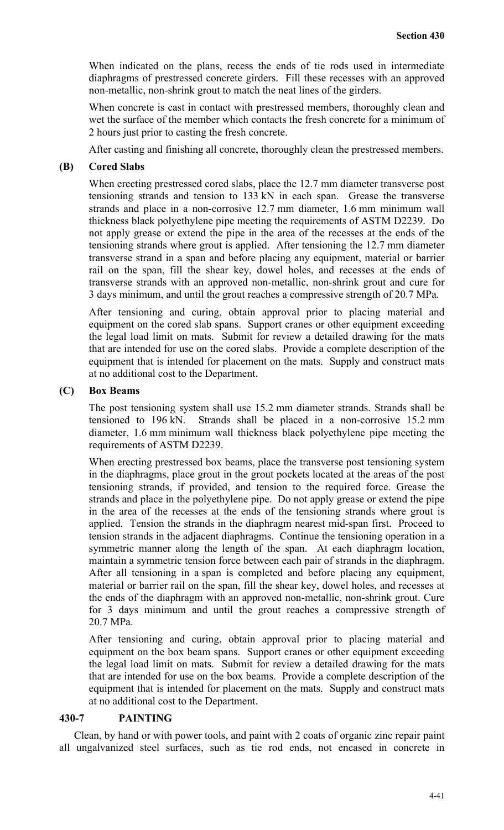When indicated on the plans, recess the ends of tie rods used in intermediate diaphragms of prestressed concrete girders. Fill these recesses with an approved non-metallic, non-shrink grout to match the neat lines of the girders.

When concrete is cast in contact with prestressed members, thoroughly clean and wet the surface of the member which contacts the fresh concrete for a minimum of 2 hours just prior to casting the fresh concrete.

After casting and finishing all concrete, thoroughly clean the prestressed members.

## **(B) Cored Slabs**

When erecting prestressed cored slabs, place the 12.7 mm diameter transverse post tensioning strands and tension to 133 kN in each span. Grease the transverse strands and place in a non-corrosive 12.7 mm diameter, 1.6 mm minimum wall thickness black polyethylene pipe meeting the requirements of ASTM D2239. Do not apply grease or extend the pipe in the area of the recesses at the ends of the tensioning strands where grout is applied. After tensioning the 12.7 mm diameter transverse strand in a span and before placing any equipment, material or barrier rail on the span, fill the shear key, dowel holes, and recesses at the ends of transverse strands with an approved non-metallic, non-shrink grout and cure for 3 days minimum, and until the grout reaches a compressive strength of 20.7 MPa.

After tensioning and curing, obtain approval prior to placing material and equipment on the cored slab spans. Support cranes or other equipment exceeding the legal load limit on mats. Submit for review a detailed drawing for the mats that are intended for use on the cored slabs. Provide a complete description of the equipment that is intended for placement on the mats. Supply and construct mats at no additional cost to the Department.

#### **(C) Box Beams**

The post tensioning system shall use 15.2 mm diameter strands. Strands shall be tensioned to 196 kN. Strands shall be placed in a non-corrosive 15.2 mm diameter, 1.6 mm minimum wall thickness black polyethylene pipe meeting the requirements of ASTM D2239.

When erecting prestressed box beams, place the transverse post tensioning system in the diaphragms, place grout in the grout pockets located at the areas of the post tensioning strands, if provided, and tension to the required force. Grease the strands and place in the polyethylene pipe. Do not apply grease or extend the pipe in the area of the recesses at the ends of the tensioning strands where grout is applied. Tension the strands in the diaphragm nearest mid-span first. Proceed to tension strands in the adjacent diaphragms. Continue the tensioning operation in a symmetric manner along the length of the span. At each diaphragm location, maintain a symmetric tension force between each pair of strands in the diaphragm. After all tensioning in a span is completed and before placing any equipment, material or barrier rail on the span, fill the shear key, dowel holes, and recesses at the ends of the diaphragm with an approved non-metallic, non-shrink grout. Cure for 3 days minimum and until the grout reaches a compressive strength of 20.7 MPa.

After tensioning and curing, obtain approval prior to placing material and equipment on the box beam spans. Support cranes or other equipment exceeding the legal load limit on mats. Submit for review a detailed drawing for the mats that are intended for use on the box beams. Provide a complete description of the equipment that is intended for placement on the mats. Supply and construct mats at no additional cost to the Department.

#### **430-7 PAINTING**

Clean, by hand or with power tools, and paint with 2 coats of organic zinc repair paint all ungalvanized steel surfaces, such as tie rod ends, not encased in concrete in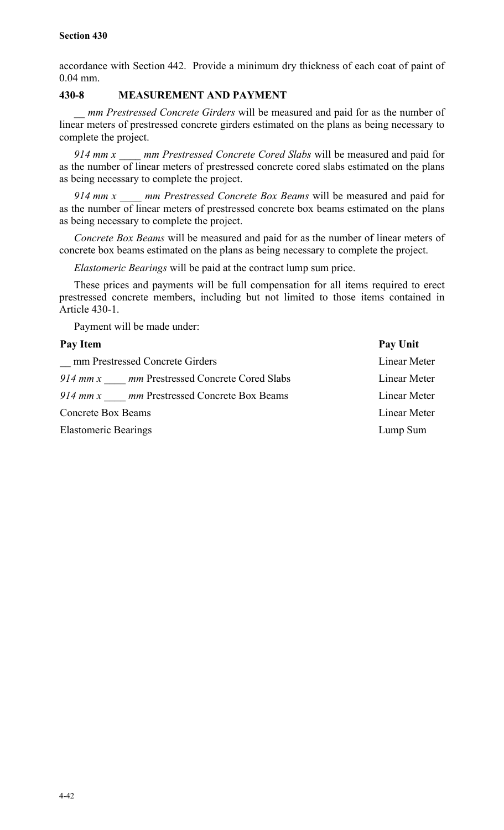accordance with Section 442. Provide a minimum dry thickness of each coat of paint of 0.04 mm.

## **430-8 MEASUREMENT AND PAYMENT**

*mm Prestressed Concrete Girders* will be measured and paid for as the number of linear meters of prestressed concrete girders estimated on the plans as being necessary to complete the project.

*914 mm x \_\_\_\_ mm Prestressed Concrete Cored Slabs* will be measured and paid for as the number of linear meters of prestressed concrete cored slabs estimated on the plans as being necessary to complete the project.

*914 mm x \_\_\_\_ mm Prestressed Concrete Box Beams* will be measured and paid for as the number of linear meters of prestressed concrete box beams estimated on the plans as being necessary to complete the project.

*Concrete Box Beams* will be measured and paid for as the number of linear meters of concrete box beams estimated on the plans as being necessary to complete the project.

*Elastomeric Bearings* will be paid at the contract lump sum price.

These prices and payments will be full compensation for all items required to erect prestressed concrete members, including but not limited to those items contained in Article 430-1.

Payment will be made under:

| Pay Item                                        | Pay Unit     |
|-------------------------------------------------|--------------|
| mm Prestressed Concrete Girders                 | Linear Meter |
| 914 mm x mm Prestressed Concrete Cored Slabs    | Linear Meter |
| mm Prestressed Concrete Box Beams<br>$914$ mm x | Linear Meter |
| <b>Concrete Box Beams</b>                       | Linear Meter |
| <b>Elastomeric Bearings</b>                     | Lump Sum     |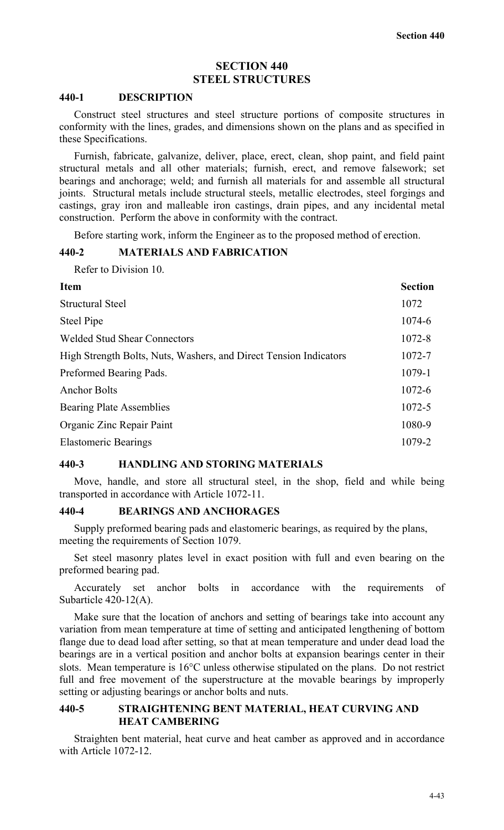## **SECTION 440 STEEL STRUCTURES**

#### **440-1 DESCRIPTION**

Construct steel structures and steel structure portions of composite structures in conformity with the lines, grades, and dimensions shown on the plans and as specified in these Specifications.

Furnish, fabricate, galvanize, deliver, place, erect, clean, shop paint, and field paint structural metals and all other materials; furnish, erect, and remove falsework; set bearings and anchorage; weld; and furnish all materials for and assemble all structural joints. Structural metals include structural steels, metallic electrodes, steel forgings and castings, gray iron and malleable iron castings, drain pipes, and any incidental metal construction. Perform the above in conformity with the contract.

Before starting work, inform the Engineer as to the proposed method of erection.

#### **440-2 MATERIALS AND FABRICATION**

Refer to Division 10.

| <b>Item</b>                                                       | <b>Section</b> |
|-------------------------------------------------------------------|----------------|
| <b>Structural Steel</b>                                           | 1072           |
| <b>Steel Pipe</b>                                                 | 1074-6         |
| <b>Welded Stud Shear Connectors</b>                               | 1072-8         |
| High Strength Bolts, Nuts, Washers, and Direct Tension Indicators | 1072-7         |
| Preformed Bearing Pads.                                           | 1079-1         |
| <b>Anchor Bolts</b>                                               | 1072-6         |
| <b>Bearing Plate Assemblies</b>                                   | 1072-5         |
| Organic Zinc Repair Paint                                         | 1080-9         |
| <b>Elastomeric Bearings</b>                                       | 1079-2         |

#### **440-3 HANDLING AND STORING MATERIALS**

Move, handle, and store all structural steel, in the shop, field and while being transported in accordance with Article 1072-11.

## **440-4 BEARINGS AND ANCHORAGES**

Supply preformed bearing pads and elastomeric bearings, as required by the plans, meeting the requirements of Section 1079.

Set steel masonry plates level in exact position with full and even bearing on the preformed bearing pad.

Accurately set anchor bolts in accordance with the requirements of Subarticle 420-12(A).

Make sure that the location of anchors and setting of bearings take into account any variation from mean temperature at time of setting and anticipated lengthening of bottom flange due to dead load after setting, so that at mean temperature and under dead load the bearings are in a vertical position and anchor bolts at expansion bearings center in their slots. Mean temperature is 16°C unless otherwise stipulated on the plans. Do not restrict full and free movement of the superstructure at the movable bearings by improperly setting or adjusting bearings or anchor bolts and nuts.

## **440-5 STRAIGHTENING BENT MATERIAL, HEAT CURVING AND HEAT CAMBERING**

Straighten bent material, heat curve and heat camber as approved and in accordance with Article 1072-12.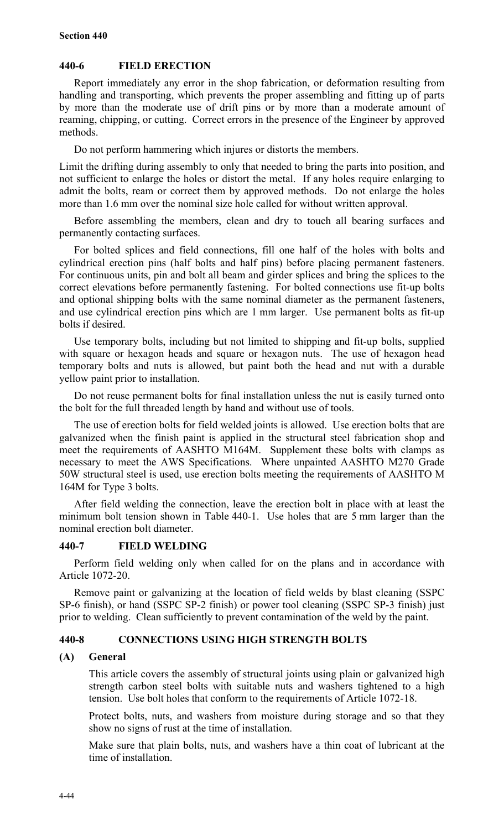## **440-6 FIELD ERECTION**

Report immediately any error in the shop fabrication, or deformation resulting from handling and transporting, which prevents the proper assembling and fitting up of parts by more than the moderate use of drift pins or by more than a moderate amount of reaming, chipping, or cutting. Correct errors in the presence of the Engineer by approved methods.

Do not perform hammering which injures or distorts the members.

Limit the drifting during assembly to only that needed to bring the parts into position, and not sufficient to enlarge the holes or distort the metal. If any holes require enlarging to admit the bolts, ream or correct them by approved methods. Do not enlarge the holes more than 1.6 mm over the nominal size hole called for without written approval.

Before assembling the members, clean and dry to touch all bearing surfaces and permanently contacting surfaces.

For bolted splices and field connections, fill one half of the holes with bolts and cylindrical erection pins (half bolts and half pins) before placing permanent fasteners. For continuous units, pin and bolt all beam and girder splices and bring the splices to the correct elevations before permanently fastening. For bolted connections use fit-up bolts and optional shipping bolts with the same nominal diameter as the permanent fasteners, and use cylindrical erection pins which are 1 mm larger. Use permanent bolts as fit-up bolts if desired.

Use temporary bolts, including but not limited to shipping and fit-up bolts, supplied with square or hexagon heads and square or hexagon nuts. The use of hexagon head temporary bolts and nuts is allowed, but paint both the head and nut with a durable yellow paint prior to installation.

Do not reuse permanent bolts for final installation unless the nut is easily turned onto the bolt for the full threaded length by hand and without use of tools.

The use of erection bolts for field welded joints is allowed. Use erection bolts that are galvanized when the finish paint is applied in the structural steel fabrication shop and meet the requirements of AASHTO M164M. Supplement these bolts with clamps as necessary to meet the AWS Specifications. Where unpainted AASHTO M270 Grade 50W structural steel is used, use erection bolts meeting the requirements of AASHTO M 164M for Type 3 bolts.

After field welding the connection, leave the erection bolt in place with at least the minimum bolt tension shown in Table 440-1. Use holes that are 5 mm larger than the nominal erection bolt diameter.

## **440-7 FIELD WELDING**

Perform field welding only when called for on the plans and in accordance with Article 1072-20.

Remove paint or galvanizing at the location of field welds by blast cleaning (SSPC SP-6 finish), or hand (SSPC SP-2 finish) or power tool cleaning (SSPC SP-3 finish) just prior to welding. Clean sufficiently to prevent contamination of the weld by the paint.

## **440-8 CONNECTIONS USING HIGH STRENGTH BOLTS**

## **(A) General**

This article covers the assembly of structural joints using plain or galvanized high strength carbon steel bolts with suitable nuts and washers tightened to a high tension. Use bolt holes that conform to the requirements of Article 1072-18.

Protect bolts, nuts, and washers from moisture during storage and so that they show no signs of rust at the time of installation.

Make sure that plain bolts, nuts, and washers have a thin coat of lubricant at the time of installation.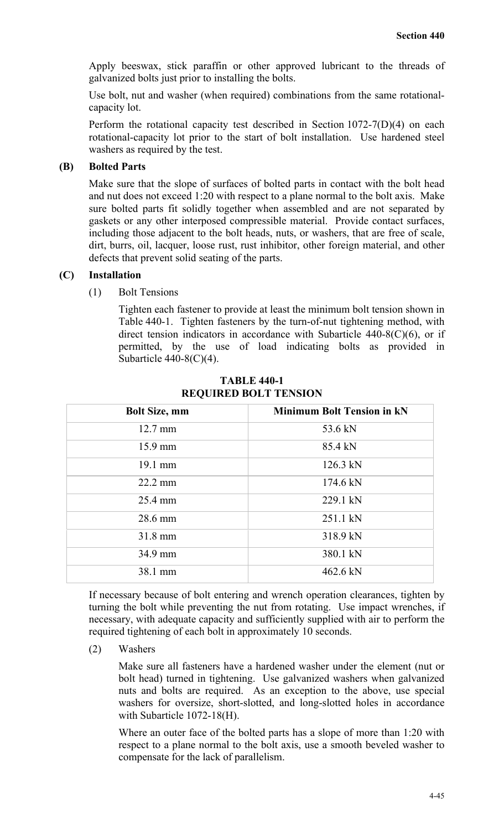Apply beeswax, stick paraffin or other approved lubricant to the threads of galvanized bolts just prior to installing the bolts.

Use bolt, nut and washer (when required) combinations from the same rotationalcapacity lot.

Perform the rotational capacity test described in Section 1072-7(D)(4) on each rotational-capacity lot prior to the start of bolt installation. Use hardened steel washers as required by the test.

## **(B) Bolted Parts**

Make sure that the slope of surfaces of bolted parts in contact with the bolt head and nut does not exceed 1:20 with respect to a plane normal to the bolt axis. Make sure bolted parts fit solidly together when assembled and are not separated by gaskets or any other interposed compressible material. Provide contact surfaces, including those adjacent to the bolt heads, nuts, or washers, that are free of scale, dirt, burrs, oil, lacquer, loose rust, rust inhibitor, other foreign material, and other defects that prevent solid seating of the parts.

#### **(C) Installation**

(1) Bolt Tensions

Tighten each fastener to provide at least the minimum bolt tension shown in Table 440-1. Tighten fasteners by the turn-of-nut tightening method, with direct tension indicators in accordance with Subarticle 440-8(C)(6), or if permitted, by the use of load indicating bolts as provided in Subarticle 440-8(C)(4).

| <b>Bolt Size, mm</b> | <b>Minimum Bolt Tension in kN</b> |
|----------------------|-----------------------------------|
| $12.7 \text{ mm}$    | 53.6 kN                           |
| 15.9 mm              | 85.4 kN                           |
| $19.1 \text{ mm}$    | $126.3$ kN                        |
| $22.2 \text{ mm}$    | $174.6 \text{ kN}$                |
| 25.4 mm              | 229.1 kN                          |
| 28.6 mm              | 251.1 kN                          |
| $31.8 \text{ mm}$    | 318.9 kN                          |
| 34.9 mm              | 380.1 kN                          |
| 38.1 mm              | 462.6 kN                          |

**TABLE 440-1 REQUIRED BOLT TENSION**

If necessary because of bolt entering and wrench operation clearances, tighten by turning the bolt while preventing the nut from rotating. Use impact wrenches, if necessary, with adequate capacity and sufficiently supplied with air to perform the required tightening of each bolt in approximately 10 seconds.

(2) Washers

Make sure all fasteners have a hardened washer under the element (nut or bolt head) turned in tightening. Use galvanized washers when galvanized nuts and bolts are required. As an exception to the above, use special washers for oversize, short-slotted, and long-slotted holes in accordance with Subarticle 1072-18(H).

Where an outer face of the bolted parts has a slope of more than 1:20 with respect to a plane normal to the bolt axis, use a smooth beveled washer to compensate for the lack of parallelism.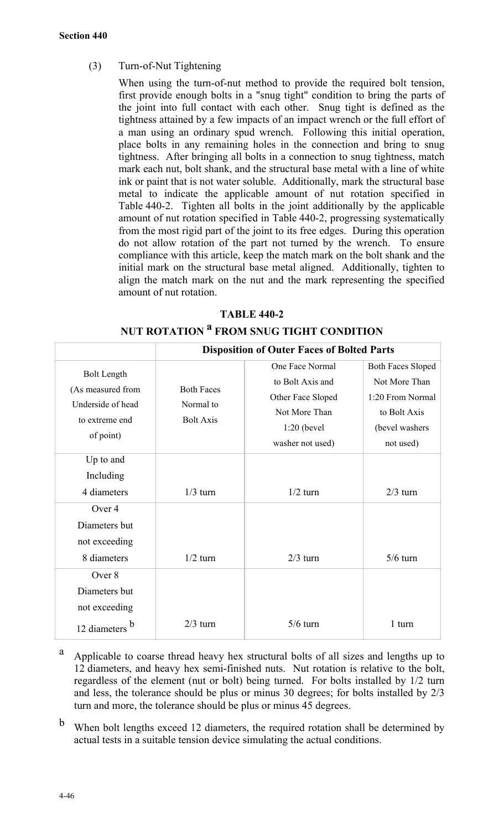(3) Turn-of-Nut Tightening

When using the turn-of-nut method to provide the required bolt tension, first provide enough bolts in a "snug tight" condition to bring the parts of the joint into full contact with each other. Snug tight is defined as the tightness attained by a few impacts of an impact wrench or the full effort of a man using an ordinary spud wrench. Following this initial operation, place bolts in any remaining holes in the connection and bring to snug tightness. After bringing all bolts in a connection to snug tightness, match mark each nut, bolt shank, and the structural base metal with a line of white ink or paint that is not water soluble. Additionally, mark the structural base metal to indicate the applicable amount of nut rotation specified in Table 440-2. Tighten all bolts in the joint additionally by the applicable amount of nut rotation specified in Table 440-2, progressing systematically from the most rigid part of the joint to its free edges. During this operation do not allow rotation of the part not turned by the wrench. To ensure compliance with this article, keep the match mark on the bolt shank and the initial mark on the structural base metal aligned. Additionally, tighten to align the match mark on the nut and the mark representing the specified amount of nut rotation.

## **TABLE 440-2**

|                    | <b>Disposition of Outer Faces of Bolted Parts</b> |                   |                          |
|--------------------|---------------------------------------------------|-------------------|--------------------------|
| <b>Bolt Length</b> |                                                   | One Face Normal   | <b>Both Faces Sloped</b> |
| (As measured from  | <b>Both Faces</b>                                 | to Bolt Axis and  | Not More Than            |
| Underside of head  | Normal to                                         | Other Face Sloped | 1:20 From Normal         |
| to extreme end     | <b>Bolt Axis</b>                                  | Not More Than     | to Bolt Axis             |
| of point)          |                                                   | $1:20$ (bevel     | (bevel washers)          |
|                    |                                                   | washer not used)  | not used)                |
| Up to and          |                                                   |                   |                          |
| Including          |                                                   |                   |                          |
| 4 diameters        | $1/3$ turn                                        | $1/2$ turn        | $2/3$ turn               |
| Over 4             |                                                   |                   |                          |
| Diameters but      |                                                   |                   |                          |
| not exceeding      |                                                   |                   |                          |
| 8 diameters        | $1/2$ turn                                        | $2/3$ turn        | $5/6$ turn               |
| Over 8             |                                                   |                   |                          |
| Diameters but      |                                                   |                   |                          |
| not exceeding      |                                                   |                   |                          |
| 12 diameters       | $2/3$ turn                                        | $5/6$ turn        | 1 turn                   |

**NUT ROTATION <sup>a</sup> FROM SNUG TIGHT CONDITION**

- <sup>a</sup> Applicable to coarse thread heavy hex structural bolts of all sizes and lengths up to 12 diameters, and heavy hex semi-finished nuts. Nut rotation is relative to the bolt, regardless of the element (nut or bolt) being turned. For bolts installed by 1/2 turn and less, the tolerance should be plus or minus 30 degrees; for bolts installed by 2/3 turn and more, the tolerance should be plus or minus 45 degrees.
- <sup>b</sup> When bolt lengths exceed 12 diameters, the required rotation shall be determined by actual tests in a suitable tension device simulating the actual conditions.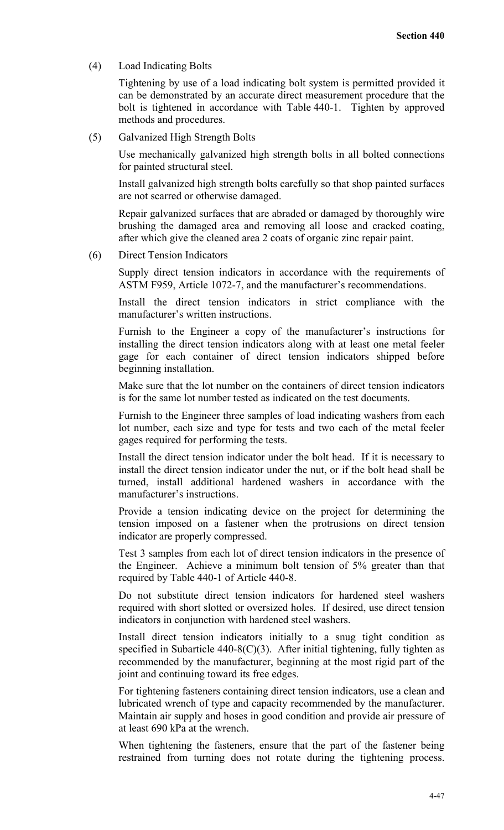(4) Load Indicating Bolts

Tightening by use of a load indicating bolt system is permitted provided it can be demonstrated by an accurate direct measurement procedure that the bolt is tightened in accordance with Table 440-1. Tighten by approved methods and procedures.

(5) Galvanized High Strength Bolts

Use mechanically galvanized high strength bolts in all bolted connections for painted structural steel.

Install galvanized high strength bolts carefully so that shop painted surfaces are not scarred or otherwise damaged.

Repair galvanized surfaces that are abraded or damaged by thoroughly wire brushing the damaged area and removing all loose and cracked coating, after which give the cleaned area 2 coats of organic zinc repair paint.

(6) Direct Tension Indicators

Supply direct tension indicators in accordance with the requirements of ASTM F959, Article 1072-7, and the manufacturer's recommendations.

Install the direct tension indicators in strict compliance with the manufacturer's written instructions.

Furnish to the Engineer a copy of the manufacturer's instructions for installing the direct tension indicators along with at least one metal feeler gage for each container of direct tension indicators shipped before beginning installation.

Make sure that the lot number on the containers of direct tension indicators is for the same lot number tested as indicated on the test documents.

Furnish to the Engineer three samples of load indicating washers from each lot number, each size and type for tests and two each of the metal feeler gages required for performing the tests.

Install the direct tension indicator under the bolt head. If it is necessary to install the direct tension indicator under the nut, or if the bolt head shall be turned, install additional hardened washers in accordance with the manufacturer's instructions.

Provide a tension indicating device on the project for determining the tension imposed on a fastener when the protrusions on direct tension indicator are properly compressed.

Test 3 samples from each lot of direct tension indicators in the presence of the Engineer. Achieve a minimum bolt tension of 5% greater than that required by Table 440-1 of Article 440-8.

Do not substitute direct tension indicators for hardened steel washers required with short slotted or oversized holes. If desired, use direct tension indicators in conjunction with hardened steel washers.

Install direct tension indicators initially to a snug tight condition as specified in Subarticle  $440-8(C)(3)$ . After initial tightening, fully tighten as recommended by the manufacturer, beginning at the most rigid part of the joint and continuing toward its free edges.

For tightening fasteners containing direct tension indicators, use a clean and lubricated wrench of type and capacity recommended by the manufacturer. Maintain air supply and hoses in good condition and provide air pressure of at least 690 kPa at the wrench.

When tightening the fasteners, ensure that the part of the fastener being restrained from turning does not rotate during the tightening process.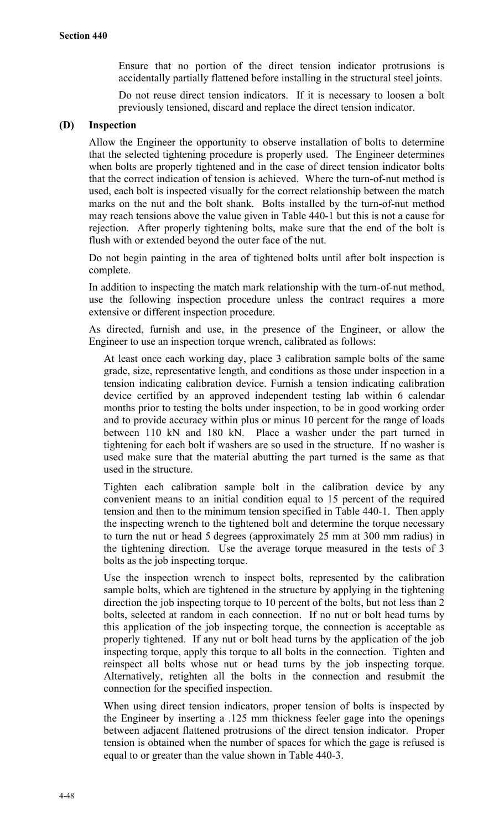Ensure that no portion of the direct tension indicator protrusions is accidentally partially flattened before installing in the structural steel joints.

Do not reuse direct tension indicators. If it is necessary to loosen a bolt previously tensioned, discard and replace the direct tension indicator.

## **(D) Inspection**

Allow the Engineer the opportunity to observe installation of bolts to determine that the selected tightening procedure is properly used. The Engineer determines when bolts are properly tightened and in the case of direct tension indicator bolts that the correct indication of tension is achieved. Where the turn-of-nut method is used, each bolt is inspected visually for the correct relationship between the match marks on the nut and the bolt shank. Bolts installed by the turn-of-nut method may reach tensions above the value given in Table 440-1 but this is not a cause for rejection. After properly tightening bolts, make sure that the end of the bolt is flush with or extended beyond the outer face of the nut.

Do not begin painting in the area of tightened bolts until after bolt inspection is complete.

In addition to inspecting the match mark relationship with the turn-of-nut method, use the following inspection procedure unless the contract requires a more extensive or different inspection procedure.

As directed, furnish and use, in the presence of the Engineer, or allow the Engineer to use an inspection torque wrench, calibrated as follows:

At least once each working day, place 3 calibration sample bolts of the same grade, size, representative length, and conditions as those under inspection in a tension indicating calibration device. Furnish a tension indicating calibration device certified by an approved independent testing lab within 6 calendar months prior to testing the bolts under inspection, to be in good working order and to provide accuracy within plus or minus 10 percent for the range of loads between 110 kN and 180 kN. Place a washer under the part turned in tightening for each bolt if washers are so used in the structure. If no washer is used make sure that the material abutting the part turned is the same as that used in the structure.

Tighten each calibration sample bolt in the calibration device by any convenient means to an initial condition equal to 15 percent of the required tension and then to the minimum tension specified in Table 440-1. Then apply the inspecting wrench to the tightened bolt and determine the torque necessary to turn the nut or head 5 degrees (approximately 25 mm at 300 mm radius) in the tightening direction. Use the average torque measured in the tests of 3 bolts as the job inspecting torque.

Use the inspection wrench to inspect bolts, represented by the calibration sample bolts, which are tightened in the structure by applying in the tightening direction the job inspecting torque to 10 percent of the bolts, but not less than 2 bolts, selected at random in each connection. If no nut or bolt head turns by this application of the job inspecting torque, the connection is acceptable as properly tightened. If any nut or bolt head turns by the application of the job inspecting torque, apply this torque to all bolts in the connection. Tighten and reinspect all bolts whose nut or head turns by the job inspecting torque. Alternatively, retighten all the bolts in the connection and resubmit the connection for the specified inspection.

When using direct tension indicators, proper tension of bolts is inspected by the Engineer by inserting a .125 mm thickness feeler gage into the openings between adjacent flattened protrusions of the direct tension indicator. Proper tension is obtained when the number of spaces for which the gage is refused is equal to or greater than the value shown in Table 440-3.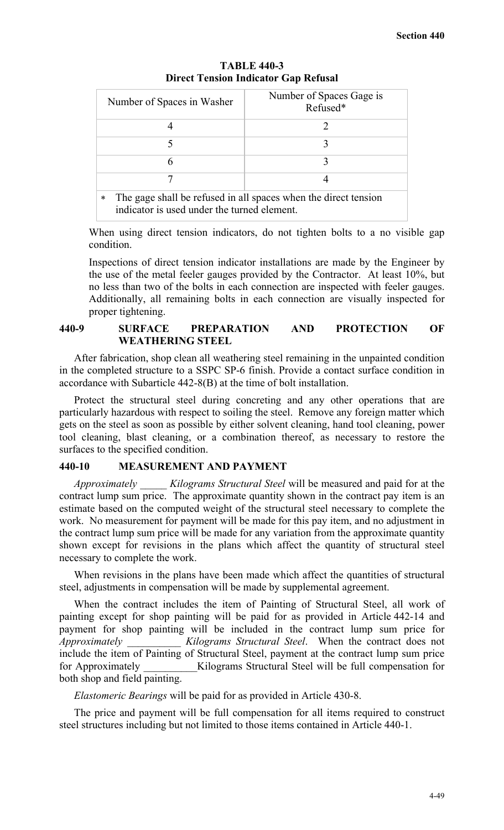| Number of Spaces in Washer                                                                                               | Number of Spaces Gage is<br>Refused* |  |
|--------------------------------------------------------------------------------------------------------------------------|--------------------------------------|--|
|                                                                                                                          |                                      |  |
|                                                                                                                          |                                      |  |
|                                                                                                                          |                                      |  |
|                                                                                                                          |                                      |  |
| The gage shall be refused in all spaces when the direct tension<br>$\ast$<br>indicator is used under the turned element. |                                      |  |

**TABLE 440-3 Direct Tension Indicator Gap Refusal**

When using direct tension indicators, do not tighten bolts to a no visible gap condition.

Inspections of direct tension indicator installations are made by the Engineer by the use of the metal feeler gauges provided by the Contractor. At least 10%, but no less than two of the bolts in each connection are inspected with feeler gauges. Additionally, all remaining bolts in each connection are visually inspected for proper tightening.

#### **440-9 SURFACE PREPARATION AND PROTECTION OF WEATHERING STEEL**

After fabrication, shop clean all weathering steel remaining in the unpainted condition in the completed structure to a SSPC SP-6 finish. Provide a contact surface condition in accordance with Subarticle 442-8(B) at the time of bolt installation.

Protect the structural steel during concreting and any other operations that are particularly hazardous with respect to soiling the steel. Remove any foreign matter which gets on the steel as soon as possible by either solvent cleaning, hand tool cleaning, power tool cleaning, blast cleaning, or a combination thereof, as necessary to restore the surfaces to the specified condition.

## **440-10 MEASUREMENT AND PAYMENT**

*Approximately \_\_\_\_\_ Kilograms Structural Steel* will be measured and paid for at the contract lump sum price. The approximate quantity shown in the contract pay item is an estimate based on the computed weight of the structural steel necessary to complete the work. No measurement for payment will be made for this pay item, and no adjustment in the contract lump sum price will be made for any variation from the approximate quantity shown except for revisions in the plans which affect the quantity of structural steel necessary to complete the work.

When revisions in the plans have been made which affect the quantities of structural steel, adjustments in compensation will be made by supplemental agreement.

When the contract includes the item of Painting of Structural Steel, all work of painting except for shop painting will be paid for as provided in Article 442-14 and payment for shop painting will be included in the contract lump sum price for *Approximately \_\_\_\_\_\_\_\_\_\_ Kilograms Structural Steel*. When the contract does not include the item of Painting of Structural Steel, payment at the contract lump sum price for Approximately **Kilograms Structural Steel will be full compensation for** both shop and field painting.

*Elastomeric Bearings* will be paid for as provided in Article 430-8.

The price and payment will be full compensation for all items required to construct steel structures including but not limited to those items contained in Article 440-1.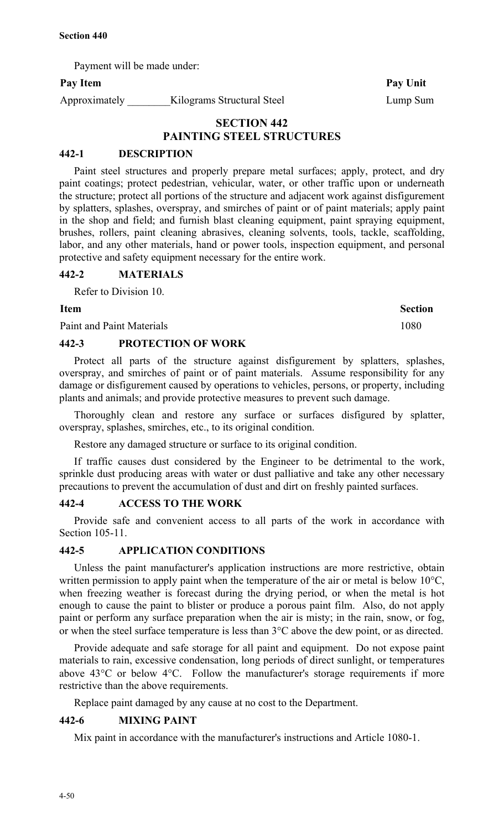Payment will be made under:

## Pay Item Pay Unit

Approximately \_\_\_\_\_\_\_\_\_Kilograms Structural Steel Lump Sum

## **SECTION 442 PAINTING STEEL STRUCTURES**

## **442-1 DESCRIPTION**

Paint steel structures and properly prepare metal surfaces; apply, protect, and dry paint coatings; protect pedestrian, vehicular, water, or other traffic upon or underneath the structure; protect all portions of the structure and adjacent work against disfigurement by splatters, splashes, overspray, and smirches of paint or of paint materials; apply paint in the shop and field; and furnish blast cleaning equipment, paint spraying equipment, brushes, rollers, paint cleaning abrasives, cleaning solvents, tools, tackle, scaffolding, labor, and any other materials, hand or power tools, inspection equipment, and personal protective and safety equipment necessary for the entire work.

#### **442-2 MATERIALS**

Refer to Division 10.

#### **Item** Section

Paint and Paint Materials 1080

## **442-3 PROTECTION OF WORK**

Protect all parts of the structure against disfigurement by splatters, splashes, overspray, and smirches of paint or of paint materials. Assume responsibility for any damage or disfigurement caused by operations to vehicles, persons, or property, including plants and animals; and provide protective measures to prevent such damage.

Thoroughly clean and restore any surface or surfaces disfigured by splatter, overspray, splashes, smirches, etc., to its original condition.

Restore any damaged structure or surface to its original condition.

If traffic causes dust considered by the Engineer to be detrimental to the work, sprinkle dust producing areas with water or dust palliative and take any other necessary precautions to prevent the accumulation of dust and dirt on freshly painted surfaces.

#### **442-4 ACCESS TO THE WORK**

Provide safe and convenient access to all parts of the work in accordance with Section 105-11.

## **442-5 APPLICATION CONDITIONS**

Unless the paint manufacturer's application instructions are more restrictive, obtain written permission to apply paint when the temperature of the air or metal is below 10<sup>o</sup>C, when freezing weather is forecast during the drying period, or when the metal is hot enough to cause the paint to blister or produce a porous paint film. Also, do not apply paint or perform any surface preparation when the air is misty; in the rain, snow, or fog, or when the steel surface temperature is less than 3°C above the dew point, or as directed.

Provide adequate and safe storage for all paint and equipment. Do not expose paint materials to rain, excessive condensation, long periods of direct sunlight, or temperatures above 43°C or below 4°C. Follow the manufacturer's storage requirements if more restrictive than the above requirements.

Replace paint damaged by any cause at no cost to the Department.

## **442-6 MIXING PAINT**

Mix paint in accordance with the manufacturer's instructions and Article 1080-1.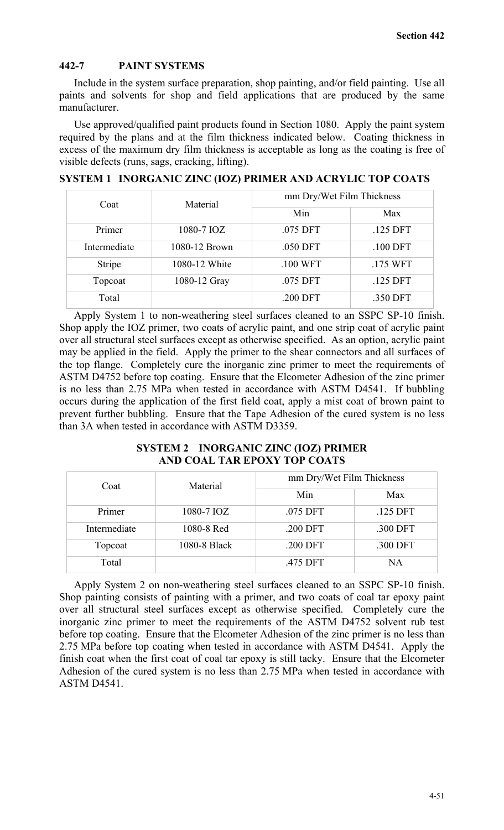## **442-7 PAINT SYSTEMS**

Include in the system surface preparation, shop painting, and/or field painting. Use all paints and solvents for shop and field applications that are produced by the same manufacturer.

Use approved/qualified paint products found in Section 1080. Apply the paint system required by the plans and at the film thickness indicated below. Coating thickness in excess of the maximum dry film thickness is acceptable as long as the coating is free of visible defects (runs, sags, cracking, lifting).

| Material<br>Coat |               | mm Dry/Wet Film Thickness |            |
|------------------|---------------|---------------------------|------------|
|                  | Min           | Max                       |            |
| Primer           | 1080-7 IOZ    | .075 DFT                  | .125 DFT   |
| Intermediate     | 1080-12 Brown | .050 DFT                  | $.100$ DFT |
| Stripe           | 1080-12 White | .100 WFT                  | .175 WFT   |
| Topcoat          | 1080-12 Gray  | .075 DFT                  | .125 DFT   |
| Total            |               | .200 DFT                  | .350 DFT   |

#### **SYSTEM 1 INORGANIC ZINC (IOZ) PRIMER AND ACRYLIC TOP COATS**

Apply System 1 to non-weathering steel surfaces cleaned to an SSPC SP-10 finish. Shop apply the IOZ primer, two coats of acrylic paint, and one strip coat of acrylic paint over all structural steel surfaces except as otherwise specified. As an option, acrylic paint may be applied in the field. Apply the primer to the shear connectors and all surfaces of the top flange. Completely cure the inorganic zinc primer to meet the requirements of ASTM D4752 before top coating. Ensure that the Elcometer Adhesion of the zinc primer is no less than 2.75 MPa when tested in accordance with ASTM D4541. If bubbling occurs during the application of the first field coat, apply a mist coat of brown paint to prevent further bubbling. Ensure that the Tape Adhesion of the cured system is no less than 3A when tested in accordance with ASTM D3359.

#### **SYSTEM 2 INORGANIC ZINC (IOZ) PRIMER AND COAL TAR EPOXY TOP COATS**

| Coat         | Material     | mm Dry/Wet Film Thickness |          |
|--------------|--------------|---------------------------|----------|
|              |              | Min                       | Max      |
| Primer       | 1080-7 IOZ   | .075 DFT                  | .125 DFT |
| Intermediate | 1080-8 Red   | .200 DFT                  | .300 DFT |
| Topcoat      | 1080-8 Black | .200 DFT                  | .300 DFT |
| Total        |              | .475 DFT                  | NA       |

Apply System 2 on non-weathering steel surfaces cleaned to an SSPC SP-10 finish. Shop painting consists of painting with a primer, and two coats of coal tar epoxy paint over all structural steel surfaces except as otherwise specified. Completely cure the inorganic zinc primer to meet the requirements of the ASTM D4752 solvent rub test before top coating. Ensure that the Elcometer Adhesion of the zinc primer is no less than 2.75 MPa before top coating when tested in accordance with ASTM D4541. Apply the finish coat when the first coat of coal tar epoxy is still tacky. Ensure that the Elcometer Adhesion of the cured system is no less than 2.75 MPa when tested in accordance with ASTM D4541.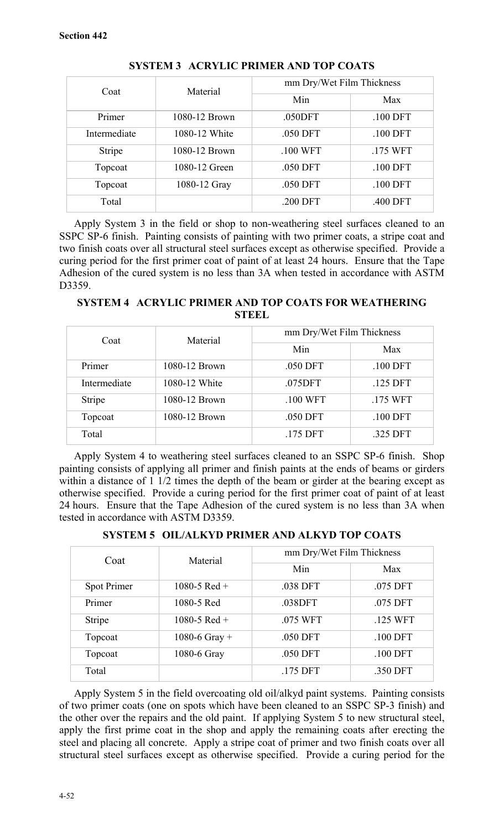| Coat         | Material      | mm Dry/Wet Film Thickness |            |
|--------------|---------------|---------------------------|------------|
|              |               | Min                       | Max        |
| Primer       | 1080-12 Brown | .050DFT                   | .100 DFT   |
| Intermediate | 1080-12 White | .050 DFT                  | $.100$ DFT |
| Stripe       | 1080-12 Brown | .100 WFT                  | .175 WFT   |
| Topcoat      | 1080-12 Green | .050 DFT                  | $.100$ DFT |
| Topcoat      | 1080-12 Gray  | .050 DFT                  | .100 DFT   |
| Total        |               | .200 DFT                  | .400 DFT   |

**SYSTEM 3 ACRYLIC PRIMER AND TOP COATS**

Apply System 3 in the field or shop to non-weathering steel surfaces cleaned to an SSPC SP-6 finish. Painting consists of painting with two primer coats, a stripe coat and two finish coats over all structural steel surfaces except as otherwise specified. Provide a curing period for the first primer coat of paint of at least 24 hours. Ensure that the Tape Adhesion of the cured system is no less than 3A when tested in accordance with ASTM D3359.

**SYSTEM 4 ACRYLIC PRIMER AND TOP COATS FOR WEATHERING STEEL**

| Coat         | Material      | mm Dry/Wet Film Thickness |            |
|--------------|---------------|---------------------------|------------|
|              |               | Min                       | Max        |
| Primer       | 1080-12 Brown | .050 DFT                  | $.100$ DFT |
| Intermediate | 1080-12 White | .075DFT                   | .125 DFT   |
| Stripe       | 1080-12 Brown | .100 WFT                  | .175 WFT   |
| Topcoat      | 1080-12 Brown | .050 DFT                  | $.100$ DFT |
| Total        |               | .175 DFT                  | .325 DFT   |

Apply System 4 to weathering steel surfaces cleaned to an SSPC SP-6 finish. Shop painting consists of applying all primer and finish paints at the ends of beams or girders within a distance of  $1 \frac{1}{2}$  times the depth of the beam or girder at the bearing except as otherwise specified. Provide a curing period for the first primer coat of paint of at least 24 hours. Ensure that the Tape Adhesion of the cured system is no less than 3A when tested in accordance with ASTM D3359.

**SYSTEM 5 OIL/ALKYD PRIMER AND ALKYD TOP COATS**

| Coat<br>Material |               | mm Dry/Wet Film Thickness |            |
|------------------|---------------|---------------------------|------------|
|                  |               | Min                       | Max        |
| Spot Primer      | 1080-5 Red +  | .038 DFT                  | .075 DFT   |
| Primer           | 1080-5 Red    | .038DFT                   | .075 DFT   |
| Stripe           | 1080-5 Red +  | .075 WFT                  | .125 WFT   |
| Topcoat          | 1080-6 Gray + | .050 DFT                  | $.100$ DFT |
| Topcoat          | 1080-6 Gray   | .050 DFT                  | $.100$ DFT |
| Total            |               | .175 DFT                  | .350 DFT   |

Apply System 5 in the field overcoating old oil/alkyd paint systems. Painting consists of two primer coats (one on spots which have been cleaned to an SSPC SP-3 finish) and the other over the repairs and the old paint. If applying System 5 to new structural steel, apply the first prime coat in the shop and apply the remaining coats after erecting the steel and placing all concrete. Apply a stripe coat of primer and two finish coats over all structural steel surfaces except as otherwise specified. Provide a curing period for the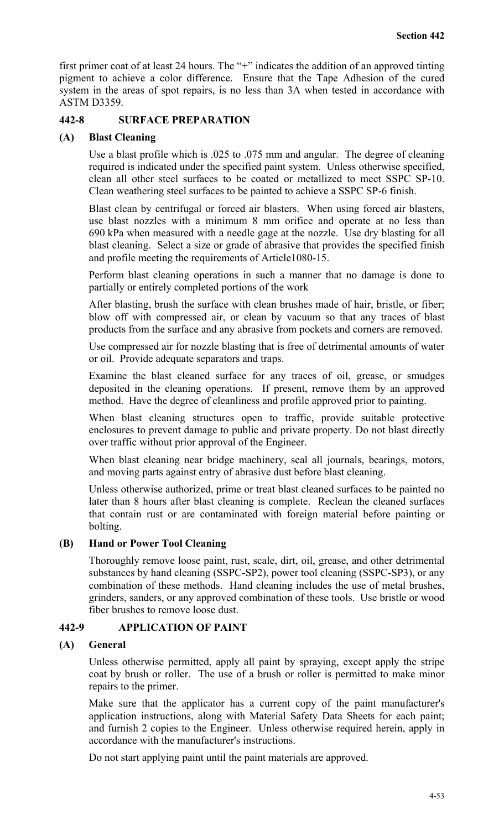first primer coat of at least 24 hours. The "+" indicates the addition of an approved tinting pigment to achieve a color difference. Ensure that the Tape Adhesion of the cured system in the areas of spot repairs, is no less than 3A when tested in accordance with ASTM D3359.

#### **442-8 SURFACE PREPARATION**

#### **(A) Blast Cleaning**

Use a blast profile which is .025 to .075 mm and angular.The degree of cleaning required is indicated under the specified paint system. Unless otherwise specified, clean all other steel surfaces to be coated or metallized to meet SSPC SP-10. Clean weathering steel surfaces to be painted to achieve a SSPC SP-6 finish.

Blast clean by centrifugal or forced air blasters. When using forced air blasters, use blast nozzles with a minimum 8 mm orifice and operate at no less than 690 kPa when measured with a needle gage at the nozzle. Use dry blasting for all blast cleaning. Select a size or grade of abrasive that provides the specified finish and profile meeting the requirements of Article1080-15.

Perform blast cleaning operations in such a manner that no damage is done to partially or entirely completed portions of the work

After blasting, brush the surface with clean brushes made of hair, bristle, or fiber; blow off with compressed air, or clean by vacuum so that any traces of blast products from the surface and any abrasive from pockets and corners are removed.

Use compressed air for nozzle blasting that is free of detrimental amounts of water or oil. Provide adequate separators and traps.

Examine the blast cleaned surface for any traces of oil, grease, or smudges deposited in the cleaning operations. If present, remove them by an approved method. Have the degree of cleanliness and profile approved prior to painting.

When blast cleaning structures open to traffic, provide suitable protective enclosures to prevent damage to public and private property. Do not blast directly over traffic without prior approval of the Engineer.

When blast cleaning near bridge machinery, seal all journals, bearings, motors, and moving parts against entry of abrasive dust before blast cleaning.

Unless otherwise authorized, prime or treat blast cleaned surfaces to be painted no later than 8 hours after blast cleaning is complete. Reclean the cleaned surfaces that contain rust or are contaminated with foreign material before painting or bolting.

## **(B) Hand or Power Tool Cleaning**

Thoroughly remove loose paint, rust, scale, dirt, oil, grease, and other detrimental substances by hand cleaning (SSPC-SP2), power tool cleaning (SSPC-SP3), or any combination of these methods. Hand cleaning includes the use of metal brushes, grinders, sanders, or any approved combination of these tools. Use bristle or wood fiber brushes to remove loose dust.

## **442-9 APPLICATION OF PAINT**

#### **(A) General**

Unless otherwise permitted, apply all paint by spraying, except apply the stripe coat by brush or roller. The use of a brush or roller is permitted to make minor repairs to the primer.

Make sure that the applicator has a current copy of the paint manufacturer's application instructions, along with Material Safety Data Sheets for each paint; and furnish 2 copies to the Engineer. Unless otherwise required herein, apply in accordance with the manufacturer's instructions.

Do not start applying paint until the paint materials are approved.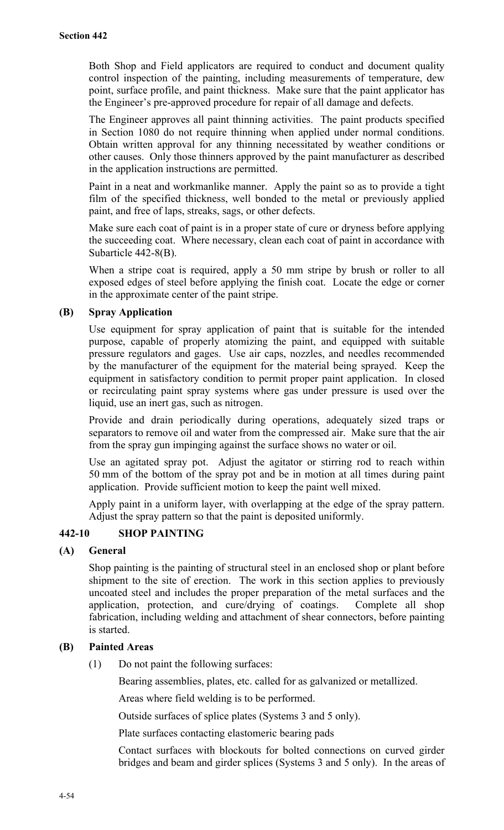Both Shop and Field applicators are required to conduct and document quality control inspection of the painting, including measurements of temperature, dew point, surface profile, and paint thickness. Make sure that the paint applicator has the Engineer's pre-approved procedure for repair of all damage and defects.

The Engineer approves all paint thinning activities. The paint products specified in Section 1080 do not require thinning when applied under normal conditions. Obtain written approval for any thinning necessitated by weather conditions or other causes. Only those thinners approved by the paint manufacturer as described in the application instructions are permitted.

Paint in a neat and workmanlike manner. Apply the paint so as to provide a tight film of the specified thickness, well bonded to the metal or previously applied paint, and free of laps, streaks, sags, or other defects.

Make sure each coat of paint is in a proper state of cure or dryness before applying the succeeding coat. Where necessary, clean each coat of paint in accordance with Subarticle 442-8(B).

When a stripe coat is required, apply a 50 mm stripe by brush or roller to all exposed edges of steel before applying the finish coat. Locate the edge or corner in the approximate center of the paint stripe.

## **(B) Spray Application**

Use equipment for spray application of paint that is suitable for the intended purpose, capable of properly atomizing the paint, and equipped with suitable pressure regulators and gages. Use air caps, nozzles, and needles recommended by the manufacturer of the equipment for the material being sprayed. Keep the equipment in satisfactory condition to permit proper paint application. In closed or recirculating paint spray systems where gas under pressure is used over the liquid, use an inert gas, such as nitrogen.

Provide and drain periodically during operations, adequately sized traps or separators to remove oil and water from the compressed air. Make sure that the air from the spray gun impinging against the surface shows no water or oil.

Use an agitated spray pot. Adjust the agitator or stirring rod to reach within 50 mm of the bottom of the spray pot and be in motion at all times during paint application. Provide sufficient motion to keep the paint well mixed.

Apply paint in a uniform layer, with overlapping at the edge of the spray pattern. Adjust the spray pattern so that the paint is deposited uniformly.

## **442-10 SHOP PAINTING**

## **(A) General**

Shop painting is the painting of structural steel in an enclosed shop or plant before shipment to the site of erection. The work in this section applies to previously uncoated steel and includes the proper preparation of the metal surfaces and the application, protection, and cure/drying of coatings. Complete all shop fabrication, including welding and attachment of shear connectors, before painting is started.

## **(B) Painted Areas**

(1) Do not paint the following surfaces:

Bearing assemblies, plates, etc. called for as galvanized or metallized.

Areas where field welding is to be performed.

Outside surfaces of splice plates (Systems 3 and 5 only).

Plate surfaces contacting elastomeric bearing pads

Contact surfaces with blockouts for bolted connections on curved girder bridges and beam and girder splices (Systems 3 and 5 only). In the areas of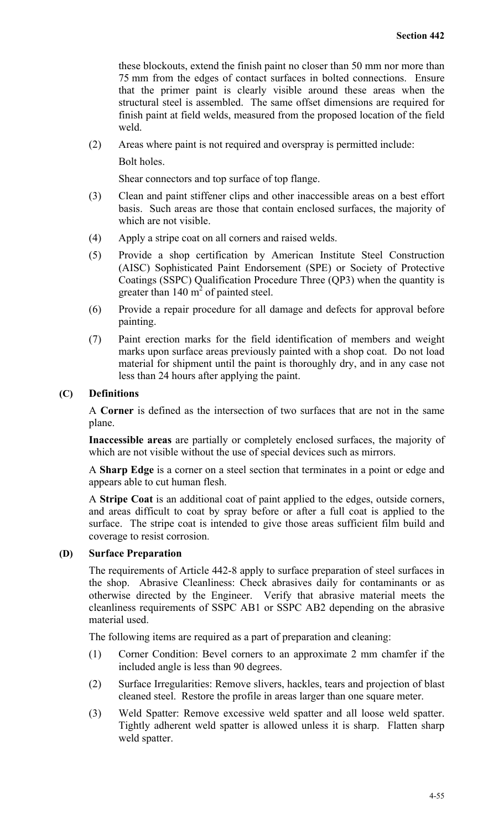these blockouts, extend the finish paint no closer than 50 mm nor more than 75 mm from the edges of contact surfaces in bolted connections. Ensure that the primer paint is clearly visible around these areas when the structural steel is assembled. The same offset dimensions are required for finish paint at field welds, measured from the proposed location of the field weld.

(2) Areas where paint is not required and overspray is permitted include:

Bolt holes.

Shear connectors and top surface of top flange.

- (3) Clean and paint stiffener clips and other inaccessible areas on a best effort basis. Such areas are those that contain enclosed surfaces, the majority of which are not visible.
- (4) Apply a stripe coat on all corners and raised welds.
- (5) Provide a shop certification by American Institute Steel Construction (AISC) Sophisticated Paint Endorsement (SPE) or Society of Protective Coatings (SSPC) Qualification Procedure Three (QP3) when the quantity is greater than  $140 \text{ m}^2$  of painted steel.
- (6) Provide a repair procedure for all damage and defects for approval before painting.
- (7) Paint erection marks for the field identification of members and weight marks upon surface areas previously painted with a shop coat. Do not load material for shipment until the paint is thoroughly dry, and in any case not less than 24 hours after applying the paint.

#### **(C) Definitions**

A **Corner** is defined as the intersection of two surfaces that are not in the same plane.

**Inaccessible areas** are partially or completely enclosed surfaces, the majority of which are not visible without the use of special devices such as mirrors.

A **Sharp Edge** is a corner on a steel section that terminates in a point or edge and appears able to cut human flesh.

A **Stripe Coat** is an additional coat of paint applied to the edges, outside corners, and areas difficult to coat by spray before or after a full coat is applied to the surface. The stripe coat is intended to give those areas sufficient film build and coverage to resist corrosion.

## **(D) Surface Preparation**

The requirements of Article 442-8 apply to surface preparation of steel surfaces in the shop. Abrasive Cleanliness: Check abrasives daily for contaminants or as otherwise directed by the Engineer. Verify that abrasive material meets the cleanliness requirements of SSPC AB1 or SSPC AB2 depending on the abrasive material used.

The following items are required as a part of preparation and cleaning:

- (1) Corner Condition: Bevel corners to an approximate 2 mm chamfer if the included angle is less than 90 degrees.
- (2) Surface Irregularities: Remove slivers, hackles, tears and projection of blast cleaned steel. Restore the profile in areas larger than one square meter.
- (3) Weld Spatter: Remove excessive weld spatter and all loose weld spatter. Tightly adherent weld spatter is allowed unless it is sharp. Flatten sharp weld spatter.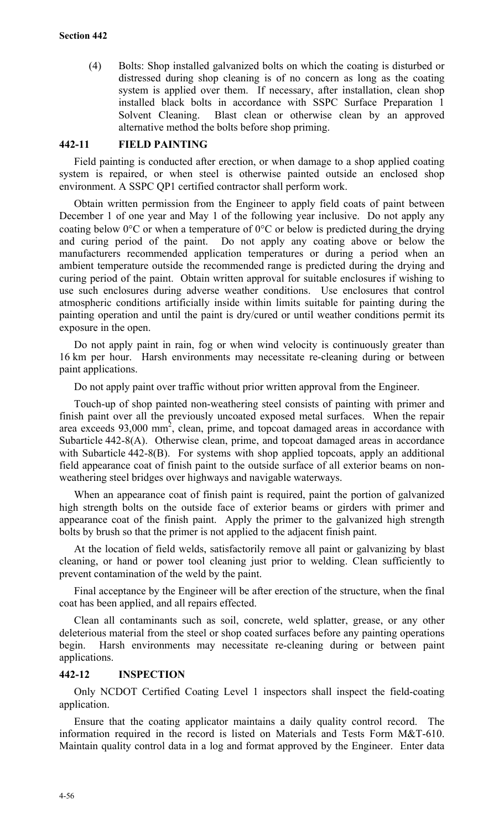(4) Bolts: Shop installed galvanized bolts on which the coating is disturbed or distressed during shop cleaning is of no concern as long as the coating system is applied over them. If necessary, after installation, clean shop installed black bolts in accordance with SSPC Surface Preparation 1 Solvent Cleaning. Blast clean or otherwise clean by an approved alternative method the bolts before shop priming.

## **442-11 FIELD PAINTING**

Field painting is conducted after erection, or when damage to a shop applied coating system is repaired, or when steel is otherwise painted outside an enclosed shop environment. A SSPC QP1 certified contractor shall perform work.

Obtain written permission from the Engineer to apply field coats of paint between December 1 of one year and May 1 of the following year inclusive. Do not apply any coating below  $0^{\circ}$ C or when a temperature of  $0^{\circ}$ C or below is predicted during the drying and curing period of the paint. Do not apply any coating above or below the manufacturers recommended application temperatures or during a period when an ambient temperature outside the recommended range is predicted during the drying and curing period of the paint.Obtain written approval for suitable enclosures if wishing to use such enclosures during adverse weather conditions. Use enclosures that control atmospheric conditions artificially inside within limits suitable for painting during the painting operation and until the paint is dry/cured or until weather conditions permit its exposure in the open.

Do not apply paint in rain, fog or when wind velocity is continuously greater than 16 km per hour. Harsh environments may necessitate re-cleaning during or between paint applications.

Do not apply paint over traffic without prior written approval from the Engineer.

Touch-up of shop painted non-weathering steel consists of painting with primer and finish paint over all the previously uncoated exposed metal surfaces. When the repair area exceeds  $93,000$  mm<sup>2</sup>, clean, prime, and topcoat damaged areas in accordance with Subarticle 442-8(A). Otherwise clean, prime, and topcoat damaged areas in accordance with Subarticle 442-8(B). For systems with shop applied topcoats, apply an additional field appearance coat of finish paint to the outside surface of all exterior beams on nonweathering steel bridges over highways and navigable waterways.

When an appearance coat of finish paint is required, paint the portion of galvanized high strength bolts on the outside face of exterior beams or girders with primer and appearance coat of the finish paint. Apply the primer to the galvanized high strength bolts by brush so that the primer is not applied to the adjacent finish paint.

At the location of field welds, satisfactorily remove all paint or galvanizing by blast cleaning, or hand or power tool cleaning just prior to welding. Clean sufficiently to prevent contamination of the weld by the paint.

Final acceptance by the Engineer will be after erection of the structure, when the final coat has been applied, and all repairs effected.

Clean all contaminants such as soil, concrete, weld splatter, grease, or any other deleterious material from the steel or shop coated surfaces before any painting operations begin. Harsh environments may necessitate re-cleaning during or between paint applications.

## **442-12 INSPECTION**

Only NCDOT Certified Coating Level 1 inspectors shall inspect the field-coating application.

Ensure that the coating applicator maintains a daily quality control record. The information required in the record is listed on Materials and Tests Form M&T-610. Maintain quality control data in a log and format approved by the Engineer. Enter data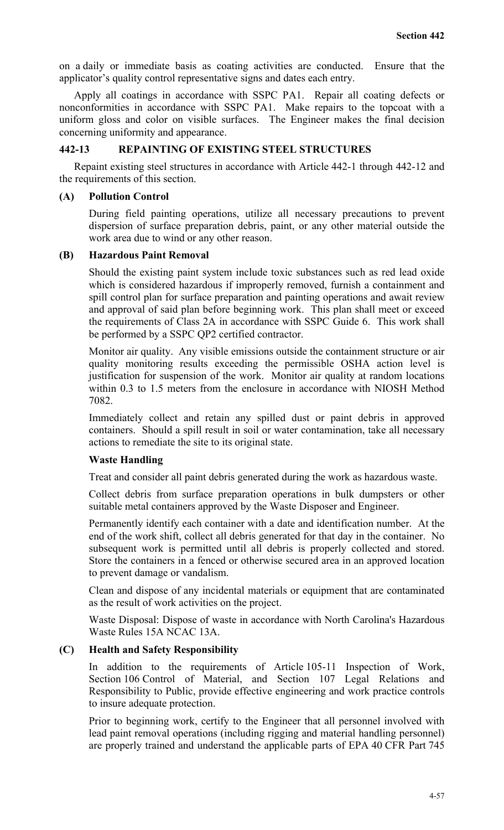on a daily or immediate basis as coating activities are conducted. Ensure that the applicator's quality control representative signs and dates each entry.

Apply all coatings in accordance with SSPC PA1. Repair all coating defects or nonconformities in accordance with SSPC PA1. Make repairs to the topcoat with a uniform gloss and color on visible surfaces. The Engineer makes the final decision concerning uniformity and appearance.

## **442-13 REPAINTING OF EXISTING STEEL STRUCTURES**

Repaint existing steel structures in accordance with Article 442-1 through 442-12 and the requirements of this section.

#### **(A) Pollution Control**

During field painting operations, utilize all necessary precautions to prevent dispersion of surface preparation debris, paint, or any other material outside the work area due to wind or any other reason.

#### **(B) Hazardous Paint Removal**

Should the existing paint system include toxic substances such as red lead oxide which is considered hazardous if improperly removed, furnish a containment and spill control plan for surface preparation and painting operations and await review and approval of said plan before beginning work. This plan shall meet or exceed the requirements of Class 2A in accordance with SSPC Guide 6. This work shall be performed by a SSPC QP2 certified contractor.

Monitor air quality. Any visible emissions outside the containment structure or air quality monitoring results exceeding the permissible OSHA action level is justification for suspension of the work. Monitor air quality at random locations within 0.3 to 1.5 meters from the enclosure in accordance with NIOSH Method 7082.

Immediately collect and retain any spilled dust or paint debris in approved containers. Should a spill result in soil or water contamination, take all necessary actions to remediate the site to its original state.

## **Waste Handling**

Treat and consider all paint debris generated during the work as hazardous waste.

Collect debris from surface preparation operations in bulk dumpsters or other suitable metal containers approved by the Waste Disposer and Engineer.

Permanently identify each container with a date and identification number. At the end of the work shift, collect all debris generated for that day in the container. No subsequent work is permitted until all debris is properly collected and stored. Store the containers in a fenced or otherwise secured area in an approved location to prevent damage or vandalism.

Clean and dispose of any incidental materials or equipment that are contaminated as the result of work activities on the project.

Waste Disposal: Dispose of waste in accordance with North Carolina's Hazardous Waste Rules 15A NCAC 13A.

## **(C) Health and Safety Responsibility**

In addition to the requirements of Article 105-11 Inspection of Work, Section 106 Control of Material, and Section 107 Legal Relations and Responsibility to Public, provide effective engineering and work practice controls to insure adequate protection.

Prior to beginning work, certify to the Engineer that all personnel involved with lead paint removal operations (including rigging and material handling personnel) are properly trained and understand the applicable parts of EPA 40 CFR Part 745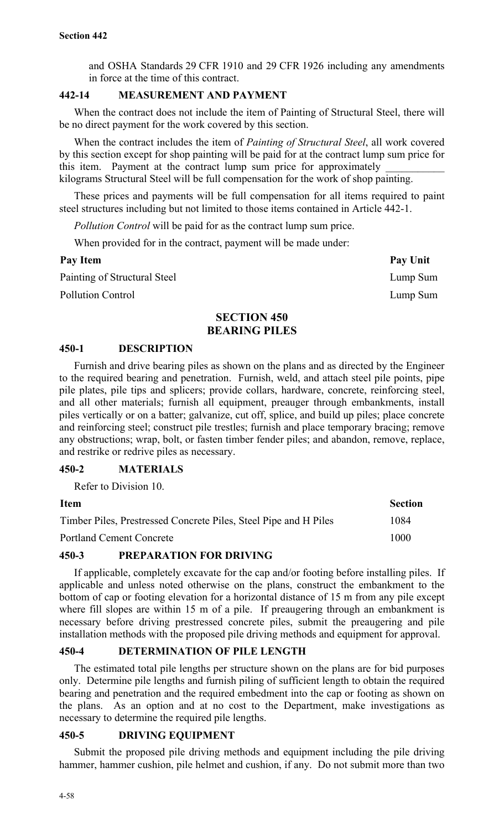and OSHA Standards 29 CFR 1910 and 29 CFR 1926 including any amendments in force at the time of this contract.

## **442-14 MEASUREMENT AND PAYMENT**

When the contract does not include the item of Painting of Structural Steel, there will be no direct payment for the work covered by this section.

When the contract includes the item of *Painting of Structural Steel*, all work covered by this section except for shop painting will be paid for at the contract lump sum price for this item. Payment at the contract lump sum price for approximately kilograms Structural Steel will be full compensation for the work of shop painting.

These prices and payments will be full compensation for all items required to paint steel structures including but not limited to those items contained in Article 442-1.

*Pollution Control* will be paid for as the contract lump sum price.

When provided for in the contract, payment will be made under:

| Pay Item                     | Pay Unit |
|------------------------------|----------|
| Painting of Structural Steel | Lump Sum |
| Pollution Control            | Lump Sum |

## **SECTION 450 BEARING PILES**

## **450-1 DESCRIPTION**

Furnish and drive bearing piles as shown on the plans and as directed by the Engineer to the required bearing and penetration. Furnish, weld, and attach steel pile points, pipe pile plates, pile tips and splicers; provide collars, hardware, concrete, reinforcing steel, and all other materials; furnish all equipment, preauger through embankments, install piles vertically or on a batter; galvanize, cut off, splice, and build up piles; place concrete and reinforcing steel; construct pile trestles; furnish and place temporary bracing; remove any obstructions; wrap, bolt, or fasten timber fender piles; and abandon, remove, replace, and restrike or redrive piles as necessary.

## **450-2 MATERIALS**

Refer to Division 10.

# **Item Section** Timber Piles, Prestressed Concrete Piles, Steel Pipe and H Piles 1084 Portland Cement Concrete 1000

## **450-3 PREPARATION FOR DRIVING**

If applicable, completely excavate for the cap and/or footing before installing piles. If applicable and unless noted otherwise on the plans, construct the embankment to the bottom of cap or footing elevation for a horizontal distance of 15 m from any pile except where fill slopes are within 15 m of a pile. If preaugering through an embankment is necessary before driving prestressed concrete piles, submit the preaugering and pile installation methods with the proposed pile driving methods and equipment for approval.

## **450-4 DETERMINATION OF PILE LENGTH**

The estimated total pile lengths per structure shown on the plans are for bid purposes only. Determine pile lengths and furnish piling of sufficient length to obtain the required bearing and penetration and the required embedment into the cap or footing as shown on the plans. As an option and at no cost to the Department, make investigations as necessary to determine the required pile lengths.

## **450-5 DRIVING EQUIPMENT**

Submit the proposed pile driving methods and equipment including the pile driving hammer, hammer cushion, pile helmet and cushion, if any. Do not submit more than two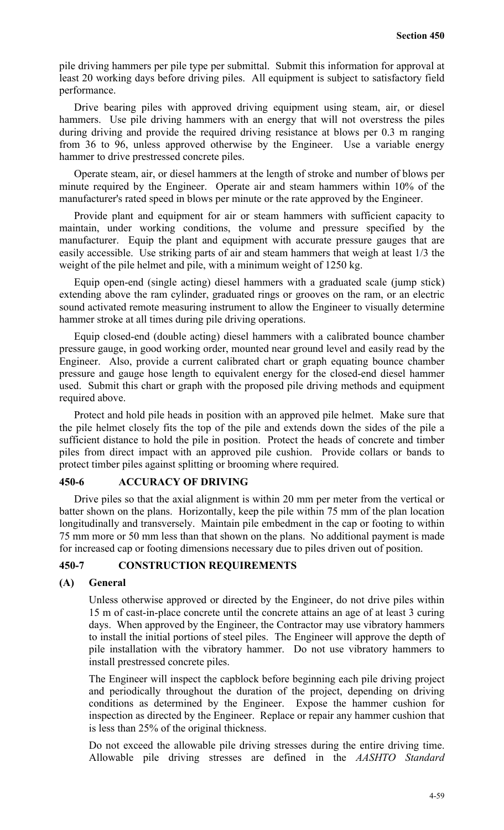pile driving hammers per pile type per submittal. Submit this information for approval at least 20 working days before driving piles. All equipment is subject to satisfactory field performance.

Drive bearing piles with approved driving equipment using steam, air, or diesel hammers. Use pile driving hammers with an energy that will not overstress the piles during driving and provide the required driving resistance at blows per 0.3 m ranging from 36 to 96, unless approved otherwise by the Engineer. Use a variable energy hammer to drive prestressed concrete piles.

Operate steam, air, or diesel hammers at the length of stroke and number of blows per minute required by the Engineer. Operate air and steam hammers within 10% of the manufacturer's rated speed in blows per minute or the rate approved by the Engineer.

Provide plant and equipment for air or steam hammers with sufficient capacity to maintain, under working conditions, the volume and pressure specified by the manufacturer. Equip the plant and equipment with accurate pressure gauges that are easily accessible. Use striking parts of air and steam hammers that weigh at least 1/3 the weight of the pile helmet and pile, with a minimum weight of 1250 kg.

Equip open-end (single acting) diesel hammers with a graduated scale (jump stick) extending above the ram cylinder, graduated rings or grooves on the ram, or an electric sound activated remote measuring instrument to allow the Engineer to visually determine hammer stroke at all times during pile driving operations.

Equip closed-end (double acting) diesel hammers with a calibrated bounce chamber pressure gauge, in good working order, mounted near ground level and easily read by the Engineer. Also, provide a current calibrated chart or graph equating bounce chamber pressure and gauge hose length to equivalent energy for the closed-end diesel hammer used. Submit this chart or graph with the proposed pile driving methods and equipment required above.

Protect and hold pile heads in position with an approved pile helmet. Make sure that the pile helmet closely fits the top of the pile and extends down the sides of the pile a sufficient distance to hold the pile in position. Protect the heads of concrete and timber piles from direct impact with an approved pile cushion. Provide collars or bands to protect timber piles against splitting or brooming where required.

## **450-6 ACCURACY OF DRIVING**

Drive piles so that the axial alignment is within 20 mm per meter from the vertical or batter shown on the plans. Horizontally, keep the pile within 75 mm of the plan location longitudinally and transversely. Maintain pile embedment in the cap or footing to within 75 mm more or 50 mm less than that shown on the plans. No additional payment is made for increased cap or footing dimensions necessary due to piles driven out of position.

## **450-7 CONSTRUCTION REQUIREMENTS**

#### **(A) General**

Unless otherwise approved or directed by the Engineer, do not drive piles within 15 m of cast-in-place concrete until the concrete attains an age of at least 3 curing days. When approved by the Engineer, the Contractor may use vibratory hammers to install the initial portions of steel piles. The Engineer will approve the depth of pile installation with the vibratory hammer. Do not use vibratory hammers to install prestressed concrete piles.

The Engineer will inspect the capblock before beginning each pile driving project and periodically throughout the duration of the project, depending on driving conditions as determined by the Engineer. Expose the hammer cushion for inspection as directed by the Engineer. Replace or repair any hammer cushion that is less than 25% of the original thickness.

Do not exceed the allowable pile driving stresses during the entire driving time. Allowable pile driving stresses are defined in the *AASHTO Standard*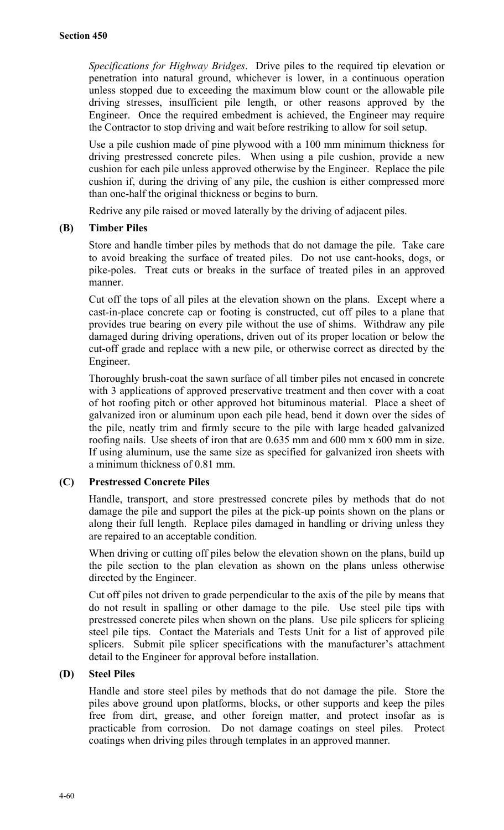*Specifications for Highway Bridges*. Drive piles to the required tip elevation or penetration into natural ground, whichever is lower, in a continuous operation unless stopped due to exceeding the maximum blow count or the allowable pile driving stresses, insufficient pile length, or other reasons approved by the Engineer. Once the required embedment is achieved, the Engineer may require the Contractor to stop driving and wait before restriking to allow for soil setup.

Use a pile cushion made of pine plywood with a 100 mm minimum thickness for driving prestressed concrete piles. When using a pile cushion, provide a new cushion for each pile unless approved otherwise by the Engineer. Replace the pile cushion if, during the driving of any pile, the cushion is either compressed more than one-half the original thickness or begins to burn.

Redrive any pile raised or moved laterally by the driving of adjacent piles.

#### **(B) Timber Piles**

Store and handle timber piles by methods that do not damage the pile. Take care to avoid breaking the surface of treated piles. Do not use cant-hooks, dogs, or pike-poles. Treat cuts or breaks in the surface of treated piles in an approved manner.

Cut off the tops of all piles at the elevation shown on the plans. Except where a cast-in-place concrete cap or footing is constructed, cut off piles to a plane that provides true bearing on every pile without the use of shims. Withdraw any pile damaged during driving operations, driven out of its proper location or below the cut-off grade and replace with a new pile, or otherwise correct as directed by the Engineer.

Thoroughly brush-coat the sawn surface of all timber piles not encased in concrete with 3 applications of approved preservative treatment and then cover with a coat of hot roofing pitch or other approved hot bituminous material. Place a sheet of galvanized iron or aluminum upon each pile head, bend it down over the sides of the pile, neatly trim and firmly secure to the pile with large headed galvanized roofing nails. Use sheets of iron that are 0.635 mm and 600 mm x 600 mm in size. If using aluminum, use the same size as specified for galvanized iron sheets with a minimum thickness of 0.81 mm.

### **(C) Prestressed Concrete Piles**

Handle, transport, and store prestressed concrete piles by methods that do not damage the pile and support the piles at the pick-up points shown on the plans or along their full length. Replace piles damaged in handling or driving unless they are repaired to an acceptable condition.

When driving or cutting off piles below the elevation shown on the plans, build up the pile section to the plan elevation as shown on the plans unless otherwise directed by the Engineer.

Cut off piles not driven to grade perpendicular to the axis of the pile by means that do not result in spalling or other damage to the pile. Use steel pile tips with prestressed concrete piles when shown on the plans. Use pile splicers for splicing steel pile tips. Contact the Materials and Tests Unit for a list of approved pile splicers. Submit pile splicer specifications with the manufacturer's attachment detail to the Engineer for approval before installation.

#### **(D) Steel Piles**

Handle and store steel piles by methods that do not damage the pile. Store the piles above ground upon platforms, blocks, or other supports and keep the piles free from dirt, grease, and other foreign matter, and protect insofar as is practicable from corrosion. Do not damage coatings on steel piles. Protect coatings when driving piles through templates in an approved manner.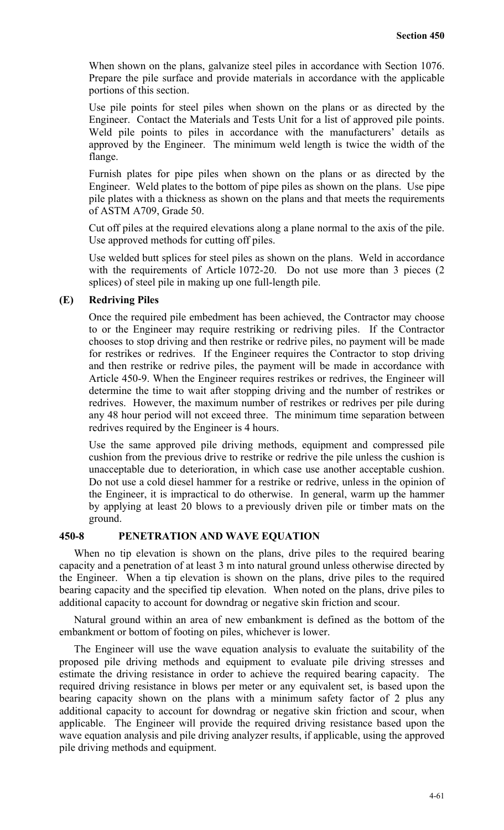When shown on the plans, galvanize steel piles in accordance with Section 1076. Prepare the pile surface and provide materials in accordance with the applicable portions of this section.

Use pile points for steel piles when shown on the plans or as directed by the Engineer. Contact the Materials and Tests Unit for a list of approved pile points. Weld pile points to piles in accordance with the manufacturers' details as approved by the Engineer. The minimum weld length is twice the width of the flange.

Furnish plates for pipe piles when shown on the plans or as directed by the Engineer. Weld plates to the bottom of pipe piles as shown on the plans. Use pipe pile plates with a thickness as shown on the plans and that meets the requirements of ASTM A709, Grade 50.

Cut off piles at the required elevations along a plane normal to the axis of the pile. Use approved methods for cutting off piles.

Use welded butt splices for steel piles as shown on the plans. Weld in accordance with the requirements of Article 1072-20. Do not use more than 3 pieces (2) splices) of steel pile in making up one full-length pile.

## **(E) Redriving Piles**

Once the required pile embedment has been achieved, the Contractor may choose to or the Engineer may require restriking or redriving piles. If the Contractor chooses to stop driving and then restrike or redrive piles, no payment will be made for restrikes or redrives. If the Engineer requires the Contractor to stop driving and then restrike or redrive piles, the payment will be made in accordance with Article 450-9. When the Engineer requires restrikes or redrives, the Engineer will determine the time to wait after stopping driving and the number of restrikes or redrives. However, the maximum number of restrikes or redrives per pile during any 48 hour period will not exceed three. The minimum time separation between redrives required by the Engineer is 4 hours.

Use the same approved pile driving methods, equipment and compressed pile cushion from the previous drive to restrike or redrive the pile unless the cushion is unacceptable due to deterioration, in which case use another acceptable cushion. Do not use a cold diesel hammer for a restrike or redrive, unless in the opinion of the Engineer, it is impractical to do otherwise. In general, warm up the hammer by applying at least 20 blows to a previously driven pile or timber mats on the ground.

## **450-8 PENETRATION AND WAVE EQUATION**

When no tip elevation is shown on the plans, drive piles to the required bearing capacity and a penetration of at least 3 m into natural ground unless otherwise directed by the Engineer. When a tip elevation is shown on the plans, drive piles to the required bearing capacity and the specified tip elevation. When noted on the plans, drive piles to additional capacity to account for downdrag or negative skin friction and scour.

Natural ground within an area of new embankment is defined as the bottom of the embankment or bottom of footing on piles, whichever is lower.

The Engineer will use the wave equation analysis to evaluate the suitability of the proposed pile driving methods and equipment to evaluate pile driving stresses and estimate the driving resistance in order to achieve the required bearing capacity. The required driving resistance in blows per meter or any equivalent set, is based upon the bearing capacity shown on the plans with a minimum safety factor of 2 plus any additional capacity to account for downdrag or negative skin friction and scour, when applicable. The Engineer will provide the required driving resistance based upon the wave equation analysis and pile driving analyzer results, if applicable, using the approved pile driving methods and equipment.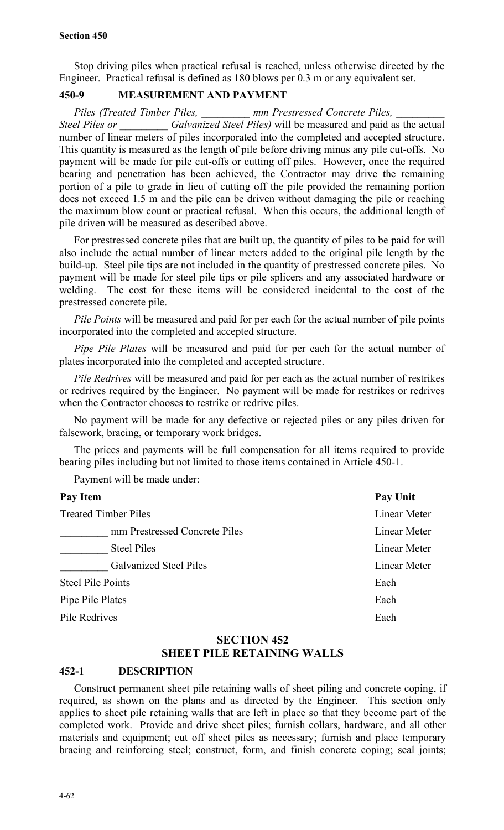Stop driving piles when practical refusal is reached, unless otherwise directed by the Engineer. Practical refusal is defined as 180 blows per 0.3 m or any equivalent set.

## **450-9 MEASUREMENT AND PAYMENT**

*Piles (Treated Timber Piles, \_\_\_\_\_\_\_\_\_ mm Prestressed Concrete Piles, \_\_\_\_\_\_\_\_\_ Steel Piles or \_\_\_\_\_\_\_\_\_ Galvanized Steel Piles)* will be measured and paid as the actual number of linear meters of piles incorporated into the completed and accepted structure. This quantity is measured as the length of pile before driving minus any pile cut-offs. No payment will be made for pile cut-offs or cutting off piles. However, once the required bearing and penetration has been achieved, the Contractor may drive the remaining portion of a pile to grade in lieu of cutting off the pile provided the remaining portion does not exceed 1.5 m and the pile can be driven without damaging the pile or reaching the maximum blow count or practical refusal. When this occurs, the additional length of pile driven will be measured as described above.

For prestressed concrete piles that are built up, the quantity of piles to be paid for will also include the actual number of linear meters added to the original pile length by the build-up. Steel pile tips are not included in the quantity of prestressed concrete piles. No payment will be made for steel pile tips or pile splicers and any associated hardware or welding. The cost for these items will be considered incidental to the cost of the prestressed concrete pile.

*Pile Points* will be measured and paid for per each for the actual number of pile points incorporated into the completed and accepted structure.

*Pipe Pile Plates* will be measured and paid for per each for the actual number of plates incorporated into the completed and accepted structure.

*Pile Redrives* will be measured and paid for per each as the actual number of restrikes or redrives required by the Engineer. No payment will be made for restrikes or redrives when the Contractor chooses to restrike or redrive piles.

No payment will be made for any defective or rejected piles or any piles driven for falsework, bracing, or temporary work bridges.

The prices and payments will be full compensation for all items required to provide bearing piles including but not limited to those items contained in Article 450-1.

Payment will be made under:

| Pay Item                      | Pay Unit     |
|-------------------------------|--------------|
| <b>Treated Timber Piles</b>   | Linear Meter |
| mm Prestressed Concrete Piles | Linear Meter |
| <b>Steel Piles</b>            | Linear Meter |
| <b>Galvanized Steel Piles</b> | Linear Meter |
| <b>Steel Pile Points</b>      | Each         |
| Pipe Pile Plates              | Each         |
| Pile Redrives                 | Each         |

## **SECTION 452 SHEET PILE RETAINING WALLS**

## **452-1 DESCRIPTION**

Construct permanent sheet pile retaining walls of sheet piling and concrete coping, if required, as shown on the plans and as directed by the Engineer. This section only applies to sheet pile retaining walls that are left in place so that they become part of the completed work. Provide and drive sheet piles; furnish collars, hardware, and all other materials and equipment; cut off sheet piles as necessary; furnish and place temporary bracing and reinforcing steel; construct, form, and finish concrete coping; seal joints;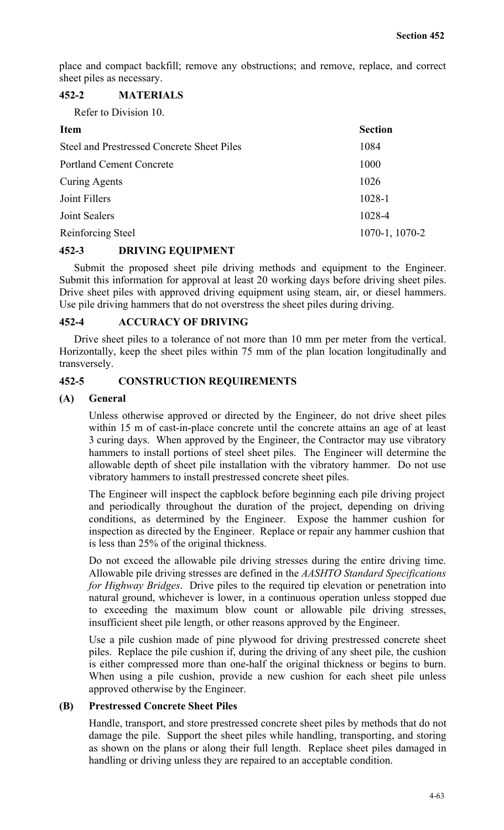place and compact backfill; remove any obstructions; and remove, replace, and correct sheet piles as necessary.

## **452-2 MATERIALS**

Refer to Division 10.

| <b>Item</b>                                | <b>Section</b> |
|--------------------------------------------|----------------|
| Steel and Prestressed Concrete Sheet Piles | 1084           |
| <b>Portland Cement Concrete</b>            | 1000           |
| <b>Curing Agents</b>                       | 1026           |
| Joint Fillers                              | 1028-1         |
| Joint Sealers                              | 1028-4         |
| Reinforcing Steel                          | 1070-1, 1070-2 |

## **452-3 DRIVING EQUIPMENT**

Submit the proposed sheet pile driving methods and equipment to the Engineer. Submit this information for approval at least 20 working days before driving sheet piles. Drive sheet piles with approved driving equipment using steam, air, or diesel hammers. Use pile driving hammers that do not overstress the sheet piles during driving.

#### **452-4 ACCURACY OF DRIVING**

Drive sheet piles to a tolerance of not more than 10 mm per meter from the vertical. Horizontally, keep the sheet piles within 75 mm of the plan location longitudinally and transversely.

## **452-5 CONSTRUCTION REQUIREMENTS**

#### **(A) General**

Unless otherwise approved or directed by the Engineer, do not drive sheet piles within 15 m of cast-in-place concrete until the concrete attains an age of at least 3 curing days. When approved by the Engineer, the Contractor may use vibratory hammers to install portions of steel sheet piles. The Engineer will determine the allowable depth of sheet pile installation with the vibratory hammer. Do not use vibratory hammers to install prestressed concrete sheet piles.

The Engineer will inspect the capblock before beginning each pile driving project and periodically throughout the duration of the project, depending on driving conditions, as determined by the Engineer. Expose the hammer cushion for inspection as directed by the Engineer. Replace or repair any hammer cushion that is less than 25% of the original thickness.

Do not exceed the allowable pile driving stresses during the entire driving time. Allowable pile driving stresses are defined in the *AASHTO Standard Specifications for Highway Bridges*. Drive piles to the required tip elevation or penetration into natural ground, whichever is lower, in a continuous operation unless stopped due to exceeding the maximum blow count or allowable pile driving stresses, insufficient sheet pile length, or other reasons approved by the Engineer.

Use a pile cushion made of pine plywood for driving prestressed concrete sheet piles. Replace the pile cushion if, during the driving of any sheet pile, the cushion is either compressed more than one-half the original thickness or begins to burn. When using a pile cushion, provide a new cushion for each sheet pile unless approved otherwise by the Engineer.

## **(B) Prestressed Concrete Sheet Piles**

Handle, transport, and store prestressed concrete sheet piles by methods that do not damage the pile. Support the sheet piles while handling, transporting, and storing as shown on the plans or along their full length. Replace sheet piles damaged in handling or driving unless they are repaired to an acceptable condition.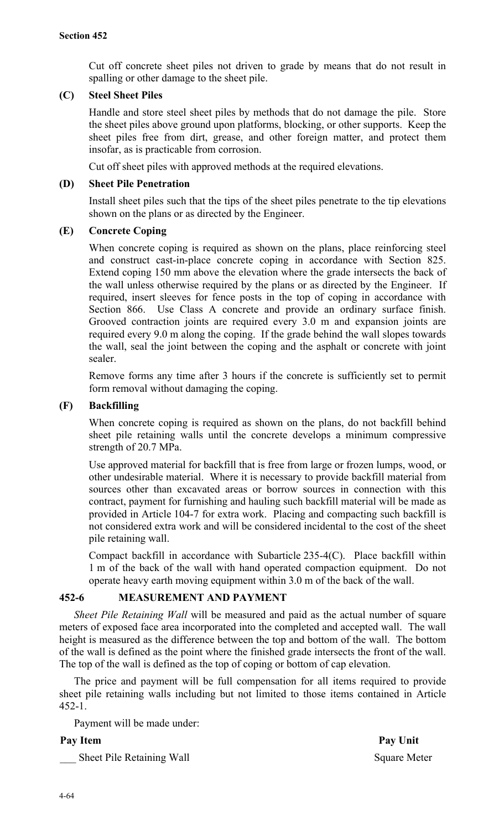Cut off concrete sheet piles not driven to grade by means that do not result in spalling or other damage to the sheet pile.

## **(C) Steel Sheet Piles**

Handle and store steel sheet piles by methods that do not damage the pile. Store the sheet piles above ground upon platforms, blocking, or other supports. Keep the sheet piles free from dirt, grease, and other foreign matter, and protect them insofar, as is practicable from corrosion.

Cut off sheet piles with approved methods at the required elevations.

## **(D) Sheet Pile Penetration**

Install sheet piles such that the tips of the sheet piles penetrate to the tip elevations shown on the plans or as directed by the Engineer.

## **(E) Concrete Coping**

When concrete coping is required as shown on the plans, place reinforcing steel and construct cast-in-place concrete coping in accordance with Section 825. Extend coping 150 mm above the elevation where the grade intersects the back of the wall unless otherwise required by the plans or as directed by the Engineer. If required, insert sleeves for fence posts in the top of coping in accordance with Section 866. Use Class A concrete and provide an ordinary surface finish. Grooved contraction joints are required every 3.0 m and expansion joints are required every 9.0 m along the coping. If the grade behind the wall slopes towards the wall, seal the joint between the coping and the asphalt or concrete with joint sealer.

Remove forms any time after 3 hours if the concrete is sufficiently set to permit form removal without damaging the coping.

## **(F) Backfilling**

When concrete coping is required as shown on the plans, do not backfill behind sheet pile retaining walls until the concrete develops a minimum compressive strength of 20.7 MPa.

Use approved material for backfill that is free from large or frozen lumps, wood, or other undesirable material. Where it is necessary to provide backfill material from sources other than excavated areas or borrow sources in connection with this contract, payment for furnishing and hauling such backfill material will be made as provided in Article 104-7 for extra work. Placing and compacting such backfill is not considered extra work and will be considered incidental to the cost of the sheet pile retaining wall.

Compact backfill in accordance with Subarticle 235-4(C). Place backfill within 1 m of the back of the wall with hand operated compaction equipment. Do not operate heavy earth moving equipment within 3.0 m of the back of the wall.

## **452-6 MEASUREMENT AND PAYMENT**

*Sheet Pile Retaining Wall* will be measured and paid as the actual number of square meters of exposed face area incorporated into the completed and accepted wall. The wall height is measured as the difference between the top and bottom of the wall. The bottom of the wall is defined as the point where the finished grade intersects the front of the wall. The top of the wall is defined as the top of coping or bottom of cap elevation.

The price and payment will be full compensation for all items required to provide sheet pile retaining walls including but not limited to those items contained in Article 452-1.

Payment will be made under:

Sheet Pile Retaining Wall Square Meter

Pay Item Pay Unit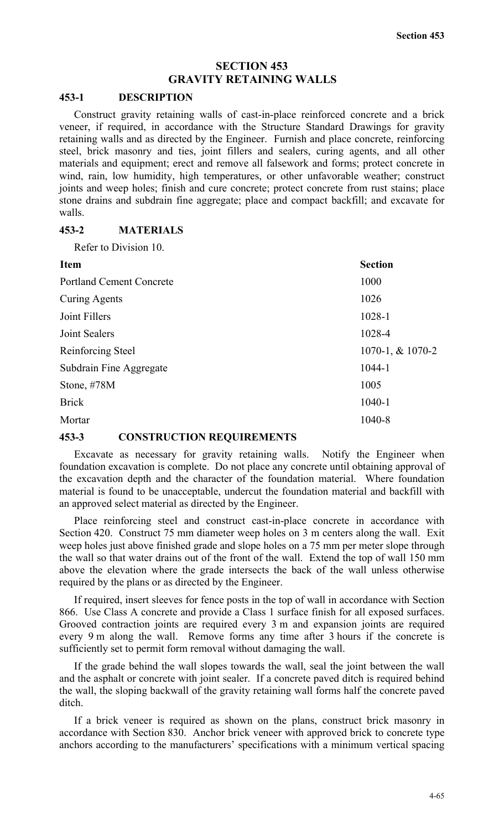## **SECTION 453 GRAVITY RETAINING WALLS**

#### **453-1 DESCRIPTION**

Construct gravity retaining walls of cast-in-place reinforced concrete and a brick veneer, if required, in accordance with the Structure Standard Drawings for gravity retaining walls and as directed by the Engineer. Furnish and place concrete, reinforcing steel, brick masonry and ties, joint fillers and sealers, curing agents, and all other materials and equipment; erect and remove all falsework and forms; protect concrete in wind, rain, low humidity, high temperatures, or other unfavorable weather; construct joints and weep holes; finish and cure concrete; protect concrete from rust stains; place stone drains and subdrain fine aggregate; place and compact backfill; and excavate for walls.

#### **453-2 MATERIALS**

Refer to Division 10.

| <b>Item</b>                     | <b>Section</b>   |
|---------------------------------|------------------|
| <b>Portland Cement Concrete</b> | 1000             |
| <b>Curing Agents</b>            | 1026             |
| Joint Fillers                   | 1028-1           |
| Joint Sealers                   | 1028-4           |
| Reinforcing Steel               | 1070-1, & 1070-2 |
| Subdrain Fine Aggregate         | 1044-1           |
| Stone, $\#78M$                  | 1005             |
| <b>Brick</b>                    | $1040 - 1$       |
| Mortar                          | 1040-8           |

## **453-3 CONSTRUCTION REQUIREMENTS**

Excavate as necessary for gravity retaining walls. Notify the Engineer when foundation excavation is complete. Do not place any concrete until obtaining approval of the excavation depth and the character of the foundation material. Where foundation material is found to be unacceptable, undercut the foundation material and backfill with an approved select material as directed by the Engineer.

Place reinforcing steel and construct cast-in-place concrete in accordance with Section 420. Construct 75 mm diameter weep holes on 3 m centers along the wall. Exit weep holes just above finished grade and slope holes on a 75 mm per meter slope through the wall so that water drains out of the front of the wall. Extend the top of wall 150 mm above the elevation where the grade intersects the back of the wall unless otherwise required by the plans or as directed by the Engineer.

If required, insert sleeves for fence posts in the top of wall in accordance with Section 866. Use Class A concrete and provide a Class 1 surface finish for all exposed surfaces. Grooved contraction joints are required every 3 m and expansion joints are required every 9 m along the wall. Remove forms any time after 3 hours if the concrete is sufficiently set to permit form removal without damaging the wall.

If the grade behind the wall slopes towards the wall, seal the joint between the wall and the asphalt or concrete with joint sealer. If a concrete paved ditch is required behind the wall, the sloping backwall of the gravity retaining wall forms half the concrete paved ditch.

If a brick veneer is required as shown on the plans, construct brick masonry in accordance with Section 830. Anchor brick veneer with approved brick to concrete type anchors according to the manufacturers' specifications with a minimum vertical spacing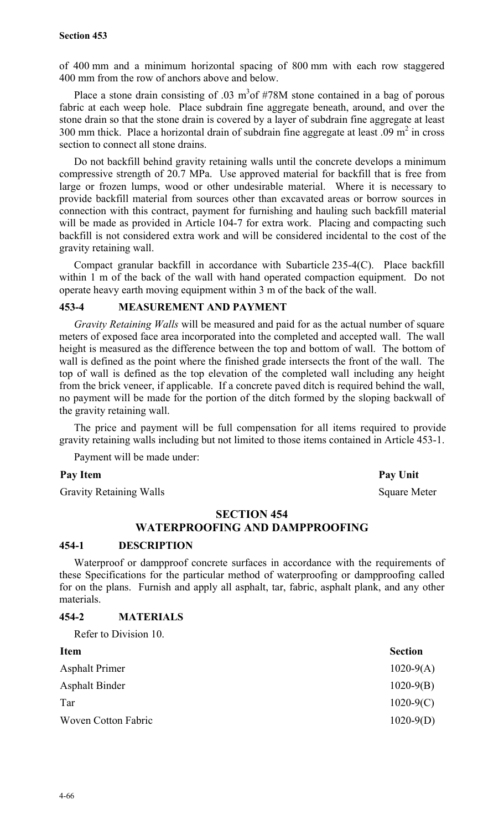of 400 mm and a minimum horizontal spacing of 800 mm with each row staggered 400 mm from the row of anchors above and below.

Place a stone drain consisting of .03  $m<sup>3</sup>$  of #78M stone contained in a bag of porous fabric at each weep hole. Place subdrain fine aggregate beneath, around, and over the stone drain so that the stone drain is covered by a layer of subdrain fine aggregate at least 300 mm thick. Place a horizontal drain of subdrain fine aggregate at least  $.09 \text{ m}^2$  in cross section to connect all stone drains.

Do not backfill behind gravity retaining walls until the concrete develops a minimum compressive strength of 20.7 MPa. Use approved material for backfill that is free from large or frozen lumps, wood or other undesirable material. Where it is necessary to provide backfill material from sources other than excavated areas or borrow sources in connection with this contract, payment for furnishing and hauling such backfill material will be made as provided in Article 104-7 for extra work. Placing and compacting such backfill is not considered extra work and will be considered incidental to the cost of the gravity retaining wall.

Compact granular backfill in accordance with Subarticle 235-4(C). Place backfill within 1 m of the back of the wall with hand operated compaction equipment. Do not operate heavy earth moving equipment within 3 m of the back of the wall.

#### **453-4 MEASUREMENT AND PAYMENT**

*Gravity Retaining Walls* will be measured and paid for as the actual number of square meters of exposed face area incorporated into the completed and accepted wall. The wall height is measured as the difference between the top and bottom of wall. The bottom of wall is defined as the point where the finished grade intersects the front of the wall. The top of wall is defined as the top elevation of the completed wall including any height from the brick veneer, if applicable. If a concrete paved ditch is required behind the wall, no payment will be made for the portion of the ditch formed by the sloping backwall of the gravity retaining wall.

The price and payment will be full compensation for all items required to provide gravity retaining walls including but not limited to those items contained in Article 453-1.

Payment will be made under:

#### Pay Item Pay Unit

Gravity Retaining Walls Square Meter

#### **SECTION 454**

## **WATERPROOFING AND DAMPPROOFING**

#### **454-1 DESCRIPTION**

Waterproof or dampproof concrete surfaces in accordance with the requirements of these Specifications for the particular method of waterproofing or dampproofing called for on the plans. Furnish and apply all asphalt, tar, fabric, asphalt plank, and any other materials.

## **454-2 MATERIALS**

Refer to Division 10.

| <b>Section</b> |
|----------------|
| $1020-9(A)$    |
| $1020-9(B)$    |
| $1020-9(C)$    |
| $1020-9(D)$    |
|                |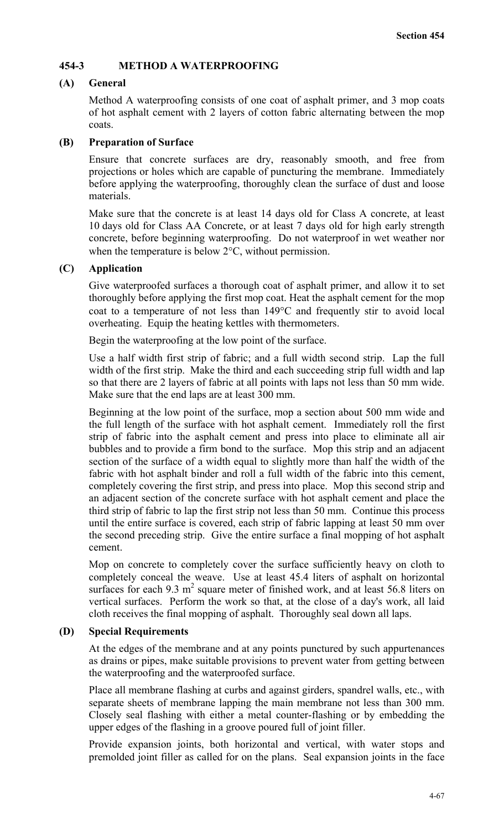## **454-3 METHOD A WATERPROOFING**

## **(A) General**

Method A waterproofing consists of one coat of asphalt primer, and 3 mop coats of hot asphalt cement with 2 layers of cotton fabric alternating between the mop coats.

## **(B) Preparation of Surface**

Ensure that concrete surfaces are dry, reasonably smooth, and free from projections or holes which are capable of puncturing the membrane. Immediately before applying the waterproofing, thoroughly clean the surface of dust and loose materials.

Make sure that the concrete is at least 14 days old for Class A concrete, at least 10 days old for Class AA Concrete, or at least 7 days old for high early strength concrete, before beginning waterproofing. Do not waterproof in wet weather nor when the temperature is below 2°C, without permission.

#### **(C) Application**

Give waterproofed surfaces a thorough coat of asphalt primer, and allow it to set thoroughly before applying the first mop coat. Heat the asphalt cement for the mop coat to a temperature of not less than 149°C and frequently stir to avoid local overheating. Equip the heating kettles with thermometers.

Begin the waterproofing at the low point of the surface.

Use a half width first strip of fabric; and a full width second strip. Lap the full width of the first strip. Make the third and each succeeding strip full width and lap so that there are 2 layers of fabric at all points with laps not less than 50 mm wide. Make sure that the end laps are at least 300 mm.

Beginning at the low point of the surface, mop a section about 500 mm wide and the full length of the surface with hot asphalt cement. Immediately roll the first strip of fabric into the asphalt cement and press into place to eliminate all air bubbles and to provide a firm bond to the surface. Mop this strip and an adjacent section of the surface of a width equal to slightly more than half the width of the fabric with hot asphalt binder and roll a full width of the fabric into this cement, completely covering the first strip, and press into place. Mop this second strip and an adjacent section of the concrete surface with hot asphalt cement and place the third strip of fabric to lap the first strip not less than 50 mm. Continue this process until the entire surface is covered, each strip of fabric lapping at least 50 mm over the second preceding strip. Give the entire surface a final mopping of hot asphalt cement.

Mop on concrete to completely cover the surface sufficiently heavy on cloth to completely conceal the weave. Use at least 45.4 liters of asphalt on horizontal surfaces for each  $9.3 \text{ m}^2$  square meter of finished work, and at least 56.8 liters on vertical surfaces. Perform the work so that, at the close of a day's work, all laid cloth receives the final mopping of asphalt. Thoroughly seal down all laps.

#### **(D) Special Requirements**

At the edges of the membrane and at any points punctured by such appurtenances as drains or pipes, make suitable provisions to prevent water from getting between the waterproofing and the waterproofed surface.

Place all membrane flashing at curbs and against girders, spandrel walls, etc., with separate sheets of membrane lapping the main membrane not less than 300 mm. Closely seal flashing with either a metal counter-flashing or by embedding the upper edges of the flashing in a groove poured full of joint filler.

Provide expansion joints, both horizontal and vertical, with water stops and premolded joint filler as called for on the plans. Seal expansion joints in the face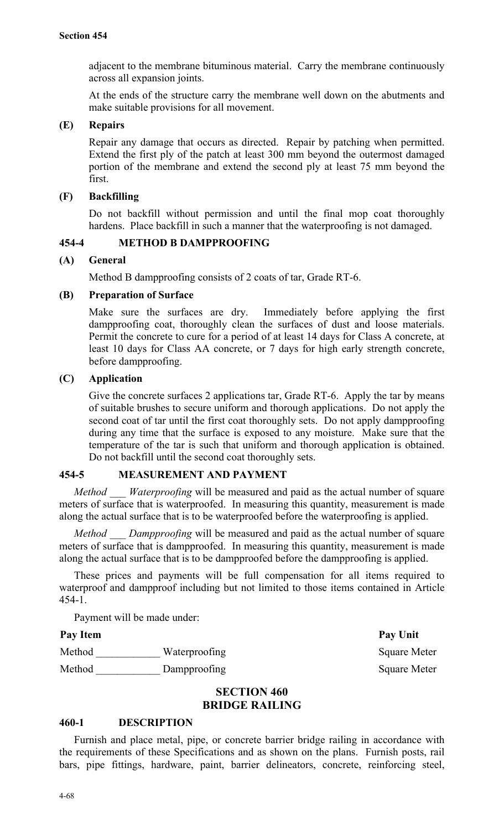adjacent to the membrane bituminous material. Carry the membrane continuously across all expansion joints.

At the ends of the structure carry the membrane well down on the abutments and make suitable provisions for all movement.

## **(E) Repairs**

Repair any damage that occurs as directed. Repair by patching when permitted. Extend the first ply of the patch at least 300 mm beyond the outermost damaged portion of the membrane and extend the second ply at least 75 mm beyond the first.

## **(F) Backfilling**

Do not backfill without permission and until the final mop coat thoroughly hardens. Place backfill in such a manner that the waterproofing is not damaged.

## **454-4 METHOD B DAMPPROOFING**

## **(A) General**

Method B dampproofing consists of 2 coats of tar, Grade RT-6.

## **(B) Preparation of Surface**

Make sure the surfaces are dry. Immediately before applying the first dampproofing coat, thoroughly clean the surfaces of dust and loose materials. Permit the concrete to cure for a period of at least 14 days for Class A concrete, at least 10 days for Class AA concrete, or 7 days for high early strength concrete, before dampproofing.

## **(C) Application**

Give the concrete surfaces 2 applications tar, Grade RT-6. Apply the tar by means of suitable brushes to secure uniform and thorough applications. Do not apply the second coat of tar until the first coat thoroughly sets. Do not apply dampproofing during any time that the surface is exposed to any moisture. Make sure that the temperature of the tar is such that uniform and thorough application is obtained. Do not backfill until the second coat thoroughly sets.

## **454-5 MEASUREMENT AND PAYMENT**

*Method Waterproofing* will be measured and paid as the actual number of square meters of surface that is waterproofed. In measuring this quantity, measurement is made along the actual surface that is to be waterproofed before the waterproofing is applied.

*Method Dampproofing* will be measured and paid as the actual number of square meters of surface that is dampproofed. In measuring this quantity, measurement is made along the actual surface that is to be dampproofed before the dampproofing is applied.

These prices and payments will be full compensation for all items required to waterproof and dampproof including but not limited to those items contained in Article 454-1.

Payment will be made under:

## Pay Item Pay Unit

| Method | Waterproofing |
|--------|---------------|
| Method | Dampproofing  |

Square Meter Square Meter

## **SECTION 460 BRIDGE RAILING**

## **460-1 DESCRIPTION**

Furnish and place metal, pipe, or concrete barrier bridge railing in accordance with the requirements of these Specifications and as shown on the plans. Furnish posts, rail bars, pipe fittings, hardware, paint, barrier delineators, concrete, reinforcing steel,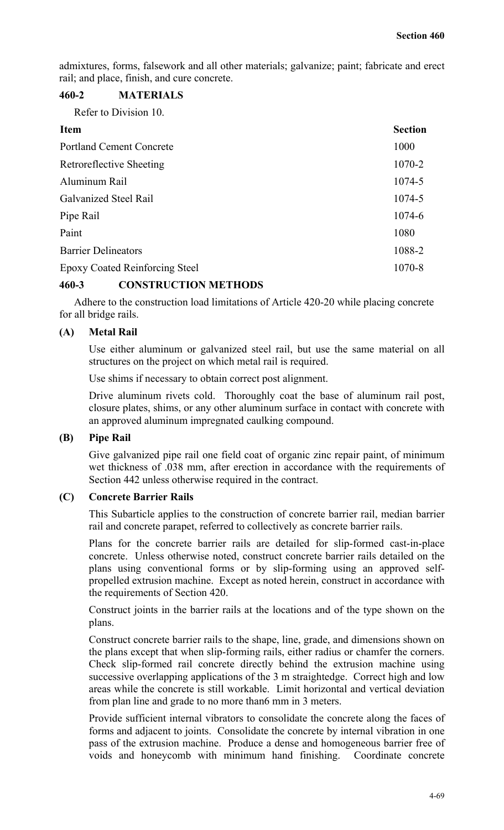admixtures, forms, falsework and all other materials; galvanize; paint; fabricate and erect rail; and place, finish, and cure concrete.

## **460-2 MATERIALS**

Refer to Division 10.

| <b>Item</b>                           | <b>Section</b> |
|---------------------------------------|----------------|
| <b>Portland Cement Concrete</b>       | 1000           |
| <b>Retroreflective Sheeting</b>       | $1070 - 2$     |
| Aluminum Rail                         | 1074-5         |
| Galvanized Steel Rail                 | 1074-5         |
| Pipe Rail                             | $1074 - 6$     |
| Paint                                 | 1080           |
| <b>Barrier Delineators</b>            | 1088-2         |
| <b>Epoxy Coated Reinforcing Steel</b> | 1070-8         |

## **460-3 CONSTRUCTION METHODS**

Adhere to the construction load limitations of Article 420-20 while placing concrete for all bridge rails.

## **(A) Metal Rail**

Use either aluminum or galvanized steel rail, but use the same material on all structures on the project on which metal rail is required.

Use shims if necessary to obtain correct post alignment.

Drive aluminum rivets cold. Thoroughly coat the base of aluminum rail post, closure plates, shims, or any other aluminum surface in contact with concrete with an approved aluminum impregnated caulking compound.

## **(B) Pipe Rail**

Give galvanized pipe rail one field coat of organic zinc repair paint, of minimum wet thickness of .038 mm, after erection in accordance with the requirements of Section 442 unless otherwise required in the contract.

## **(C) Concrete Barrier Rails**

This Subarticle applies to the construction of concrete barrier rail, median barrier rail and concrete parapet, referred to collectively as concrete barrier rails.

Plans for the concrete barrier rails are detailed for slip-formed cast-in-place concrete.Unless otherwise noted, construct concrete barrier rails detailed on the plans using conventional forms or by slip-forming using an approved selfpropelled extrusion machine. Except as noted herein, construct in accordance with the requirements of Section 420.

Construct joints in the barrier rails at the locations and of the type shown on the plans.

Construct concrete barrier rails to the shape, line, grade, and dimensions shown on the plans except that when slip-forming rails, either radius or chamfer the corners. Check slip-formed rail concrete directly behind the extrusion machine using successive overlapping applications of the 3 m straightedge. Correct high and low areas while the concrete is still workable. Limit horizontal and vertical deviation from plan line and grade to no more than6 mm in 3 meters.

Provide sufficient internal vibrators to consolidate the concrete along the faces of forms and adjacent to joints.Consolidate the concrete by internal vibration in one pass of the extrusion machine. Produce a dense and homogeneous barrier free of voids and honeycomb with minimum hand finishing. Coordinate concrete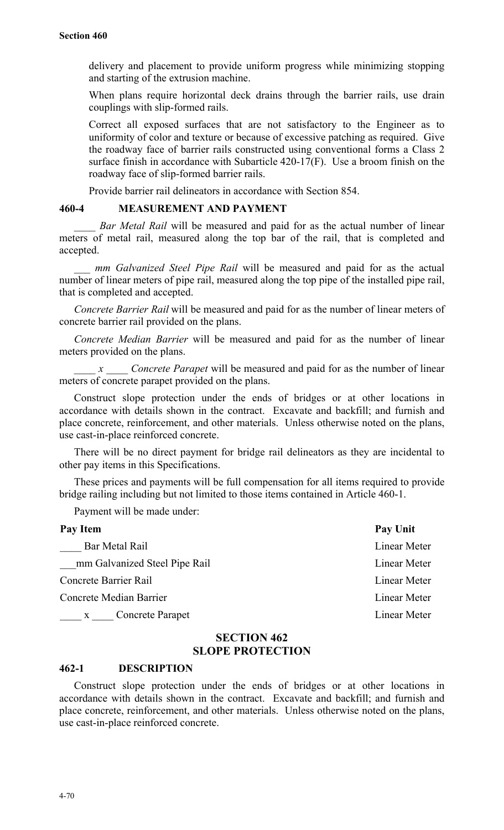delivery and placement to provide uniform progress while minimizing stopping and starting of the extrusion machine.

When plans require horizontal deck drains through the barrier rails, use drain couplings with slip-formed rails.

Correct all exposed surfaces that are not satisfactory to the Engineer as to uniformity of color and texture or because of excessive patching as required.Give the roadway face of barrier rails constructed using conventional forms a Class 2 surface finish in accordance with Subarticle 420-17(F). Use a broom finish on the roadway face of slip-formed barrier rails.

Provide barrier rail delineators in accordance with Section 854.

#### **460-4 MEASUREMENT AND PAYMENT**

*Bar Metal Rail* will be measured and paid for as the actual number of linear meters of metal rail, measured along the top bar of the rail, that is completed and accepted.

*mm Galvanized Steel Pipe Rail* will be measured and paid for as the actual number of linear meters of pipe rail, measured along the top pipe of the installed pipe rail, that is completed and accepted.

*Concrete Barrier Rail* will be measured and paid for as the number of linear meters of concrete barrier rail provided on the plans.

*Concrete Median Barrier* will be measured and paid for as the number of linear meters provided on the plans.

*\_\_\_\_ x \_\_\_\_ Concrete Parapet* will be measured and paid for as the number of linear meters of concrete parapet provided on the plans.

Construct slope protection under the ends of bridges or at other locations in accordance with details shown in the contract. Excavate and backfill; and furnish and place concrete, reinforcement, and other materials. Unless otherwise noted on the plans, use cast-in-place reinforced concrete.

There will be no direct payment for bridge rail delineators as they are incidental to other pay items in this Specifications.

These prices and payments will be full compensation for all items required to provide bridge railing including but not limited to those items contained in Article 460-1.

Payment will be made under:

| Pay Unit     |
|--------------|
| Linear Meter |
| Linear Meter |
| Linear Meter |
| Linear Meter |
| Linear Meter |
|              |

## **SECTION 462 SLOPE PROTECTION**

#### **462-1 DESCRIPTION**

Construct slope protection under the ends of bridges or at other locations in accordance with details shown in the contract. Excavate and backfill; and furnish and place concrete, reinforcement, and other materials. Unless otherwise noted on the plans, use cast-in-place reinforced concrete.